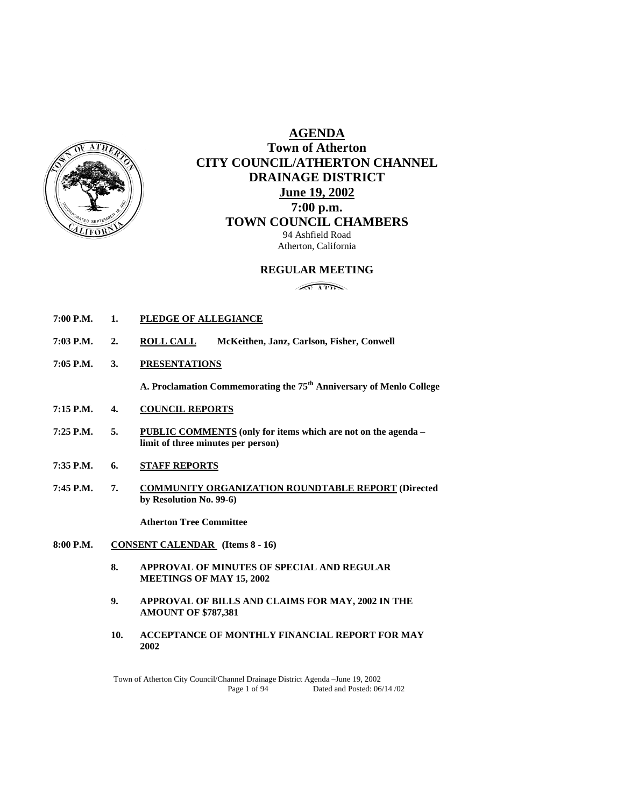

# **AGENDA Town of Atherton CITY COUNCIL/ATHERTON CHANNEL DRAINAGE DISTRICT June 19, 2002 7:00 p.m. TOWN COUNCIL CHAMBERS**

94 Ashfield Road Atherton, California

# **REGULAR MEETING**

 $\sqrt{100}$ 

- **7:00 P.M. 1. PLEDGE OF ALLEGIANCE**
- **7:03 P.M. 2. ROLL CALL McKeithen, Janz, Carlson, Fisher, Conwell**
- **7:05 P.M. 3. PRESENTATIONS**

 **A. Proclamation Commemorating the 75th Anniversary of Menlo College** 

- **7:15 P.M. 4. COUNCIL REPORTS**
- **7:25 P.M. 5. PUBLIC COMMENTS (only for items which are not on the agenda limit of three minutes per person)**
- **7:35 P.M. 6. STAFF REPORTS**
- **7:45 P.M. 7. COMMUNITY ORGANIZATION ROUNDTABLE REPORT (Directed by Resolution No. 99-6)**

**Atherton Tree Committee** 

- **8:00 P.M. CONSENT CALENDAR (Items 8 16)** 
	- **8. APPROVAL OF MINUTES OF SPECIAL AND REGULAR MEETINGS OF MAY 15, 2002**
	- **9. APPROVAL OF BILLS AND CLAIMS FOR MAY, 2002 IN THE AMOUNT OF \$787,381**
	- **10. ACCEPTANCE OF MONTHLY FINANCIAL REPORT FOR MAY 2002**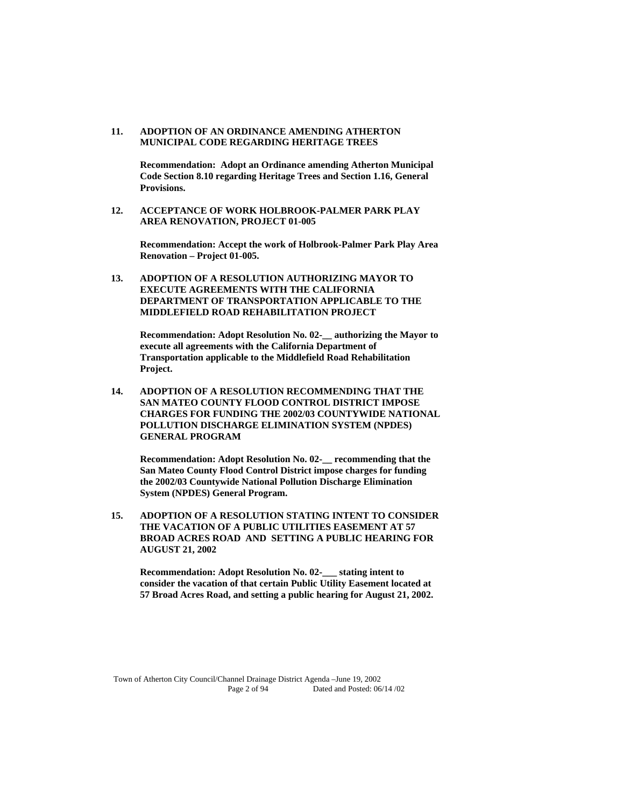### **11. ADOPTION OF AN ORDINANCE AMENDING ATHERTON MUNICIPAL CODE REGARDING HERITAGE TREES**

 **Recommendation: Adopt an Ordinance amending Atherton Municipal Code Section 8.10 regarding Heritage Trees and Section 1.16, General Provisions.** 

### **12. ACCEPTANCE OF WORK HOLBROOK-PALMER PARK PLAY AREA RENOVATION, PROJECT 01-005**

 **Recommendation: Accept the work of Holbrook-Palmer Park Play Area Renovation – Project 01-005.** 

# **13. ADOPTION OF A RESOLUTION AUTHORIZING MAYOR TO EXECUTE AGREEMENTS WITH THE CALIFORNIA DEPARTMENT OF TRANSPORTATION APPLICABLE TO THE MIDDLEFIELD ROAD REHABILITATION PROJECT**

 **Recommendation: Adopt Resolution No. 02-\_\_ authorizing the Mayor to execute all agreements with the California Department of Transportation applicable to the Middlefield Road Rehabilitation Project.** 

**14. ADOPTION OF A RESOLUTION RECOMMENDING THAT THE SAN MATEO COUNTY FLOOD CONTROL DISTRICT IMPOSE CHARGES FOR FUNDING THE 2002/03 COUNTYWIDE NATIONAL POLLUTION DISCHARGE ELIMINATION SYSTEM (NPDES) GENERAL PROGRAM** 

 **Recommendation: Adopt Resolution No. 02-\_\_ recommending that the San Mateo County Flood Control District impose charges for funding the 2002/03 Countywide National Pollution Discharge Elimination System (NPDES) General Program.** 

**15. ADOPTION OF A RESOLUTION STATING INTENT TO CONSIDER THE VACATION OF A PUBLIC UTILITIES EASEMENT AT 57 BROAD ACRES ROAD AND SETTING A PUBLIC HEARING FOR AUGUST 21, 2002** 

 **Recommendation: Adopt Resolution No. 02-\_\_\_ stating intent to consider the vacation of that certain Public Utility Easement located at 57 Broad Acres Road, and setting a public hearing for August 21, 2002.**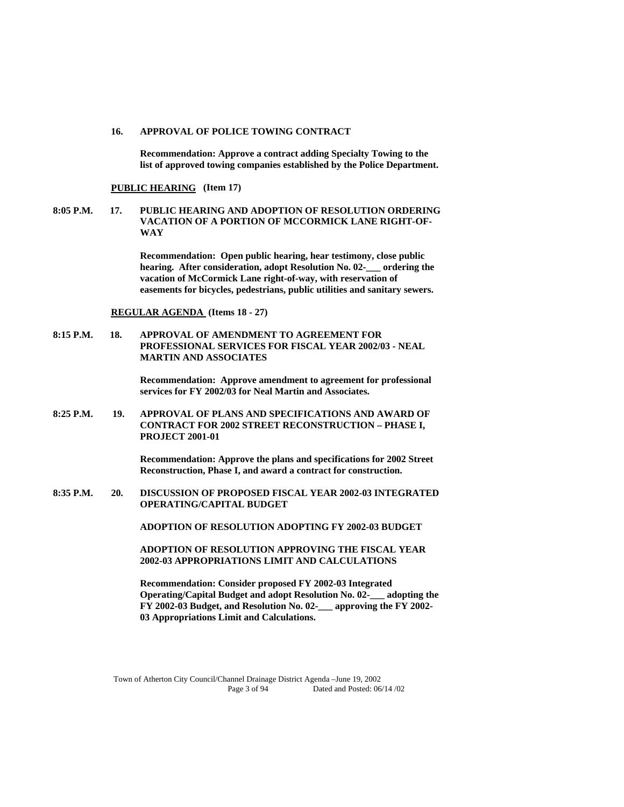#### **16. APPROVAL OF POLICE TOWING CONTRACT**

 **Recommendation: Approve a contract adding Specialty Towing to the list of approved towing companies established by the Police Department.** 

#### **PUBLIC HEARING (Item 17)**

**8:05 P.M. 17. PUBLIC HEARING AND ADOPTION OF RESOLUTION ORDERING VACATION OF A PORTION OF MCCORMICK LANE RIGHT-OF-WAY** 

> **Recommendation: Open public hearing, hear testimony, close public hearing.** After consideration, adopt Resolution No. 02-<br>ordering the **vacation of McCormick Lane right-of-way, with reservation of easements for bicycles, pedestrians, public utilities and sanitary sewers.**

#### **REGULAR AGENDA (Items 18 - 27)**

**8:15 P.M. 18. APPROVAL OF AMENDMENT TO AGREEMENT FOR PROFESSIONAL SERVICES FOR FISCAL YEAR 2002/03 - NEAL MARTIN AND ASSOCIATES** 

> **Recommendation: Approve amendment to agreement for professional services for FY 2002/03 for Neal Martin and Associates.**

**8:25 P.M. 19. APPROVAL OF PLANS AND SPECIFICATIONS AND AWARD OF CONTRACT FOR 2002 STREET RECONSTRUCTION – PHASE I, PROJECT 2001-01** 

> **Recommendation: Approve the plans and specifications for 2002 Street Reconstruction, Phase I, and award a contract for construction.**

**8:35 P.M. 20. DISCUSSION OF PROPOSED FISCAL YEAR 2002-03 INTEGRATED OPERATING/CAPITAL BUDGET** 

 **ADOPTION OF RESOLUTION ADOPTING FY 2002-03 BUDGET** 

**ADOPTION OF RESOLUTION APPROVING THE FISCAL YEAR 2002-03 APPROPRIATIONS LIMIT AND CALCULATIONS** 

 **Recommendation: Consider proposed FY 2002-03 Integrated Operating/Capital Budget and adopt Resolution No. 02-\_\_\_ adopting the FY 2002-03 Budget, and Resolution No. 02-\_\_\_ approving the FY 2002- 03 Appropriations Limit and Calculations.**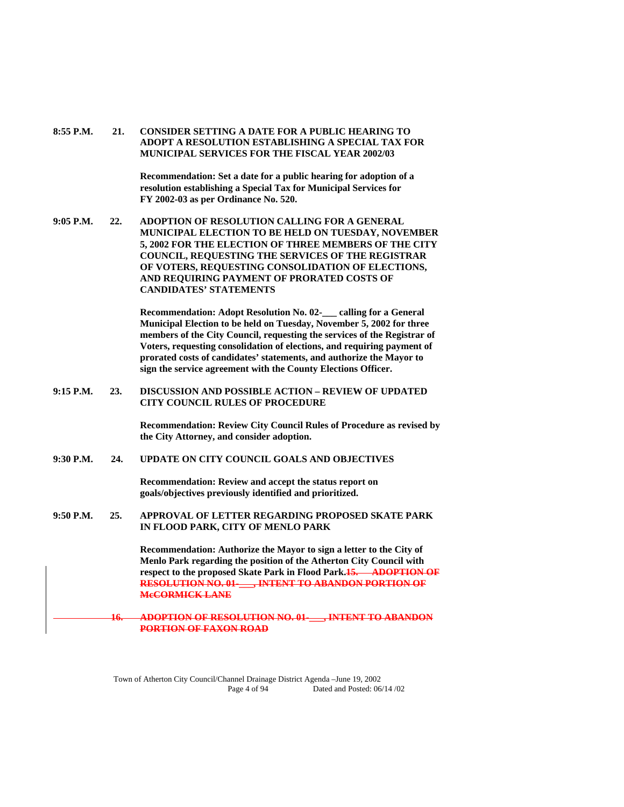# **8:55 P.M. 21. CONSIDER SETTING A DATE FOR A PUBLIC HEARING TO ADOPT A RESOLUTION ESTABLISHING A SPECIAL TAX FOR MUNICIPAL SERVICES FOR THE FISCAL YEAR 2002/03**

 **Recommendation: Set a date for a public hearing for adoption of a resolution establishing a Special Tax for Municipal Services for FY 2002-03 as per Ordinance No. 520.** 

**9:05 P.M. 22. ADOPTION OF RESOLUTION CALLING FOR A GENERAL MUNICIPAL ELECTION TO BE HELD ON TUESDAY, NOVEMBER 5, 2002 FOR THE ELECTION OF THREE MEMBERS OF THE CITY COUNCIL, REQUESTING THE SERVICES OF THE REGISTRAR OF VOTERS, REQUESTING CONSOLIDATION OF ELECTIONS, AND REQUIRING PAYMENT OF PRORATED COSTS OF CANDIDATES' STATEMENTS** 

> **Recommendation: Adopt Resolution No. 02-\_\_\_ calling for a General Municipal Election to be held on Tuesday, November 5, 2002 for three members of the City Council, requesting the services of the Registrar of Voters, requesting consolidation of elections, and requiring payment of prorated costs of candidates' statements, and authorize the Mayor to sign the service agreement with the County Elections Officer.**

**9:15 P.M. 23. DISCUSSION AND POSSIBLE ACTION – REVIEW OF UPDATED CITY COUNCIL RULES OF PROCEDURE** 

> **Recommendation: Review City Council Rules of Procedure as revised by the City Attorney, and consider adoption.**

**9:30 P.M. 24. UPDATE ON CITY COUNCIL GOALS AND OBJECTIVES** 

 **Recommendation: Review and accept the status report on goals/objectives previously identified and prioritized.** 

**9:50 P.M. 25. APPROVAL OF LETTER REGARDING PROPOSED SKATE PARK IN FLOOD PARK, CITY OF MENLO PARK** 

> **Recommendation: Authorize the Mayor to sign a letter to the City of Menlo Park regarding the position of the Atherton City Council with respect to the proposed Skate Park in Flood Park.15. ADOPTION OF RESOLUTION NO. 01-\_\_\_, INTENT TO ABANDON PORTION OF McCORMICK LANE**

**16. ADOPTION OF RESOLUTION NO. 01-\_\_\_, INTENT TO ABANDON PORTION OF FAXON ROAD**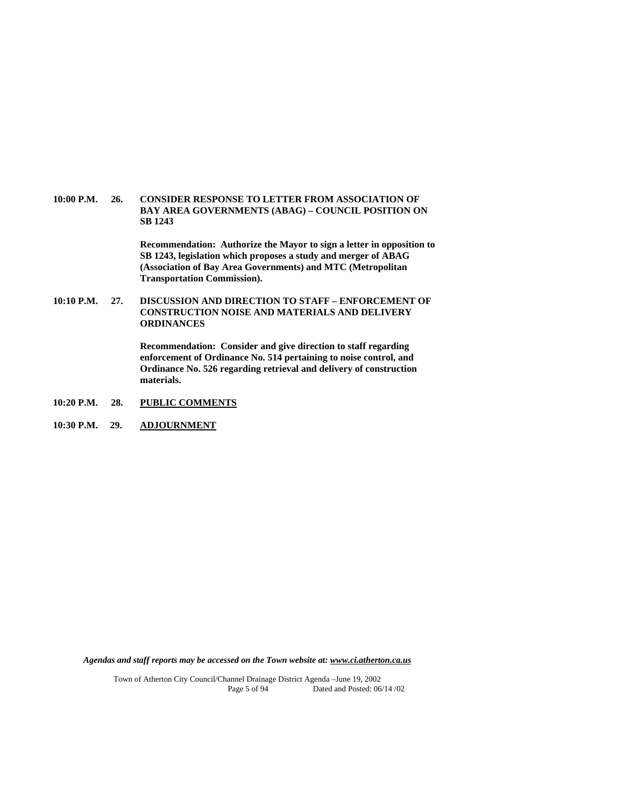### **10:00 P.M. 26. CONSIDER RESPONSE TO LETTER FROM ASSOCIATION OF BAY AREA GOVERNMENTS (ABAG) – COUNCIL POSITION ON SB 1243**

 **Recommendation: Authorize the Mayor to sign a letter in opposition to SB 1243, legislation which proposes a study and merger of ABAG (Association of Bay Area Governments) and MTC (Metropolitan Transportation Commission).** 

# **10:10 P.M. 27. DISCUSSION AND DIRECTION TO STAFF – ENFORCEMENT OF CONSTRUCTION NOISE AND MATERIALS AND DELIVERY ORDINANCES**

 **Recommendation: Consider and give direction to staff regarding enforcement of Ordinance No. 514 pertaining to noise control, and Ordinance No. 526 regarding retrieval and delivery of construction materials.** 

- **10:20 P.M. 28. PUBLIC COMMENTS**
- **10:30 P.M. 29. ADJOURNMENT**

*Agendas and staff reports may be accessed on the Town website at: www.ci.atherton.ca.us*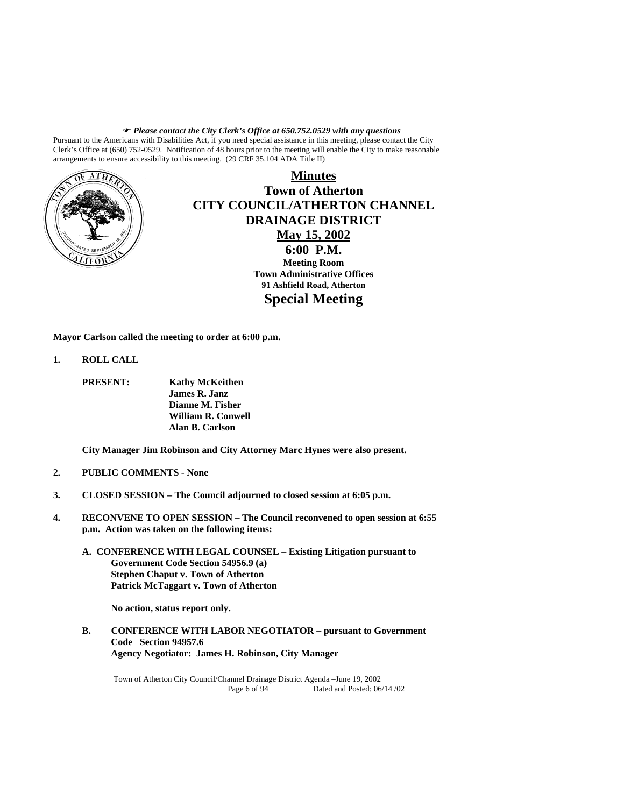*Please contact the City Clerk's Office at 650.752.0529 with any questions* 

Pursuant to the Americans with Disabilities Act, if you need special assistance in this meeting, please contact the City Clerk's Office at (650) 752-0529. Notification of 48 hours prior to the meeting will enable the City to make reasonable arrangements to ensure accessibility to this meeting. (29 CRF 35.104 ADA Title II)



**Minutes Town of Atherton CITY COUNCIL/ATHERTON CHANNEL DRAINAGE DISTRICT May 15, 2002 6:00 P.M. Meeting Room Town Administrative Offices 91 Ashfield Road, Atherton Special Meeting** 

**Mayor Carlson called the meeting to order at 6:00 p.m.** 

- **1. ROLL CALL** 
	- **PRESENT: Kathy McKeithen James R. Janz Dianne M. Fisher William R. Conwell Alan B. Carlson**

 **City Manager Jim Robinson and City Attorney Marc Hynes were also present.** 

- **2. PUBLIC COMMENTS None**
- **3. CLOSED SESSION The Council adjourned to closed session at 6:05 p.m.**
- **4. RECONVENE TO OPEN SESSION The Council reconvened to open session at 6:55 p.m. Action was taken on the following items:** 
	- **A. CONFERENCE WITH LEGAL COUNSEL Existing Litigation pursuant to Government Code Section 54956.9 (a) Stephen Chaput v. Town of Atherton Patrick McTaggart v. Town of Atherton**

 **No action, status report only.** 

**B. CONFERENCE WITH LABOR NEGOTIATOR – pursuant to Government Code Section 94957.6 Agency Negotiator: James H. Robinson, City Manager**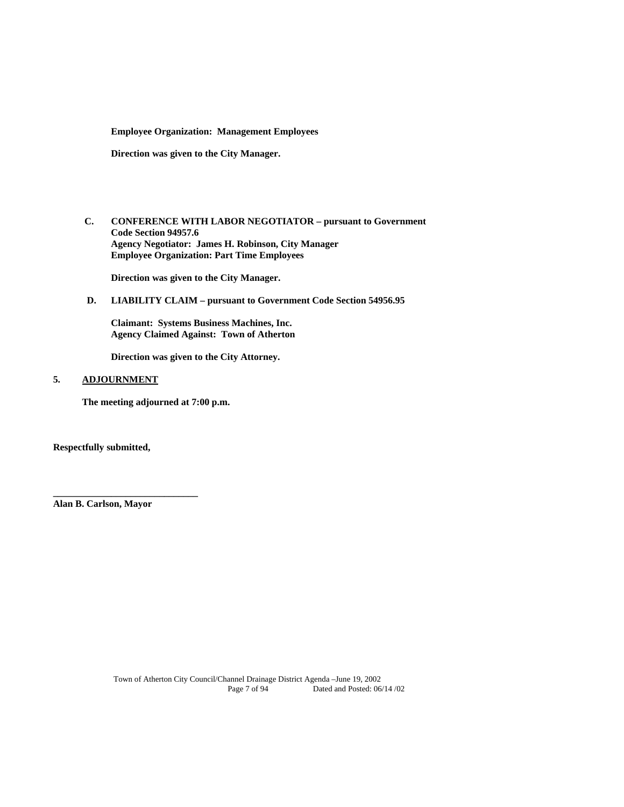**Employee Organization: Management Employees** 

**Direction was given to the City Manager.** 

 **C. CONFERENCE WITH LABOR NEGOTIATOR – pursuant to Government Code Section 94957.6 Agency Negotiator: James H. Robinson, City Manager Employee Organization: Part Time Employees** 

 **Direction was given to the City Manager.** 

**D. LIABILITY CLAIM – pursuant to Government Code Section 54956.95** 

 **Claimant: Systems Business Machines, Inc. Agency Claimed Against: Town of Atherton** 

 **Direction was given to the City Attorney.** 

# **5. ADJOURNMENT**

**The meeting adjourned at 7:00 p.m.** 

**Respectfully submitted,** 

**Alan B. Carlson, Mayor** 

**\_\_\_\_\_\_\_\_\_\_\_\_\_\_\_\_\_\_\_\_\_\_\_\_\_\_\_\_\_\_**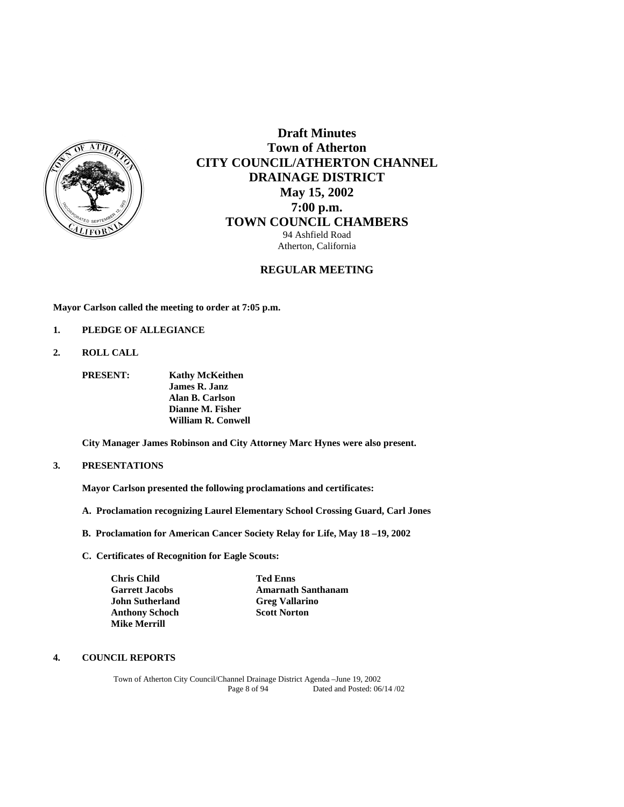

# **Draft Minutes Town of Atherton CITY COUNCIL/ATHERTON CHANNEL DRAINAGE DISTRICT May 15, 2002 7:00 p.m. TOWN COUNCIL CHAMBERS** 94 Ashfield Road

Atherton, California

# **REGULAR MEETING**

**Mayor Carlson called the meeting to order at 7:05 p.m.** 

- **1. PLEDGE OF ALLEGIANCE**
- **2. ROLL CALL**

 **PRESENT: Kathy McKeithen James R. Janz Alan B. Carlson Dianne M. Fisher William R. Conwell** 

 **City Manager James Robinson and City Attorney Marc Hynes were also present.** 

# **3. PRESENTATIONS**

 **Mayor Carlson presented the following proclamations and certificates:** 

- **A. Proclamation recognizing Laurel Elementary School Crossing Guard, Carl Jones**
- **B. Proclamation for American Cancer Society Relay for Life, May 18 –19, 2002**
- **C. Certificates of Recognition for Eagle Scouts:**

| <b>Chris Child</b>    |                        | <b>Ted Enns</b>           |
|-----------------------|------------------------|---------------------------|
| <b>Garrett Jacobs</b> |                        | <b>Amarnath Santhanam</b> |
|                       | <b>John Sutherland</b> | <b>Greg Vallarino</b>     |
|                       | <b>Anthony Schoch</b>  | <b>Scott Norton</b>       |
| <b>Mike Merrill</b>   |                        |                           |

# **4. COUNCIL REPORTS**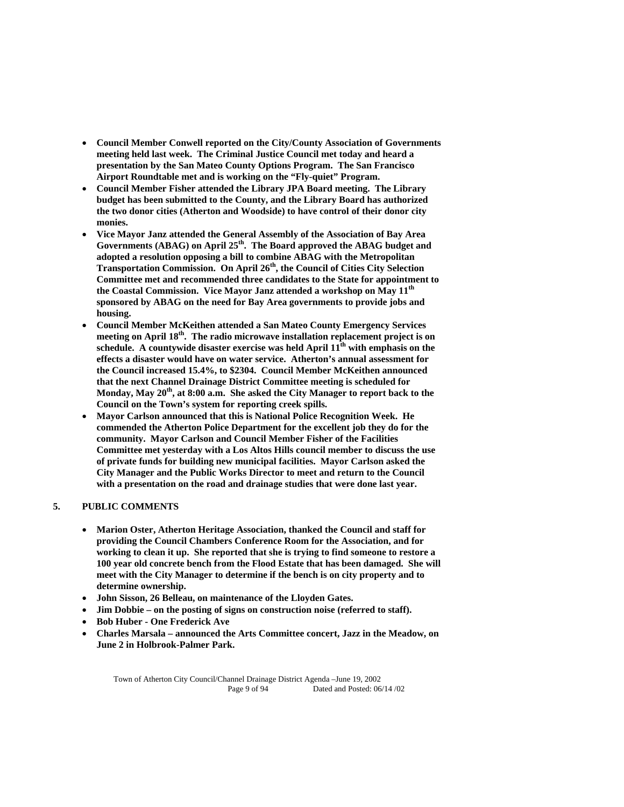- **Council Member Conwell reported on the City/County Association of Governments meeting held last week. The Criminal Justice Council met today and heard a presentation by the San Mateo County Options Program. The San Francisco Airport Roundtable met and is working on the "Fly-quiet" Program.**
- **Council Member Fisher attended the Library JPA Board meeting. The Library budget has been submitted to the County, and the Library Board has authorized the two donor cities (Atherton and Woodside) to have control of their donor city monies.**
- **Vice Mayor Janz attended the General Assembly of the Association of Bay Area Governments (ABAG) on April 25th. The Board approved the ABAG budget and adopted a resolution opposing a bill to combine ABAG with the Metropolitan Transportation Commission. On April 26th, the Council of Cities City Selection Committee met and recommended three candidates to the State for appointment to the Coastal Commission. Vice Mayor Janz attended a workshop on May 11th sponsored by ABAG on the need for Bay Area governments to provide jobs and housing.**
- **Council Member McKeithen attended a San Mateo County Emergency Services meeting on April 18th. The radio microwave installation replacement project is on**  schedule. A countywide disaster exercise was held April  $11<sup>th</sup>$  with emphasis on the **effects a disaster would have on water service. Atherton's annual assessment for the Council increased 15.4%, to \$2304. Council Member McKeithen announced that the next Channel Drainage District Committee meeting is scheduled for**  Monday, May 20<sup>th</sup>, at 8:00 a.m. She asked the City Manager to report back to the **Council on the Town's system for reporting creek spills.**
- **Mayor Carlson announced that this is National Police Recognition Week. He commended the Atherton Police Department for the excellent job they do for the community. Mayor Carlson and Council Member Fisher of the Facilities Committee met yesterday with a Los Altos Hills council member to discuss the use of private funds for building new municipal facilities. Mayor Carlson asked the City Manager and the Public Works Director to meet and return to the Council with a presentation on the road and drainage studies that were done last year.**

# **5. PUBLIC COMMENTS**

- **Marion Oster, Atherton Heritage Association, thanked the Council and staff for providing the Council Chambers Conference Room for the Association, and for working to clean it up. She reported that she is trying to find someone to restore a 100 year old concrete bench from the Flood Estate that has been damaged. She will meet with the City Manager to determine if the bench is on city property and to determine ownership.**
- **John Sisson, 26 Belleau, on maintenance of the Lloyden Gates.**
- **Jim Dobbie on the posting of signs on construction noise (referred to staff).**
- **Bob Huber One Frederick Ave**
- **Charles Marsala announced the Arts Committee concert, Jazz in the Meadow, on June 2 in Holbrook-Palmer Park.**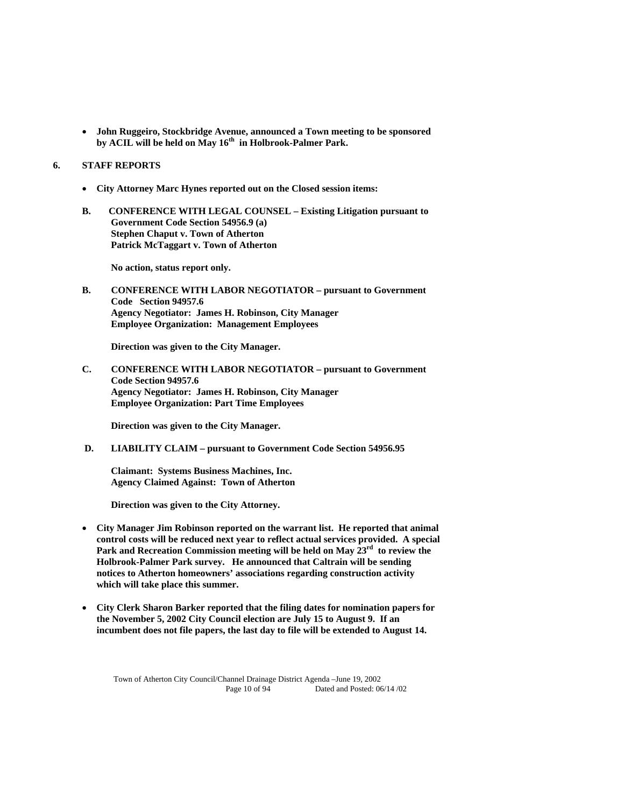**John Ruggeiro, Stockbridge Avenue, announced a Town meeting to be sponsored by ACIL will be held on May 16th in Holbrook-Palmer Park.** 

# **6. STAFF REPORTS**

- **City Attorney Marc Hynes reported out on the Closed session items:**
- **B. CONFERENCE WITH LEGAL COUNSEL Existing Litigation pursuant to Government Code Section 54956.9 (a) Stephen Chaput v. Town of Atherton Patrick McTaggart v. Town of Atherton**

 **No action, status report only.** 

**B. CONFERENCE WITH LABOR NEGOTIATOR – pursuant to Government Code Section 94957.6 Agency Negotiator: James H. Robinson, City Manager Employee Organization: Management Employees** 

**Direction was given to the City Manager.** 

**C. CONFERENCE WITH LABOR NEGOTIATOR – pursuant to Government Code Section 94957.6 Agency Negotiator: James H. Robinson, City Manager Employee Organization: Part Time Employees** 

 **Direction was given to the City Manager.** 

**D. LIABILITY CLAIM – pursuant to Government Code Section 54956.95** 

 **Claimant: Systems Business Machines, Inc. Agency Claimed Against: Town of Atherton** 

 **Direction was given to the City Attorney.** 

- **City Manager Jim Robinson reported on the warrant list. He reported that animal control costs will be reduced next year to reflect actual services provided. A special Park and Recreation Commission meeting will be held on May 23rd to review the Holbrook-Palmer Park survey. He announced that Caltrain will be sending notices to Atherton homeowners' associations regarding construction activity which will take place this summer.**
- **City Clerk Sharon Barker reported that the filing dates for nomination papers for the November 5, 2002 City Council election are July 15 to August 9. If an incumbent does not file papers, the last day to file will be extended to August 14.**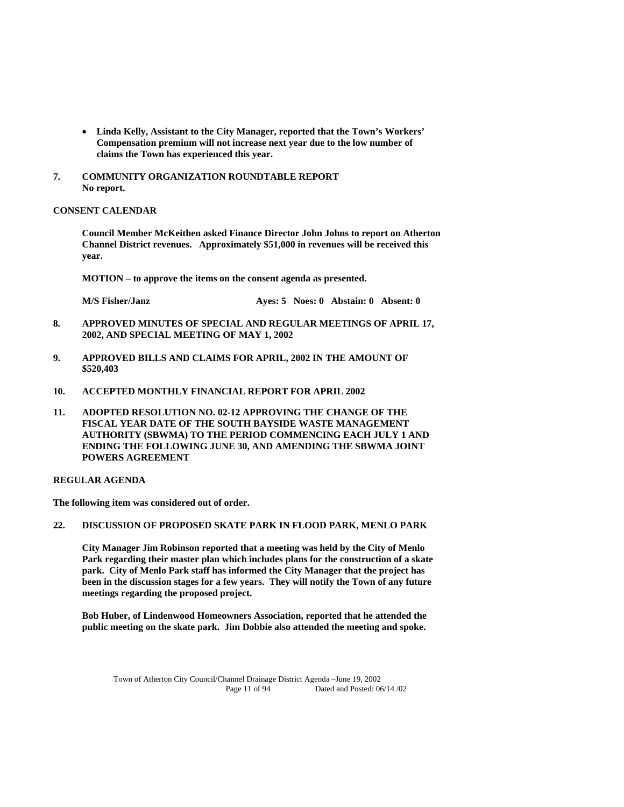- **Linda Kelly, Assistant to the City Manager, reported that the Town's Workers' Compensation premium will not increase next year due to the low number of claims the Town has experienced this year.**
- **7. COMMUNITY ORGANIZATION ROUNDTABLE REPORT No report.**

# **CONSENT CALENDAR**

**Council Member McKeithen asked Finance Director John Johns to report on Atherton Channel District revenues. Approximately \$51,000 in revenues will be received this year.** 

 **MOTION – to approve the items on the consent agenda as presented.** 

 **M/S Fisher/Janz Ayes: 5 Noes: 0 Abstain: 0 Absent: 0** 

- **8. APPROVED MINUTES OF SPECIAL AND REGULAR MEETINGS OF APRIL 17, 2002, AND SPECIAL MEETING OF MAY 1, 2002**
- **9. APPROVED BILLS AND CLAIMS FOR APRIL, 2002 IN THE AMOUNT OF \$520,403**
- **10. ACCEPTED MONTHLY FINANCIAL REPORT FOR APRIL 2002**
- **11. ADOPTED RESOLUTION NO. 02-12 APPROVING THE CHANGE OF THE FISCAL YEAR DATE OF THE SOUTH BAYSIDE WASTE MANAGEMENT AUTHORITY (SBWMA) TO THE PERIOD COMMENCING EACH JULY 1 AND ENDING THE FOLLOWING JUNE 30, AND AMENDING THE SBWMA JOINT POWERS AGREEMENT**

# **REGULAR AGENDA**

**The following item was considered out of order.** 

# **22. DISCUSSION OF PROPOSED SKATE PARK IN FLOOD PARK, MENLO PARK**

 **City Manager Jim Robinson reported that a meeting was held by the City of Menlo Park regarding their master plan which includes plans for the construction of a skate park. City of Menlo Park staff has informed the City Manager that the project has been in the discussion stages for a few years. They will notify the Town of any future meetings regarding the proposed project.** 

 **Bob Huber, of Lindenwood Homeowners Association, reported that he attended the public meeting on the skate park. Jim Dobbie also attended the meeting and spoke.**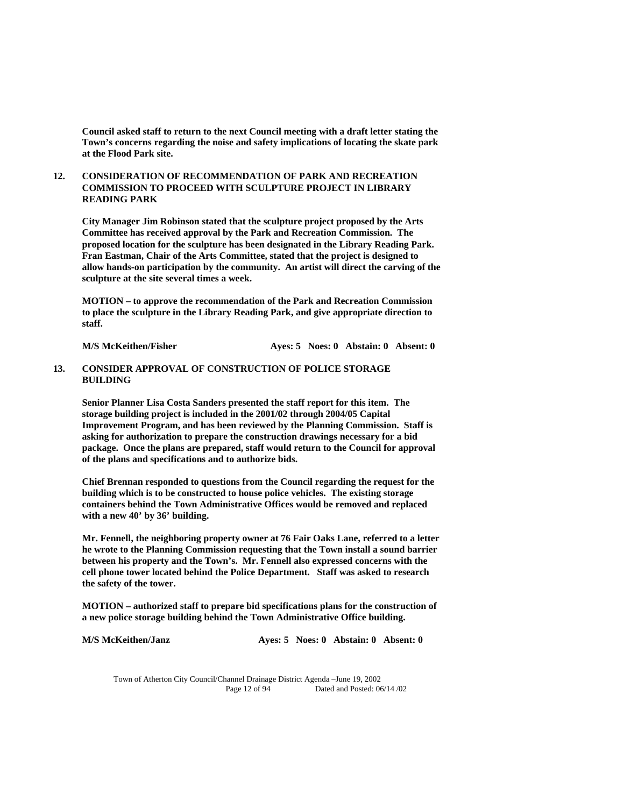**Council asked staff to return to the next Council meeting with a draft letter stating the Town's concerns regarding the noise and safety implications of locating the skate park at the Flood Park site.** 

# **12. CONSIDERATION OF RECOMMENDATION OF PARK AND RECREATION COMMISSION TO PROCEED WITH SCULPTURE PROJECT IN LIBRARY READING PARK**

**City Manager Jim Robinson stated that the sculpture project proposed by the Arts Committee has received approval by the Park and Recreation Commission. The proposed location for the sculpture has been designated in the Library Reading Park. Fran Eastman, Chair of the Arts Committee, stated that the project is designed to allow hands-on participation by the community. An artist will direct the carving of the sculpture at the site several times a week.** 

 **MOTION – to approve the recommendation of the Park and Recreation Commission to place the sculpture in the Library Reading Park, and give appropriate direction to staff.** 

**M/S McKeithen/Fisher Ayes: 5 Noes: 0 Abstain: 0 Absent: 0** 

## **13. CONSIDER APPROVAL OF CONSTRUCTION OF POLICE STORAGE BUILDING**

**Senior Planner Lisa Costa Sanders presented the staff report for this item. The storage building project is included in the 2001/02 through 2004/05 Capital Improvement Program, and has been reviewed by the Planning Commission. Staff is asking for authorization to prepare the construction drawings necessary for a bid package. Once the plans are prepared, staff would return to the Council for approval of the plans and specifications and to authorize bids.** 

**Chief Brennan responded to questions from the Council regarding the request for the building which is to be constructed to house police vehicles. The existing storage containers behind the Town Administrative Offices would be removed and replaced with a new 40' by 36' building.** 

**Mr. Fennell, the neighboring property owner at 76 Fair Oaks Lane, referred to a letter he wrote to the Planning Commission requesting that the Town install a sound barrier between his property and the Town's. Mr. Fennell also expressed concerns with the cell phone tower located behind the Police Department. Staff was asked to research the safety of the tower.** 

 **MOTION – authorized staff to prepare bid specifications plans for the construction of a new police storage building behind the Town Administrative Office building.** 

 **M/S McKeithen/Janz <br> Ayes: 5 Noes: 0 Abstain: 0 Absent: 0**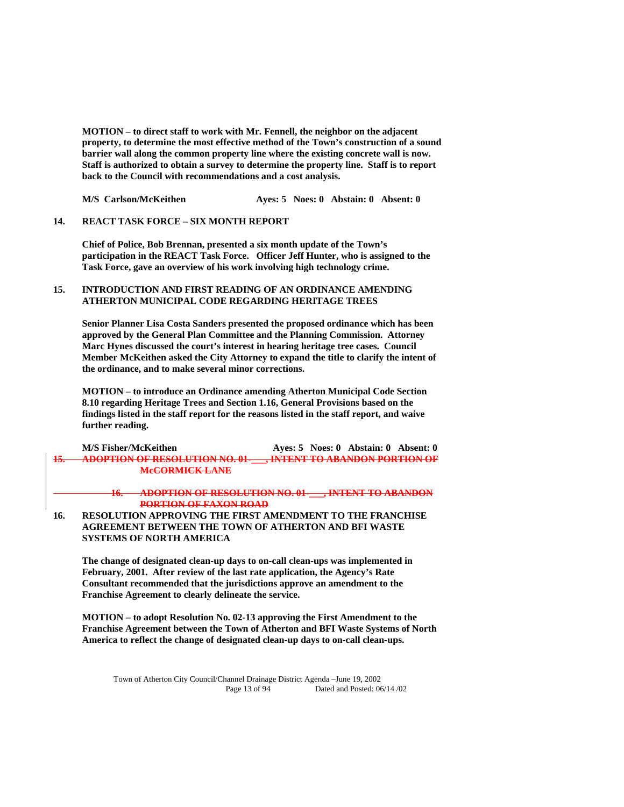**MOTION – to direct staff to work with Mr. Fennell, the neighbor on the adjacent property, to determine the most effective method of the Town's construction of a sound barrier wall along the common property line where the existing concrete wall is now. Staff is authorized to obtain a survey to determine the property line. Staff is to report back to the Council with recommendations and a cost analysis.** 

 **M/S Carlson/McKeithen Ayes: 5 Noes: 0 Abstain: 0 Absent: 0** 

### **14. REACT TASK FORCE – SIX MONTH REPORT**

**Chief of Police, Bob Brennan, presented a six month update of the Town's participation in the REACT Task Force. Officer Jeff Hunter, who is assigned to the Task Force, gave an overview of his work involving high technology crime.** 

### **15. INTRODUCTION AND FIRST READING OF AN ORDINANCE AMENDING ATHERTON MUNICIPAL CODE REGARDING HERITAGE TREES**

 **Senior Planner Lisa Costa Sanders presented the proposed ordinance which has been approved by the General Plan Committee and the Planning Commission. Attorney Marc Hynes discussed the court's interest in hearing heritage tree cases. Council Member McKeithen asked the City Attorney to expand the title to clarify the intent of the ordinance, and to make several minor corrections.** 

 **MOTION – to introduce an Ordinance amending Atherton Municipal Code Section 8.10 regarding Heritage Trees and Section 1.16, General Provisions based on the findings listed in the staff report for the reasons listed in the staff report, and waive further reading.** 

| <b>M/S Fisher/McKeithen</b>                                                                                                                                                                                  | Aves: 5 Noes: 0 Abstain: 0 Absent: 0                                                                   |
|--------------------------------------------------------------------------------------------------------------------------------------------------------------------------------------------------------------|--------------------------------------------------------------------------------------------------------|
| A DOPTION OF PESOL HTION NO. 01.                                                                                                                                                                             | INTENT TO ARANDON POPTION OF<br><u> ADOI HON OF RESOLUTION NO. 01 — , INTENT TO ADAMDON FOR HON OF</u> |
| $M_{o}$ $\cap$ $\cap$ $\cap$ $M$ $\cap$ $\cap$ $\cap$ $\cap$ $\cap$ $\cap$ $\cap$<br><b>IN A REPORT OF A REPORT OF A REPORT OF A REPORT OF A REPORT OF A REPORT OF A REPORT OF A REPORT OF A REPORT OF A</b> |                                                                                                        |

**16. ADOPTION OF RESOLUTION NO. 01-\_\_\_, INTENT TO ABANDON PORTION OF FAXON ROAD**

**16. RESOLUTION APPROVING THE FIRST AMENDMENT TO THE FRANCHISE AGREEMENT BETWEEN THE TOWN OF ATHERTON AND BFI WASTE SYSTEMS OF NORTH AMERICA** 

 **The change of designated clean-up days to on-call clean-ups was implemented in February, 2001. After review of the last rate application, the Agency's Rate Consultant recommended that the jurisdictions approve an amendment to the Franchise Agreement to clearly delineate the service.** 

 **MOTION – to adopt Resolution No. 02-13 approving the First Amendment to the Franchise Agreement between the Town of Atherton and BFI Waste Systems of North America to reflect the change of designated clean-up days to on-call clean-ups.**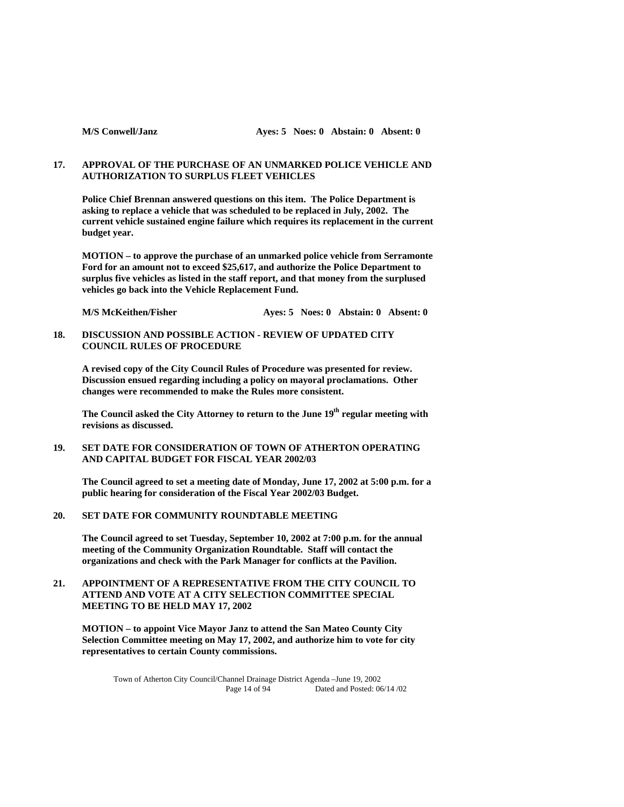# **17. APPROVAL OF THE PURCHASE OF AN UNMARKED POLICE VEHICLE AND AUTHORIZATION TO SURPLUS FLEET VEHICLES**

 **Police Chief Brennan answered questions on this item. The Police Department is asking to replace a vehicle that was scheduled to be replaced in July, 2002. The current vehicle sustained engine failure which requires its replacement in the current budget year.** 

**MOTION – to approve the purchase of an unmarked police vehicle from Serramonte Ford for an amount not to exceed \$25,617, and authorize the Police Department to surplus five vehicles as listed in the staff report, and that money from the surplused vehicles go back into the Vehicle Replacement Fund.** 

 **M/S McKeithen/Fisher Ayes: 5 Noes: 0 Abstain: 0 Absent: 0** 

**18. DISCUSSION AND POSSIBLE ACTION - REVIEW OF UPDATED CITY COUNCIL RULES OF PROCEDURE** 

 **A revised copy of the City Council Rules of Procedure was presented for review. Discussion ensued regarding including a policy on mayoral proclamations. Other changes were recommended to make the Rules more consistent.** 

The Council asked the City Attorney to return to the June 19<sup>th</sup> regular meeting with **revisions as discussed.** 

**19. SET DATE FOR CONSIDERATION OF TOWN OF ATHERTON OPERATING AND CAPITAL BUDGET FOR FISCAL YEAR 2002/03** 

 **The Council agreed to set a meeting date of Monday, June 17, 2002 at 5:00 p.m. for a public hearing for consideration of the Fiscal Year 2002/03 Budget.** 

# **20. SET DATE FOR COMMUNITY ROUNDTABLE MEETING**

 **The Council agreed to set Tuesday, September 10, 2002 at 7:00 p.m. for the annual meeting of the Community Organization Roundtable. Staff will contact the organizations and check with the Park Manager for conflicts at the Pavilion.** 

## **21. APPOINTMENT OF A REPRESENTATIVE FROM THE CITY COUNCIL TO ATTEND AND VOTE AT A CITY SELECTION COMMITTEE SPECIAL MEETING TO BE HELD MAY 17, 2002**

 **MOTION – to appoint Vice Mayor Janz to attend the San Mateo County City Selection Committee meeting on May 17, 2002, and authorize him to vote for city representatives to certain County commissions.**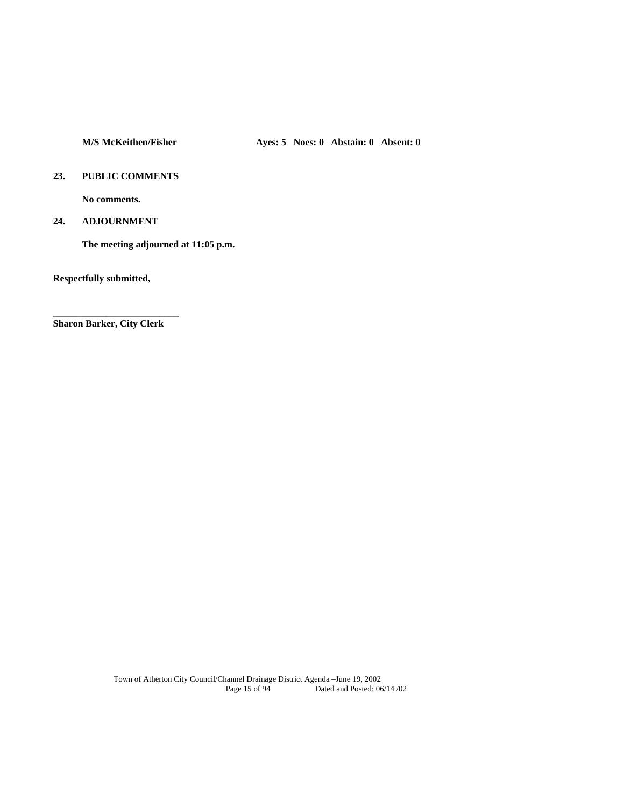# **23. PUBLIC COMMENTS**

 **No comments.** 

# **24. ADJOURNMENT**

 **The meeting adjourned at 11:05 p.m.** 

**Respectfully submitted,** 

**Sharon Barker, City Clerk** 

**\_\_\_\_\_\_\_\_\_\_\_\_\_\_\_\_\_\_\_\_\_\_\_\_\_\_**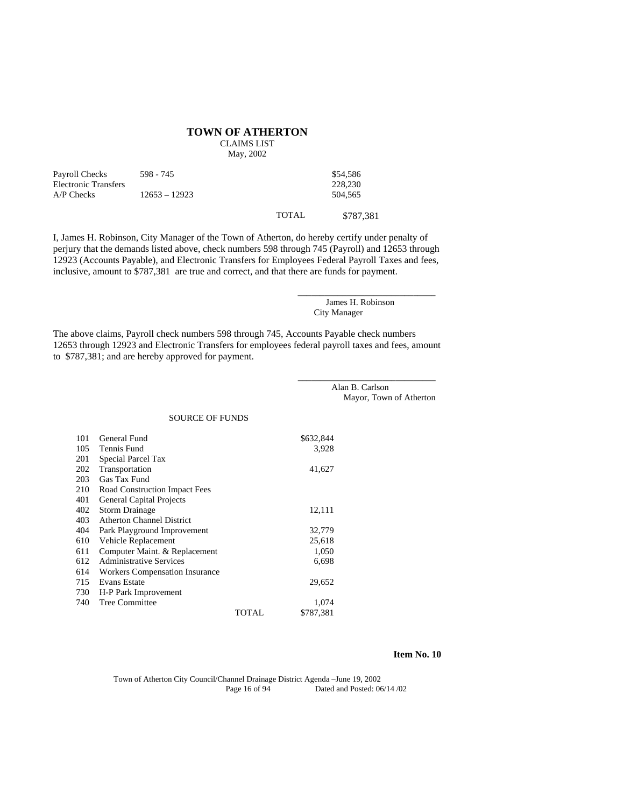#### **TOWN OF ATHERTON**

CLAIMS LIST

May, 2002

| Payroll Checks<br>Electronic Transfers | 598 - 745       | \$54,586<br>228,230 |
|----------------------------------------|-----------------|---------------------|
| $A/P$ Checks                           | $12653 - 12923$ | 504.565             |
|                                        |                 |                     |

TOTAL \$787,381

I, James H. Robinson, City Manager of the Town of Atherton, do hereby certify under penalty of perjury that the demands listed above, check numbers 598 through 745 (Payroll) and 12653 through 12923 (Accounts Payable), and Electronic Transfers for Employees Federal Payroll Taxes and fees, inclusive, amount to \$787,381 are true and correct, and that there are funds for payment.

> James H. Robinson City Manager

\_\_\_\_\_\_\_\_\_\_\_\_\_\_\_\_\_\_\_\_\_\_\_\_\_\_\_\_\_\_\_

\_\_\_\_\_\_\_\_\_\_\_\_\_\_\_\_\_\_\_\_\_\_\_\_\_\_\_\_\_\_\_

The above claims, Payroll check numbers 598 through 745, Accounts Payable check numbers 12653 through 12923 and Electronic Transfers for employees federal payroll taxes and fees, amount to \$787,381; and are hereby approved for payment.

> Alan B. Carlson Mayor, Town of Atherton

#### SOURCE OF FUNDS

| 101 | General Fund                          |              | \$632,844 |
|-----|---------------------------------------|--------------|-----------|
| 105 | Tennis Fund                           |              | 3,928     |
| 201 | Special Parcel Tax                    |              |           |
| 202 | Transportation                        |              | 41,627    |
| 203 | Gas Tax Fund                          |              |           |
| 210 | Road Construction Impact Fees         |              |           |
| 401 | <b>General Capital Projects</b>       |              |           |
| 402 | <b>Storm Drainage</b>                 |              | 12,111    |
| 403 | <b>Atherton Channel District</b>      |              |           |
| 404 | Park Playground Improvement           |              | 32,779    |
| 610 | Vehicle Replacement                   |              | 25,618    |
| 611 | Computer Maint. & Replacement         |              | 1,050     |
| 612 | <b>Administrative Services</b>        |              | 6,698     |
| 614 | <b>Workers Compensation Insurance</b> |              |           |
| 715 | <b>Evans Estate</b>                   |              | 29,652    |
| 730 | H-P Park Improvement                  |              |           |
| 740 | <b>Tree Committee</b>                 |              | 1,074     |
|     |                                       | <b>TOTAL</b> | \$787,381 |

### **Item No. 10**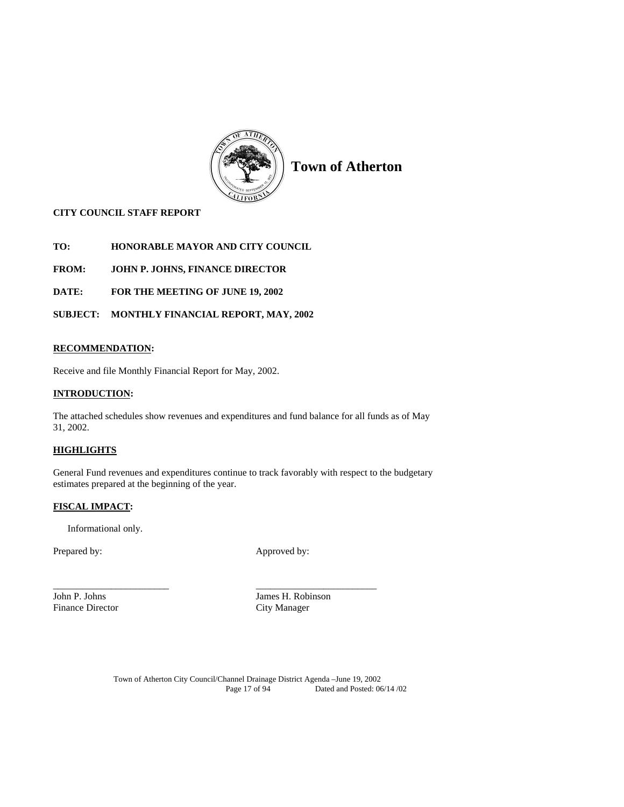

# **CITY COUNCIL STAFF REPORT**

**TO: HONORABLE MAYOR AND CITY COUNCIL** 

**FROM: JOHN P. JOHNS, FINANCE DIRECTOR** 

**DATE: FOR THE MEETING OF JUNE 19, 2002** 

**SUBJECT: MONTHLY FINANCIAL REPORT, MAY, 2002** 

# **RECOMMENDATION:**

Receive and file Monthly Financial Report for May, 2002.

# **INTRODUCTION:**

The attached schedules show revenues and expenditures and fund balance for all funds as of May 31, 2002.

# **HIGHLIGHTS**

General Fund revenues and expenditures continue to track favorably with respect to the budgetary estimates prepared at the beginning of the year.

\_\_\_\_\_\_\_\_\_\_\_\_\_\_\_\_\_\_\_\_\_\_\_\_ \_\_\_\_\_\_\_\_\_\_\_\_\_\_\_\_\_\_\_\_\_\_\_\_\_

# **FISCAL IMPACT:**

Informational only.

Prepared by: Approved by:

Finance Director City Manager

John P. Johns James H. Robinson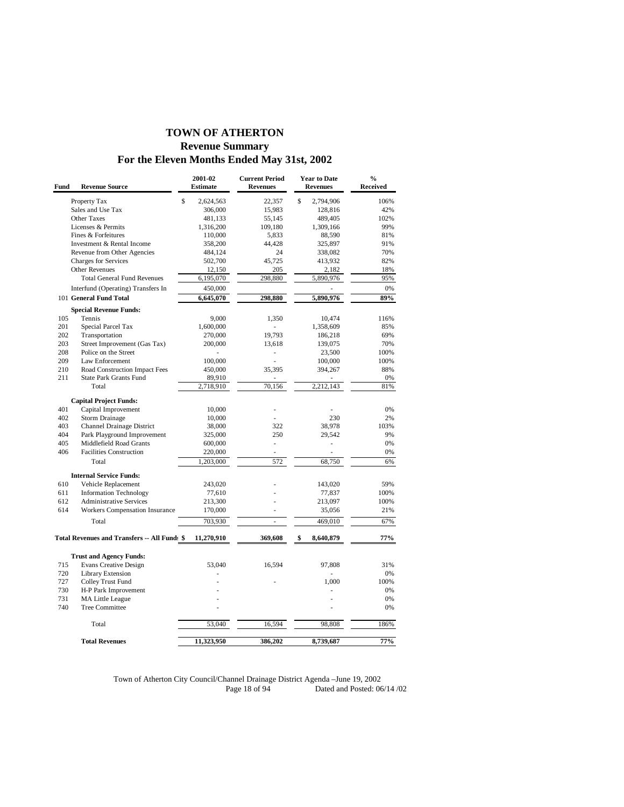# **TOWN OF ATHERTON Revenue Summary For the Eleven Months Ended May 31st, 2002**

| Fund | <b>Revenue Source</b>                        | 2001-02<br><b>Estimate</b> | <b>Current Period</b><br><b>Revenues</b> | <b>Year to Date</b><br><b>Revenues</b> | $\frac{0}{0}$<br><b>Received</b> |
|------|----------------------------------------------|----------------------------|------------------------------------------|----------------------------------------|----------------------------------|
|      | Property Tax                                 | \$<br>2,624,563            | 22,357                                   | \$<br>2,794,906                        | 106%                             |
|      | Sales and Use Tax                            | 306,000                    | 15,983                                   | 128,816                                | 42%                              |
|      | <b>Other Taxes</b>                           | 481,133                    | 55,145                                   | 489,405                                | 102%                             |
|      | Licenses & Permits                           | 1,316,200                  | 109,180                                  | 1,309,166                              | 99%                              |
|      | Fines & Forfeitures                          | 110,000                    | 5,833                                    | 88,590                                 | 81%                              |
|      | Investment & Rental Income                   | 358,200                    | 44,428                                   | 325,897                                | 91%                              |
|      | Revenue from Other Agencies                  | 484,124                    | 24                                       | 338,082                                | 70%                              |
|      | <b>Charges for Services</b>                  | 502,700                    | 45,725                                   | 413,932                                | 82%                              |
|      | <b>Other Revenues</b>                        | 12,150                     | 205                                      | 2,182                                  | 18%                              |
|      | <b>Total General Fund Revenues</b>           | 6,195,070                  | 298,880                                  | 5,890,976                              | 95%                              |
|      | Interfund (Operating) Transfers In           | 450,000                    |                                          |                                        | 0%                               |
|      | 101 General Fund Total                       | 6,645,070                  | 298,880                                  | 5,890,976                              | 89%                              |
|      | <b>Special Revenue Funds:</b>                |                            |                                          |                                        |                                  |
| 105  | Tennis                                       | 9,000                      | 1,350                                    | 10,474                                 | 116%                             |
| 201  | Special Parcel Tax                           | 1,600,000                  |                                          | 1,358,609                              | 85%                              |
| 202  | Transportation                               | 270,000                    | 19,793                                   | 186,218                                | 69%                              |
| 203  | Street Improvement (Gas Tax)                 | 200,000                    | 13,618                                   | 139,075                                | 70%                              |
| 208  | Police on the Street                         | L.                         | ä,                                       | 23,500                                 | 100%                             |
| 209  | Law Enforcement                              | 100,000                    |                                          | 100,000                                | 100%                             |
| 210  | Road Construction Impact Fees                | 450,000                    | 35,395                                   | 394,267                                | 88%                              |
| 211  | <b>State Park Grants Fund</b>                | 89,910                     |                                          |                                        | $0\%$                            |
|      | Total                                        | 2,718,910                  | 70,156                                   | 2,212,143                              | 81%                              |
|      | <b>Capital Project Funds:</b>                |                            |                                          |                                        |                                  |
| 401  | Capital Improvement                          | 10,000                     |                                          |                                        | 0%                               |
| 402  | <b>Storm Drainage</b>                        | 10,000                     |                                          | 230                                    | 2%                               |
| 403  | Channel Drainage District                    | 38,000                     | 322                                      | 38,978                                 | 103%                             |
| 404  | Park Playground Improvement                  | 325,000                    | 250                                      | 29,542                                 | 9%                               |
| 405  | Middlefield Road Grants                      | 600,000                    | ÷,                                       | L,                                     | 0%                               |
| 406  | <b>Facilities Construction</b>               | 220,000                    | ×.                                       | ä,                                     | $0\%$                            |
|      |                                              |                            | 572                                      |                                        | 6%                               |
|      | Total                                        | 1,203,000                  |                                          | 68,750                                 |                                  |
|      | <b>Internal Service Funds:</b>               |                            |                                          |                                        |                                  |
| 610  | Vehicle Replacement                          | 243,020                    |                                          | 143,020                                | 59%                              |
| 611  | <b>Information Technology</b>                | 77,610                     |                                          | 77,837                                 | 100%                             |
| 612  | <b>Administrative Services</b>               | 213,300                    |                                          | 213,097                                | 100%                             |
| 614  | Workers Compensation Insurance               | 170,000                    |                                          | 35,056                                 | 21%                              |
|      | Total                                        | 703,930                    | ä,                                       | 469,010                                | 67%                              |
|      | Total Revenues and Transfers -- All Funds \$ | 11,270,910                 | 369,608                                  | \$<br>8,640,879                        | 77%                              |
|      | <b>Trust and Agency Funds:</b>               |                            |                                          |                                        |                                  |
| 715  | <b>Evans Creative Design</b>                 | 53,040                     | 16,594                                   | 97,808                                 | 31%                              |
| 720  | <b>Library Extension</b>                     |                            |                                          |                                        | 0%                               |
| 727  |                                              |                            |                                          | 1,000                                  | 100%                             |
| 730  | Colley Trust Fund<br>H-P Park Improvement    |                            |                                          | ä,                                     | 0%                               |
| 731  | <b>MA Little League</b>                      |                            |                                          |                                        | 0%                               |
| 740  | <b>Tree Committee</b>                        |                            |                                          |                                        | 0%                               |
|      |                                              |                            |                                          |                                        |                                  |
|      | Total                                        | 53,040                     | 16,594                                   | 98,808                                 | 186%                             |
|      | <b>Total Revenues</b>                        | 11,323,950                 | 386,202                                  | 8,739,687                              | 77%                              |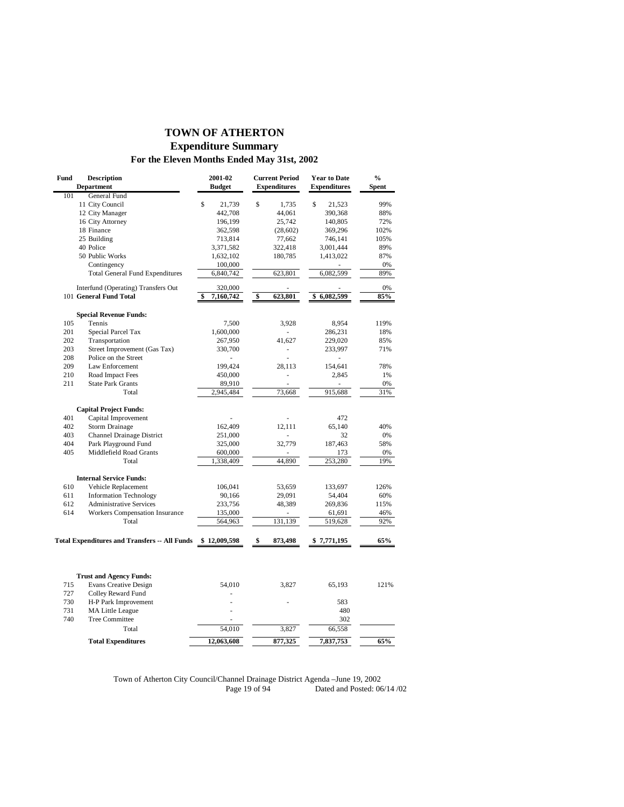# **TOWN OF ATHERTON Expenditure Summary For the Eleven Months Ended May 31st, 2002**

| Fund | <b>Description</b><br><b>Department</b>              | 2001-02<br><b>Budget</b> | <b>Current Period</b><br><b>Expenditures</b> | <b>Year to Date</b><br><b>Expenditures</b> | $\frac{0}{0}$<br><b>Spent</b> |
|------|------------------------------------------------------|--------------------------|----------------------------------------------|--------------------------------------------|-------------------------------|
| 101  | General Fund                                         |                          |                                              |                                            |                               |
|      | 11 City Council                                      | \$<br>21,739             | \$<br>1,735                                  | $\mathsf{\$}$<br>21,523                    | 99%                           |
|      | 12 City Manager                                      | 442,708                  | 44,061                                       | 390,368                                    | 88%                           |
|      | 16 City Attorney                                     | 196,199                  | 25,742                                       | 140,805                                    | 72%                           |
|      | 18 Finance                                           | 362,598                  | (28,602)                                     | 369,296                                    | 102%                          |
|      | 25 Building                                          | 713,814                  | 77,662                                       | 746,141                                    | 105%                          |
|      | 40 Police                                            | 3,371,582                | 322,418                                      | 3,001,444                                  | 89%                           |
|      | 50 Public Works                                      | 1,632,102                | 180,785                                      | 1,413,022                                  | 87%                           |
|      | Contingency                                          | 100,000                  |                                              |                                            | 0%                            |
|      | <b>Total General Fund Expenditures</b>               | 6,840,742                | 623,801                                      | 6,082,599                                  | 89%                           |
|      | Interfund (Operating) Transfers Out                  | 320,000                  |                                              |                                            | 0%                            |
|      | 101 General Fund Total                               | 7,160,742                | \$<br>623,801                                | 6,082,599<br>\$                            | 85%                           |
|      | <b>Special Revenue Funds:</b>                        |                          |                                              |                                            |                               |
| 105  | Tennis                                               | 7,500                    | 3,928                                        | 8,954                                      | 119%                          |
| 201  | Special Parcel Tax                                   | 1,600,000                |                                              | 286,231                                    | 18%                           |
| 202  | Transportation                                       | 267,950                  | 41,627                                       | 229,020                                    | 85%                           |
| 203  | Street Improvement (Gas Tax)                         | 330,700                  | ÷,                                           | 233,997                                    | 71%                           |
| 208  | Police on the Street                                 |                          | L                                            |                                            |                               |
| 209  | Law Enforcement                                      | 199,424                  | 28,113                                       | 154,641                                    | 78%                           |
| 210  | Road Impact Fees                                     | 450,000                  | ä,                                           | 2,845                                      | 1%                            |
| 211  | <b>State Park Grants</b>                             | 89,910                   | L.                                           |                                            | 0%                            |
|      | Total                                                | 2,945,484                | 73,668                                       | 915,688                                    | 31%                           |
|      |                                                      |                          |                                              |                                            |                               |
|      | <b>Capital Project Funds:</b>                        |                          |                                              |                                            |                               |
| 401  | Capital Improvement                                  |                          |                                              | 472                                        |                               |
| 402  | <b>Storm Drainage</b>                                | 162,409                  | 12,111                                       | 65,140                                     | 40%                           |
| 403  | Channel Drainage District                            | 251,000                  |                                              | 32                                         | 0%                            |
| 404  | Park Playground Fund                                 | 325,000                  | 32,779                                       | 187,463                                    | 58%                           |
| 405  | Middlefield Road Grants                              | 600,000                  |                                              | 173                                        | 0%                            |
|      | Total                                                | 1,338,409                | 44,890                                       | 253,280                                    | 19%                           |
|      | <b>Internal Service Funds:</b>                       |                          |                                              |                                            |                               |
| 610  | Vehicle Replacement                                  | 106,041                  | 53,659                                       | 133,697                                    | 126%                          |
| 611  | <b>Information Technology</b>                        | 90,166                   | 29,091                                       | 54,404                                     | 60%                           |
| 612  | <b>Administrative Services</b>                       | 233,756                  | 48,389                                       | 269,836                                    | 115%                          |
| 614  | Workers Compensation Insurance                       | 135,000                  |                                              | 61,691                                     | 46%                           |
|      | Total                                                | 564,963                  | 131,139                                      | 519,628                                    | 92%                           |
|      |                                                      |                          |                                              |                                            |                               |
|      | <b>Total Expenditures and Transfers -- All Funds</b> | \$12,009,598             | \$<br>873,498                                | \$7,771,195                                | 65%                           |
|      |                                                      |                          |                                              |                                            |                               |
|      | <b>Trust and Agency Funds:</b>                       |                          |                                              |                                            |                               |
| 715  | <b>Evans Creative Design</b>                         | 54,010                   | 3,827                                        | 65,193                                     | 121%                          |
| 727  | Colley Reward Fund                                   |                          |                                              |                                            |                               |
| 730  | H-P Park Improvement                                 |                          |                                              | 583                                        |                               |
| 731  | MA Little League                                     |                          |                                              | 480                                        |                               |
| 740  | <b>Tree Committee</b>                                |                          |                                              | 302                                        |                               |
|      | Total                                                | 54,010                   | 3,827                                        | 66,558                                     |                               |
|      | <b>Total Expenditures</b>                            | 12,063,608               | 877,325                                      | 7,837,753                                  | 65%                           |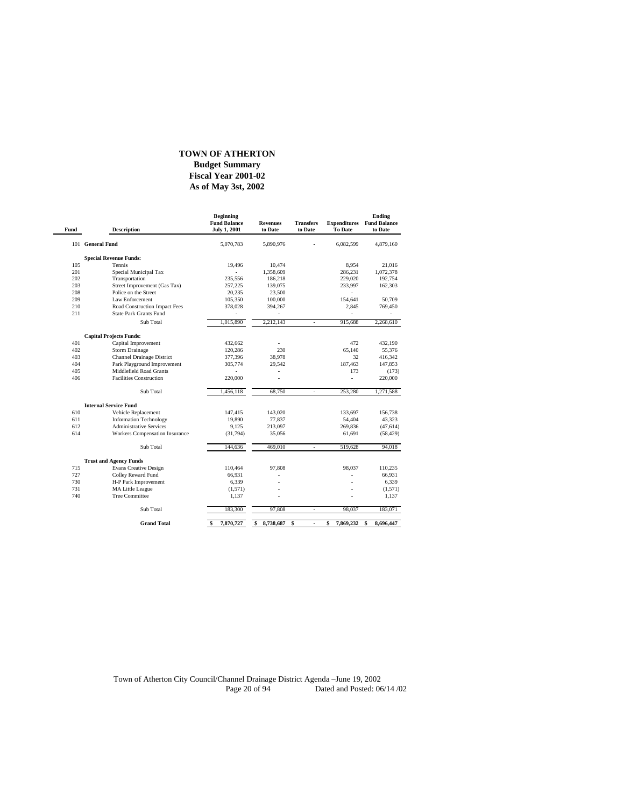# **TOWN OF ATHERTON**

### **As of May 3st, 2002 Fiscal Year 2001-02 Budget Summary**

| Fund | <b>Description</b>               | <b>Beginning</b><br><b>Fund Balance</b><br><b>July 1, 2001</b> | <b>Revenues</b><br>to Date | <b>Transfers</b><br>to Date | <b>Expenditures</b><br><b>To Date</b> | Ending<br><b>Fund Balance</b><br>to Date |
|------|----------------------------------|----------------------------------------------------------------|----------------------------|-----------------------------|---------------------------------------|------------------------------------------|
|      | 101 General Fund                 | 5,070,783                                                      | 5,890,976                  |                             | 6,082,599                             | 4,879,160                                |
|      | <b>Special Revenue Funds:</b>    |                                                                |                            |                             |                                       |                                          |
| 105  | Tennis                           | 19,496                                                         | 10,474                     |                             | 8.954                                 | 21,016                                   |
| 201  | Special Municipal Tax            |                                                                | 1,358,609                  |                             | 286,231                               | 1,072,378                                |
| 202  | Transportation                   | 235.556                                                        | 186,218                    |                             | 229,020                               | 192,754                                  |
| 203  | Street Improvement (Gas Tax)     | 257,225                                                        | 139,075                    |                             | 233,997                               | 162,303                                  |
| 208  | Police on the Street             | 20,235                                                         | 23,500                     |                             |                                       |                                          |
| 209  | Law Enforcement                  | 105,350                                                        | 100,000                    |                             | 154,641                               | 50,709                                   |
| 210  | Road Construction Impact Fees    | 378,028                                                        | 394,267                    |                             | 2,845                                 | 769,450                                  |
| 211  | <b>State Park Grants Fund</b>    |                                                                |                            |                             |                                       |                                          |
|      | Sub Total                        | 1,015,890                                                      | 2,212,143                  |                             | 915,688                               | 2,268,610                                |
|      | <b>Capital Projects Funds:</b>   |                                                                |                            |                             |                                       |                                          |
| 401  | Capital Improvement              | 432,662                                                        | ٠                          |                             | 472                                   | 432,190                                  |
| 402  | <b>Storm Drainage</b>            | 120,286                                                        | 230                        |                             | 65,140                                | 55,376                                   |
| 403  | <b>Channel Drainage District</b> | 377,396                                                        | 38,978                     |                             | 32                                    | 416,342                                  |
| 404  | Park Playground Improvement      | 305,774                                                        | 29,542                     |                             | 187,463                               | 147,853                                  |
| 405  | Middlefield Road Grants          |                                                                |                            |                             | 173                                   | (173)                                    |
| 406  | <b>Facilities Construction</b>   | 220,000                                                        |                            |                             | ٠                                     | 220,000                                  |
|      | Sub Total                        | 1,456,118                                                      | 68,750                     | $\bar{a}$                   | 253,280                               | 1,271,588                                |
|      | <b>Internal Service Fund</b>     |                                                                |                            |                             |                                       |                                          |
| 610  | Vehicle Replacement              | 147,415                                                        | 143,020                    |                             | 133,697                               | 156,738                                  |
| 611  | <b>Information Technology</b>    | 19,890                                                         | 77,837                     |                             | 54,404                                | 43,323                                   |
| 612  | <b>Administrative Services</b>   | 9,125                                                          | 213,097                    |                             | 269,836                               | (47, 614)                                |
| 614  | Workers Compensation Insurance   | (31,794)                                                       | 35,056                     |                             | 61,691                                | (58, 429)                                |
|      | Sub Total                        | 144,636                                                        | 469,010                    | $\omega$                    | 519,628                               | 94,018                                   |
|      | <b>Trust and Agency Funds</b>    |                                                                |                            |                             |                                       |                                          |
| 715  | <b>Evans Creative Design</b>     | 110,464                                                        | 97,808                     |                             | 98,037                                | 110,235                                  |
| 727  | Colley Reward Fund               | 66,931                                                         |                            |                             |                                       | 66,931                                   |
| 730  | H-P Park Improvement             | 6,339                                                          |                            |                             |                                       | 6,339                                    |
| 731  | <b>MA Little League</b>          | (1,571)                                                        |                            |                             |                                       | (1,571)                                  |
| 740  | <b>Tree Committee</b>            | 1,137                                                          |                            |                             |                                       | 1,137                                    |
|      | Sub Total                        | 183,300                                                        | 97,808                     | $\overline{\phantom{a}}$    | 98,037                                | 183,071                                  |
|      | <b>Grand Total</b>               | 7,870,727<br>\$                                                | 8,738,687<br>\$            | \$<br>$\blacksquare$        | 7,869,232<br>\$                       | \$<br>8,696,447                          |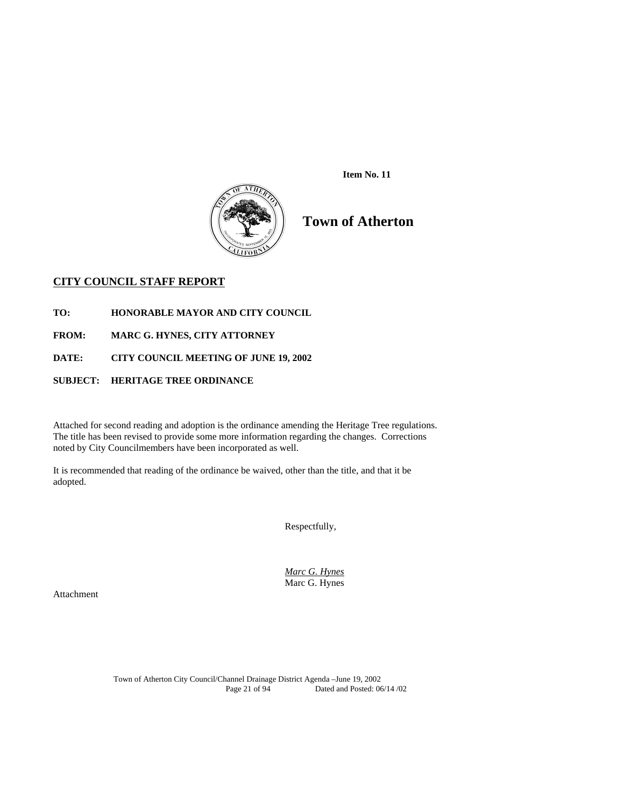

 **Item No. 11** 

# **Town of Atherton**

# **CITY COUNCIL STAFF REPORT**

**TO: HONORABLE MAYOR AND CITY COUNCIL** 

**FROM: MARC G. HYNES, CITY ATTORNEY** 

**DATE: CITY COUNCIL MEETING OF JUNE 19, 2002** 

# **SUBJECT: HERITAGE TREE ORDINANCE**

Attached for second reading and adoption is the ordinance amending the Heritage Tree regulations. The title has been revised to provide some more information regarding the changes. Corrections noted by City Councilmembers have been incorporated as well.

It is recommended that reading of the ordinance be waived, other than the title, and that it be adopted.

Respectfully,

 *Marc G. Hynes* Marc G. Hynes

Attachment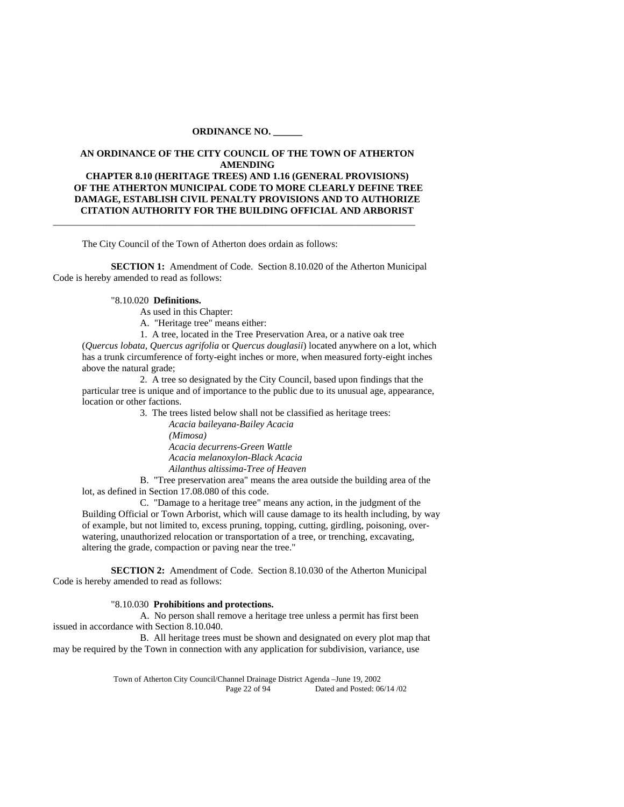#### **ORDINANCE NO. \_\_\_\_\_\_**

#### **AN ORDINANCE OF THE CITY COUNCIL OF THE TOWN OF ATHERTON AMENDING**

**CHAPTER 8.10 (HERITAGE TREES) AND 1.16 (GENERAL PROVISIONS) OF THE ATHERTON MUNICIPAL CODE TO MORE CLEARLY DEFINE TREE DAMAGE, ESTABLISH CIVIL PENALTY PROVISIONS AND TO AUTHORIZE CITATION AUTHORITY FOR THE BUILDING OFFICIAL AND ARBORIST** 

The City Council of the Town of Atherton does ordain as follows:

**SECTION 1:** Amendment of Code. Section 8.10.020 of the Atherton Municipal Code is hereby amended to read as follows:

\_\_\_\_\_\_\_\_\_\_\_\_\_\_\_\_\_\_\_\_\_\_\_\_\_\_\_\_\_\_\_\_\_\_\_\_\_\_\_\_\_\_\_\_\_\_\_\_\_\_\_\_\_\_\_\_\_\_\_\_\_\_\_\_\_\_\_\_\_\_\_\_\_\_\_

#### "8.10.020 **Definitions.**

As used in this Chapter:

A. "Heritage tree" means either:

1. A tree, located in the Tree Preservation Area, or a native oak tree

(*Quercus lobata, Quercus agrifolia* or *Quercus douglasii*) located anywhere on a lot, which has a trunk circumference of forty-eight inches or more, when measured forty-eight inches above the natural grade;

 2. A tree so designated by the City Council, based upon findings that the particular tree is unique and of importance to the public due to its unusual age, appearance, location or other factions.

3. The trees listed below shall not be classified as heritage trees:

 *Acacia baileyana-Bailey Acacia (Mimosa) Acacia decurrens-Green Wattle Acacia melanoxylon-Black Acacia Ailanthus altissima-Tree of Heaven*

 B. "Tree preservation area" means the area outside the building area of the lot, as defined in Section 17.08.080 of this code.

 C. "Damage to a heritage tree" means any action, in the judgment of the Building Official or Town Arborist, which will cause damage to its health including, by way of example, but not limited to, excess pruning, topping, cutting, girdling, poisoning, overwatering, unauthorized relocation or transportation of a tree, or trenching, excavating, altering the grade, compaction or paving near the tree."

**SECTION 2:** Amendment of Code. Section 8.10.030 of the Atherton Municipal Code is hereby amended to read as follows:

### "8.10.030 **Prohibitions and protections.**

 A. No person shall remove a heritage tree unless a permit has first been issued in accordance with Section 8.10.040.

 B. All heritage trees must be shown and designated on every plot map that may be required by the Town in connection with any application for subdivision, variance, use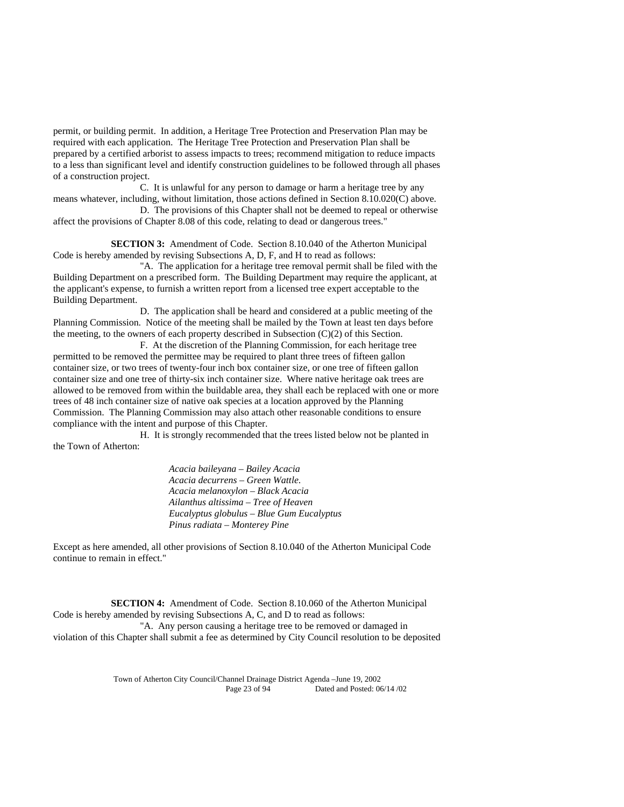permit, or building permit. In addition, a Heritage Tree Protection and Preservation Plan may be required with each application. The Heritage Tree Protection and Preservation Plan shall be prepared by a certified arborist to assess impacts to trees; recommend mitigation to reduce impacts to a less than significant level and identify construction guidelines to be followed through all phases of a construction project.

 C. It is unlawful for any person to damage or harm a heritage tree by any means whatever, including, without limitation, those actions defined in Section 8.10.020(C) above.

 D. The provisions of this Chapter shall not be deemed to repeal or otherwise affect the provisions of Chapter 8.08 of this code, relating to dead or dangerous trees."

 **SECTION 3:** Amendment of Code. Section 8.10.040 of the Atherton Municipal Code is hereby amended by revising Subsections A, D, F, and H to read as follows:

 "A. The application for a heritage tree removal permit shall be filed with the Building Department on a prescribed form. The Building Department may require the applicant, at the applicant's expense, to furnish a written report from a licensed tree expert acceptable to the Building Department.

 D. The application shall be heard and considered at a public meeting of the Planning Commission. Notice of the meeting shall be mailed by the Town at least ten days before the meeting, to the owners of each property described in Subsection  $(C)(2)$  of this Section.

 F. At the discretion of the Planning Commission, for each heritage tree permitted to be removed the permittee may be required to plant three trees of fifteen gallon container size, or two trees of twenty-four inch box container size, or one tree of fifteen gallon container size and one tree of thirty-six inch container size. Where native heritage oak trees are allowed to be removed from within the buildable area, they shall each be replaced with one or more trees of 48 inch container size of native oak species at a location approved by the Planning Commission. The Planning Commission may also attach other reasonable conditions to ensure compliance with the intent and purpose of this Chapter.

 H. It is strongly recommended that the trees listed below not be planted in the Town of Atherton:

> *Acacia baileyana – Bailey Acacia Acacia decurrens – Green Wattle*.  *Acacia melanoxylon – Black Acacia Ailanthus altissima – Tree of Heaven Eucalyptus globulus – Blue Gum Eucalyptus Pinus radiata – Monterey Pine*

Except as here amended, all other provisions of Section 8.10.040 of the Atherton Municipal Code continue to remain in effect."

 **SECTION 4:** Amendment of Code. Section 8.10.060 of the Atherton Municipal Code is hereby amended by revising Subsections A, C, and D to read as follows: "A. Any person causing a heritage tree to be removed or damaged in violation of this Chapter shall submit a fee as determined by City Council resolution to be deposited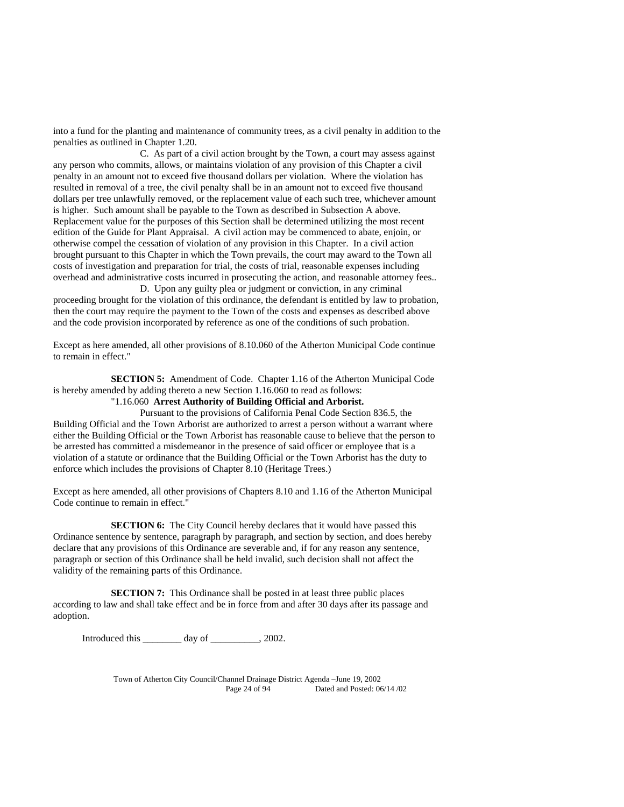into a fund for the planting and maintenance of community trees, as a civil penalty in addition to the penalties as outlined in Chapter 1.20.

 C. As part of a civil action brought by the Town, a court may assess against any person who commits, allows, or maintains violation of any provision of this Chapter a civil penalty in an amount not to exceed five thousand dollars per violation. Where the violation has resulted in removal of a tree, the civil penalty shall be in an amount not to exceed five thousand dollars per tree unlawfully removed, or the replacement value of each such tree, whichever amount is higher. Such amount shall be payable to the Town as described in Subsection A above. Replacement value for the purposes of this Section shall be determined utilizing the most recent edition of the Guide for Plant Appraisal. A civil action may be commenced to abate, enjoin, or otherwise compel the cessation of violation of any provision in this Chapter. In a civil action brought pursuant to this Chapter in which the Town prevails, the court may award to the Town all costs of investigation and preparation for trial, the costs of trial, reasonable expenses including overhead and administrative costs incurred in prosecuting the action, and reasonable attorney fees..

 D. Upon any guilty plea or judgment or conviction, in any criminal proceeding brought for the violation of this ordinance, the defendant is entitled by law to probation, then the court may require the payment to the Town of the costs and expenses as described above and the code provision incorporated by reference as one of the conditions of such probation.

Except as here amended, all other provisions of 8.10.060 of the Atherton Municipal Code continue to remain in effect."

 **SECTION 5:** Amendment of Code. Chapter 1.16 of the Atherton Municipal Code is hereby amended by adding thereto a new Section 1.16.060 to read as follows:

# "1.16.060 **Arrest Authority of Building Official and Arborist.**

 Pursuant to the provisions of California Penal Code Section 836.5, the Building Official and the Town Arborist are authorized to arrest a person without a warrant where either the Building Official or the Town Arborist has reasonable cause to believe that the person to be arrested has committed a misdemeanor in the presence of said officer or employee that is a violation of a statute or ordinance that the Building Official or the Town Arborist has the duty to enforce which includes the provisions of Chapter 8.10 (Heritage Trees.)

Except as here amended, all other provisions of Chapters 8.10 and 1.16 of the Atherton Municipal Code continue to remain in effect."

**SECTION 6:** The City Council hereby declares that it would have passed this Ordinance sentence by sentence, paragraph by paragraph, and section by section, and does hereby declare that any provisions of this Ordinance are severable and, if for any reason any sentence, paragraph or section of this Ordinance shall be held invalid, such decision shall not affect the validity of the remaining parts of this Ordinance.

**SECTION 7:** This Ordinance shall be posted in at least three public places according to law and shall take effect and be in force from and after 30 days after its passage and adoption.

Introduced this \_\_\_\_\_\_\_\_ day of \_\_\_\_\_\_\_\_\_\_, 2002.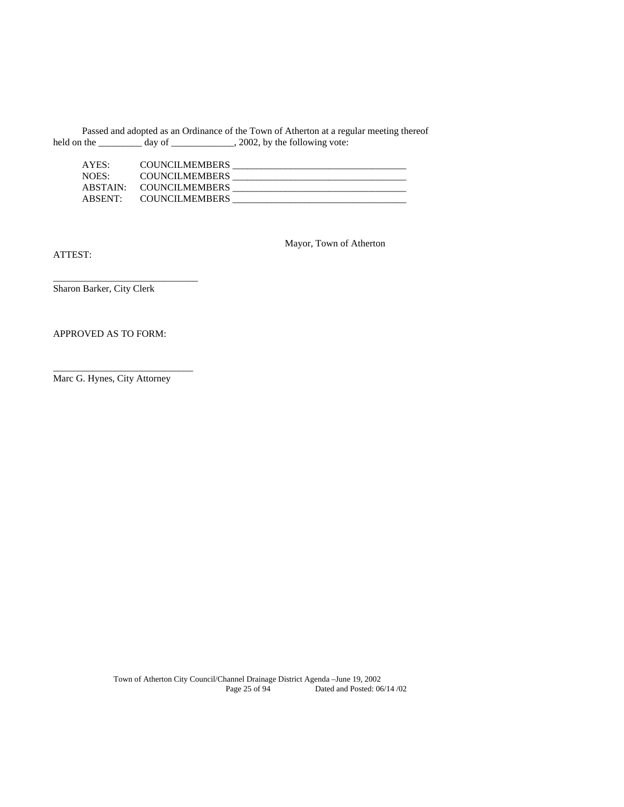Passed and adopted as an Ordinance of the Town of Atherton at a regular meeting thereof held on the \_\_\_\_\_\_\_\_\_\_ day of \_\_\_\_\_\_\_\_\_\_\_\_\_, 2002, by the following vote:

| AYES:    | <b>COUNCILMEMBERS</b> |  |
|----------|-----------------------|--|
| NOES:    | <b>COUNCILMEMBERS</b> |  |
| ABSTAIN: | <b>COUNCILMEMBERS</b> |  |
| ABSENT:  | <b>COUNCILMEMBERS</b> |  |

ATTEST:

Mayor, Town of Atherton

Sharon Barker, City Clerk

\_\_\_\_\_\_\_\_\_\_\_\_\_\_\_\_\_\_\_\_\_\_\_\_\_\_\_\_\_\_

# APPROVED AS TO FORM:

Marc G. Hynes, City Attorney

\_\_\_\_\_\_\_\_\_\_\_\_\_\_\_\_\_\_\_\_\_\_\_\_\_\_\_\_\_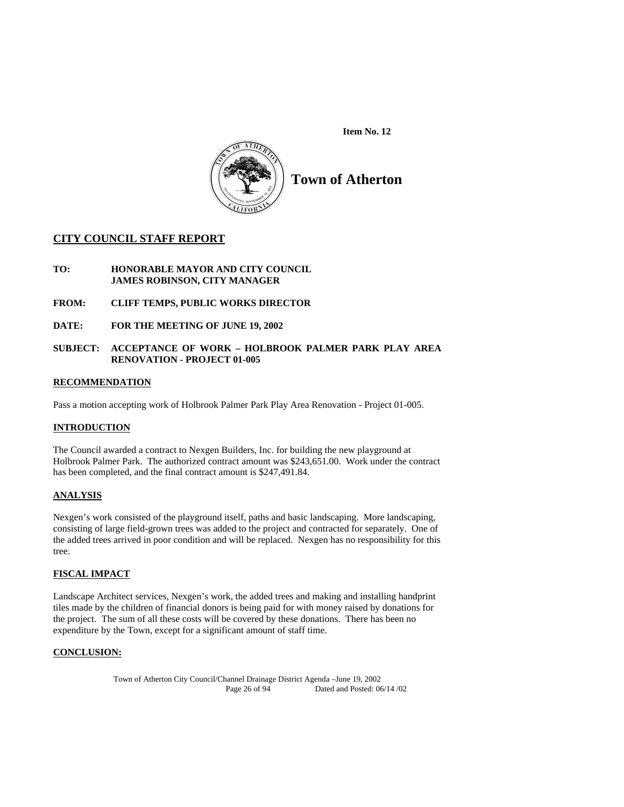**Item No. 12** 



**Town of Atherton** 

# **CITY COUNCIL STAFF REPORT**

- **TO: HONORABLE MAYOR AND CITY COUNCIL JAMES ROBINSON, CITY MANAGER**
- **FROM: CLIFF TEMPS, PUBLIC WORKS DIRECTOR**
- **DATE: FOR THE MEETING OF JUNE 19, 2002**

# **SUBJECT: ACCEPTANCE OF WORK – HOLBROOK PALMER PARK PLAY AREA RENOVATION - PROJECT 01-005**

# **RECOMMENDATION**

Pass a motion accepting work of Holbrook Palmer Park Play Area Renovation - Project 01-005.

# **INTRODUCTION**

The Council awarded a contract to Nexgen Builders, Inc. for building the new playground at Holbrook Palmer Park. The authorized contract amount was \$243,651.00. Work under the contract has been completed, and the final contract amount is \$247,491.84.

# **ANALYSIS**

Nexgen's work consisted of the playground itself, paths and basic landscaping. More landscaping, consisting of large field-grown trees was added to the project and contracted for separately. One of the added trees arrived in poor condition and will be replaced. Nexgen has no responsibility for this tree.

# **FISCAL IMPACT**

Landscape Architect services, Nexgen's work, the added trees and making and installing handprint tiles made by the children of financial donors is being paid for with money raised by donations for the project. The sum of all these costs will be covered by these donations. There has been no expenditure by the Town, except for a significant amount of staff time.

# **CONCLUSION:**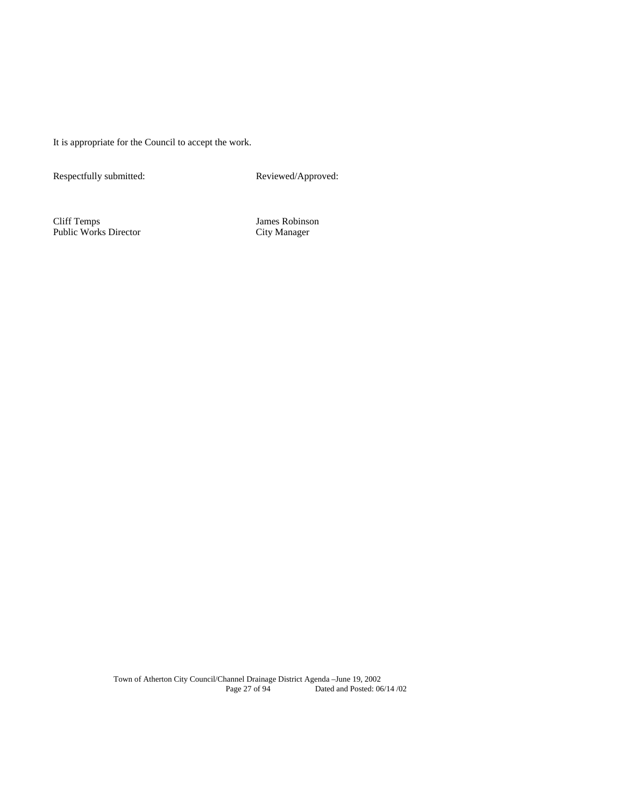It is appropriate for the Council to accept the work.

Respectfully submitted: Reviewed/Approved:

Cliff Temps James Robinson Public Works Director City Manager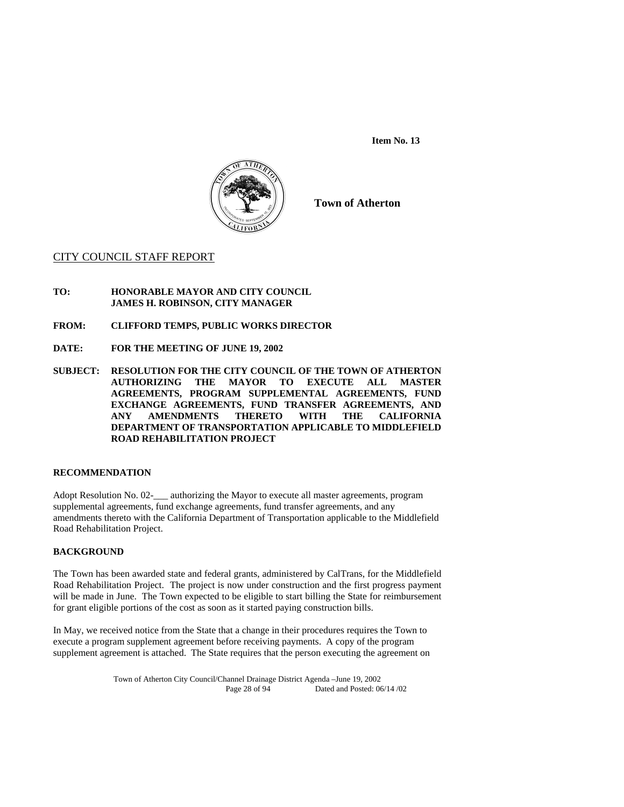**Item No. 13** 



**Town of Atherton** 

# CITY COUNCIL STAFF REPORT

- **TO: HONORABLE MAYOR AND CITY COUNCIL JAMES H. ROBINSON, CITY MANAGER**
- **FROM: CLIFFORD TEMPS, PUBLIC WORKS DIRECTOR**
- **DATE: FOR THE MEETING OF JUNE 19, 2002**
- **SUBJECT: RESOLUTION FOR THE CITY COUNCIL OF THE TOWN OF ATHERTON AUTHORIZING THE MAYOR TO EXECUTE ALL MASTER AGREEMENTS, PROGRAM SUPPLEMENTAL AGREEMENTS, FUND EXCHANGE AGREEMENTS, FUND TRANSFER AGREEMENTS, AND ANY AMENDMENTS THERETO WITH THE CALIFORNIA DEPARTMENT OF TRANSPORTATION APPLICABLE TO MIDDLEFIELD ROAD REHABILITATION PROJECT**

# **RECOMMENDATION**

Adopt Resolution No. 02-\_\_\_ authorizing the Mayor to execute all master agreements, program supplemental agreements, fund exchange agreements, fund transfer agreements, and any amendments thereto with the California Department of Transportation applicable to the Middlefield Road Rehabilitation Project.

#### **BACKGROUND**

The Town has been awarded state and federal grants, administered by CalTrans, for the Middlefield Road Rehabilitation Project. The project is now under construction and the first progress payment will be made in June. The Town expected to be eligible to start billing the State for reimbursement for grant eligible portions of the cost as soon as it started paying construction bills.

In May, we received notice from the State that a change in their procedures requires the Town to execute a program supplement agreement before receiving payments. A copy of the program supplement agreement is attached. The State requires that the person executing the agreement on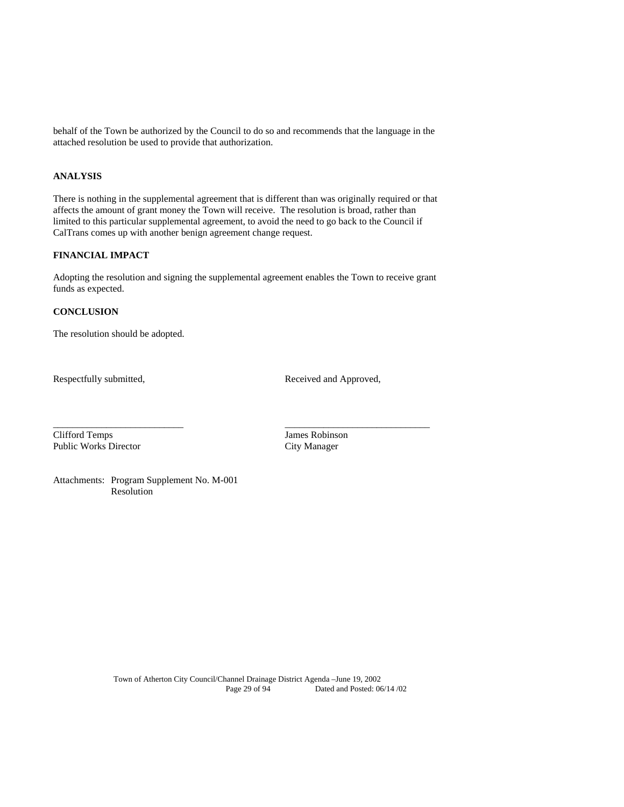behalf of the Town be authorized by the Council to do so and recommends that the language in the attached resolution be used to provide that authorization.

# **ANALYSIS**

There is nothing in the supplemental agreement that is different than was originally required or that affects the amount of grant money the Town will receive. The resolution is broad, rather than limited to this particular supplemental agreement, to avoid the need to go back to the Council if CalTrans comes up with another benign agreement change request.

# **FINANCIAL IMPACT**

Adopting the resolution and signing the supplemental agreement enables the Town to receive grant funds as expected.

\_\_\_\_\_\_\_\_\_\_\_\_\_\_\_\_\_\_\_\_\_\_\_\_\_\_\_ \_\_\_\_\_\_\_\_\_\_\_\_\_\_\_\_\_\_\_\_\_\_\_\_\_\_\_\_\_\_

# **CONCLUSION**

The resolution should be adopted.

Respectfully submitted, Received and Approved,

Clifford Temps James Robinson Public Works Director City Manager

Attachments: Program Supplement No. M-001 Resolution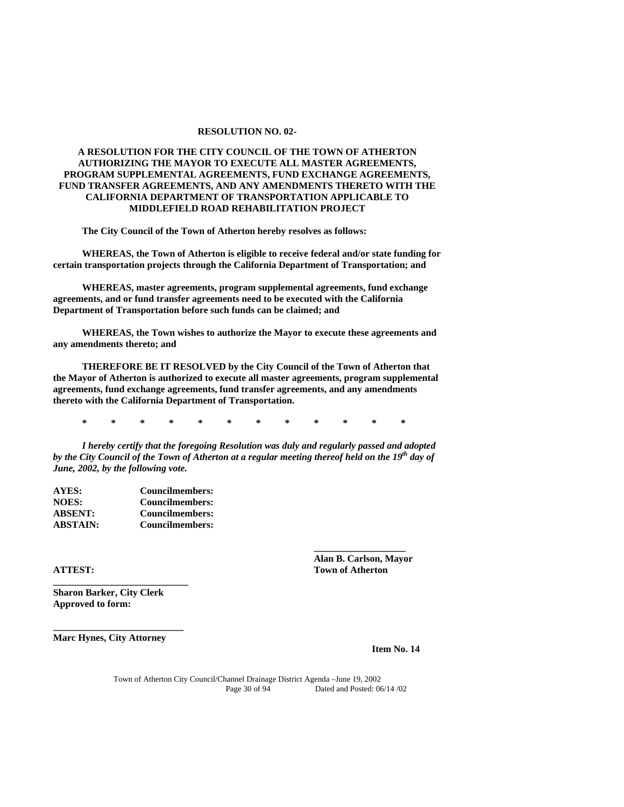#### **RESOLUTION NO. 02-**

# **A RESOLUTION FOR THE CITY COUNCIL OF THE TOWN OF ATHERTON AUTHORIZING THE MAYOR TO EXECUTE ALL MASTER AGREEMENTS, PROGRAM SUPPLEMENTAL AGREEMENTS, FUND EXCHANGE AGREEMENTS, FUND TRANSFER AGREEMENTS, AND ANY AMENDMENTS THERETO WITH THE CALIFORNIA DEPARTMENT OF TRANSPORTATION APPLICABLE TO MIDDLEFIELD ROAD REHABILITATION PROJECT**

 **The City Council of the Town of Atherton hereby resolves as follows:** 

 **WHEREAS, the Town of Atherton is eligible to receive federal and/or state funding for certain transportation projects through the California Department of Transportation; and** 

 **WHEREAS, master agreements, program supplemental agreements, fund exchange agreements, and or fund transfer agreements need to be executed with the California Department of Transportation before such funds can be claimed; and** 

 **WHEREAS, the Town wishes to authorize the Mayor to execute these agreements and any amendments thereto; and** 

 **THEREFORE BE IT RESOLVED by the City Council of the Town of Atherton that the Mayor of Atherton is authorized to execute all master agreements, program supplemental agreements, fund exchange agreements, fund transfer agreements, and any amendments thereto with the California Department of Transportation.** 

 **\* \* \* \* \* \* \* \* \* \* \* \*** 

*I hereby certify that the foregoing Resolution was duly and regularly passed and adopted by the City Council of the Town of Atherton at a regular meeting thereof held on the 19th day of June, 2002, by the following vote.* 

 **\_\_\_\_\_\_\_\_\_\_\_\_\_\_\_\_\_\_\_** 

| <b>AYES:</b>    | Councilmembers: |
|-----------------|-----------------|
| <b>NOES:</b>    | Councilmembers: |
| <b>ABSENT:</b>  | Councilmembers: |
| <b>ABSTAIN:</b> | Councilmembers: |

**Sharon Barker, City Clerk Approved to form:** 

**\_\_\_\_\_\_\_\_\_\_\_\_\_\_\_\_\_\_\_\_\_\_\_\_\_\_\_\_** 

**\_\_\_\_\_\_\_\_\_\_\_\_\_\_\_\_\_\_\_\_\_\_\_\_\_\_\_ Marc Hynes, City Attorney** 

 **Alan B. Carlson, Mayor ATTEST:** Town of Atherton **Town of Atherton** 

**Item No. 14**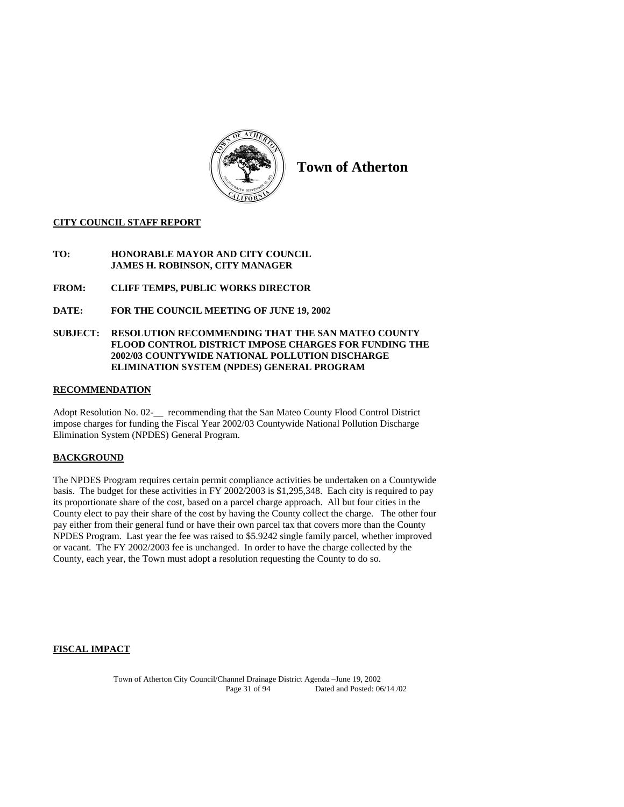

**Town of Atherton** 

# **CITY COUNCIL STAFF REPORT**

- **TO: HONORABLE MAYOR AND CITY COUNCIL JAMES H. ROBINSON, CITY MANAGER**
- **FROM: CLIFF TEMPS, PUBLIC WORKS DIRECTOR**
- **DATE: FOR THE COUNCIL MEETING OF JUNE 19, 2002**

# **SUBJECT: RESOLUTION RECOMMENDING THAT THE SAN MATEO COUNTY FLOOD CONTROL DISTRICT IMPOSE CHARGES FOR FUNDING THE 2002/03 COUNTYWIDE NATIONAL POLLUTION DISCHARGE ELIMINATION SYSTEM (NPDES) GENERAL PROGRAM**

# **RECOMMENDATION**

Adopt Resolution No. 02-\_\_ recommending that the San Mateo County Flood Control District impose charges for funding the Fiscal Year 2002/03 Countywide National Pollution Discharge Elimination System (NPDES) General Program.

# **BACKGROUND**

The NPDES Program requires certain permit compliance activities be undertaken on a Countywide basis. The budget for these activities in FY 2002/2003 is \$1,295,348. Each city is required to pay its proportionate share of the cost, based on a parcel charge approach. All but four cities in the County elect to pay their share of the cost by having the County collect the charge. The other four pay either from their general fund or have their own parcel tax that covers more than the County NPDES Program. Last year the fee was raised to \$5.9242 single family parcel, whether improved or vacant. The FY 2002/2003 fee is unchanged. In order to have the charge collected by the County, each year, the Town must adopt a resolution requesting the County to do so.

# **FISCAL IMPACT**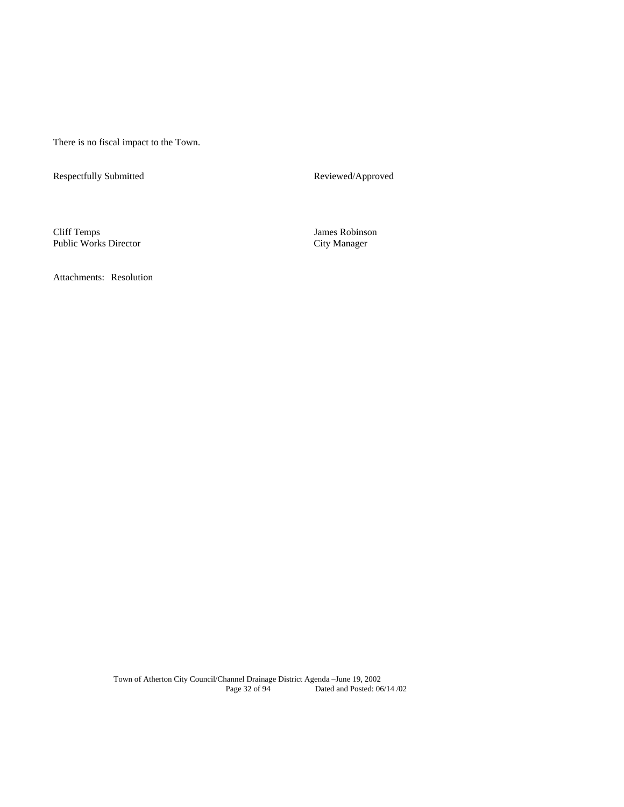There is no fiscal impact to the Town.

Respectfully Submitted Reviewed/Approved

Cliff Temps James Robinson Public Works Director

Attachments: Resolution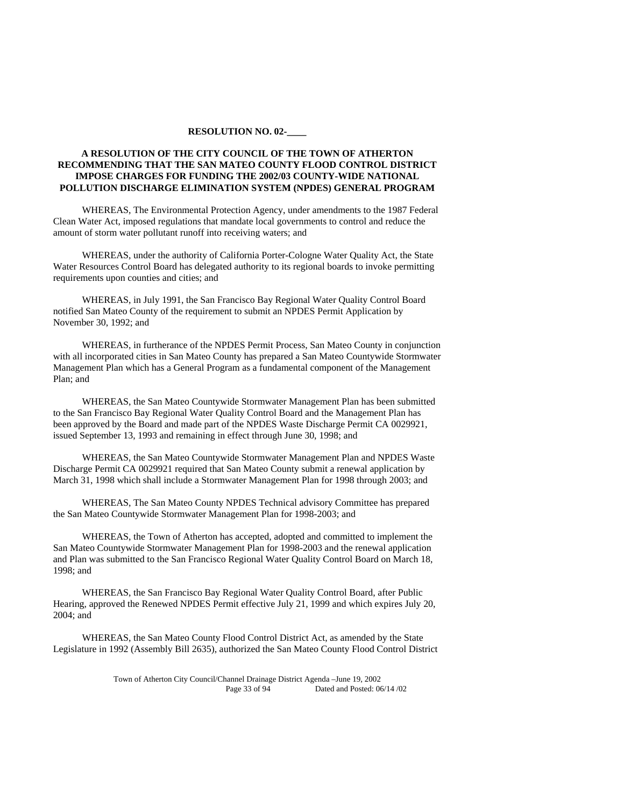#### **RESOLUTION NO. 02-\_\_\_\_**

# **A RESOLUTION OF THE CITY COUNCIL OF THE TOWN OF ATHERTON RECOMMENDING THAT THE SAN MATEO COUNTY FLOOD CONTROL DISTRICT IMPOSE CHARGES FOR FUNDING THE 2002/03 COUNTY-WIDE NATIONAL POLLUTION DISCHARGE ELIMINATION SYSTEM (NPDES) GENERAL PROGRAM**

 WHEREAS, The Environmental Protection Agency, under amendments to the 1987 Federal Clean Water Act, imposed regulations that mandate local governments to control and reduce the amount of storm water pollutant runoff into receiving waters; and

 WHEREAS, under the authority of California Porter-Cologne Water Quality Act, the State Water Resources Control Board has delegated authority to its regional boards to invoke permitting requirements upon counties and cities; and

 WHEREAS, in July 1991, the San Francisco Bay Regional Water Quality Control Board notified San Mateo County of the requirement to submit an NPDES Permit Application by November 30, 1992; and

 WHEREAS, in furtherance of the NPDES Permit Process, San Mateo County in conjunction with all incorporated cities in San Mateo County has prepared a San Mateo Countywide Stormwater Management Plan which has a General Program as a fundamental component of the Management Plan; and

 WHEREAS, the San Mateo Countywide Stormwater Management Plan has been submitted to the San Francisco Bay Regional Water Quality Control Board and the Management Plan has been approved by the Board and made part of the NPDES Waste Discharge Permit CA 0029921, issued September 13, 1993 and remaining in effect through June 30, 1998; and

 WHEREAS, the San Mateo Countywide Stormwater Management Plan and NPDES Waste Discharge Permit CA 0029921 required that San Mateo County submit a renewal application by March 31, 1998 which shall include a Stormwater Management Plan for 1998 through 2003; and

 WHEREAS, The San Mateo County NPDES Technical advisory Committee has prepared the San Mateo Countywide Stormwater Management Plan for 1998-2003; and

 WHEREAS, the Town of Atherton has accepted, adopted and committed to implement the San Mateo Countywide Stormwater Management Plan for 1998-2003 and the renewal application and Plan was submitted to the San Francisco Regional Water Quality Control Board on March 18, 1998; and

 WHEREAS, the San Francisco Bay Regional Water Quality Control Board, after Public Hearing, approved the Renewed NPDES Permit effective July 21, 1999 and which expires July 20, 2004; and

 WHEREAS, the San Mateo County Flood Control District Act, as amended by the State Legislature in 1992 (Assembly Bill 2635), authorized the San Mateo County Flood Control District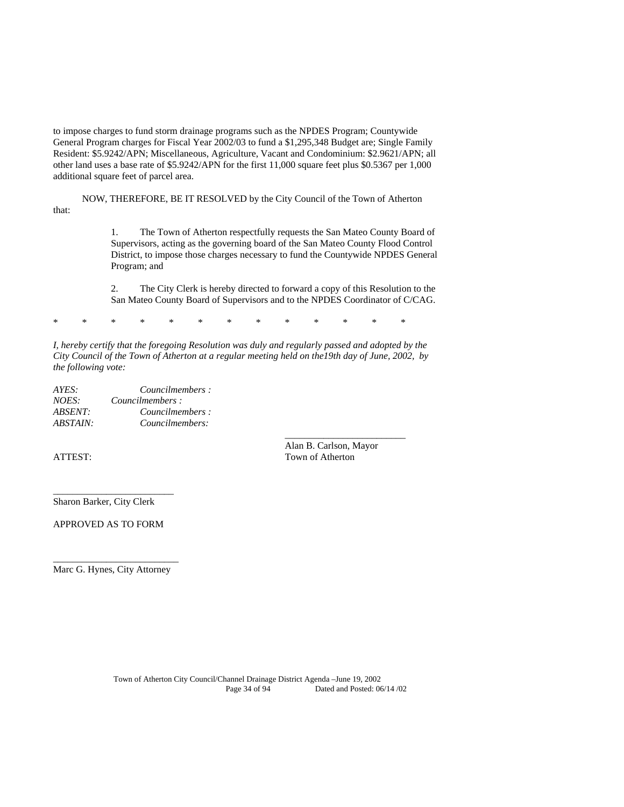to impose charges to fund storm drainage programs such as the NPDES Program; Countywide General Program charges for Fiscal Year 2002/03 to fund a \$1,295,348 Budget are; Single Family Resident: \$5.9242/APN; Miscellaneous, Agriculture, Vacant and Condominium: \$2.9621/APN; all other land uses a base rate of \$5.9242/APN for the first 11,000 square feet plus \$0.5367 per 1,000 additional square feet of parcel area.

 NOW, THEREFORE, BE IT RESOLVED by the City Council of the Town of Atherton that:

> 1. The Town of Atherton respectfully requests the San Mateo County Board of Supervisors, acting as the governing board of the San Mateo County Flood Control District, to impose those charges necessary to fund the Countywide NPDES General Program; and

> 2. The City Clerk is hereby directed to forward a copy of this Resolution to the San Mateo County Board of Supervisors and to the NPDES Coordinator of C/CAG.

\* \* \* \* \* \* \* \* \* \* \* \* \*

 $\frac{1}{\sqrt{2}}$  , and the set of the set of the set of the set of the set of the set of the set of the set of the set of the set of the set of the set of the set of the set of the set of the set of the set of the set of the

*I, hereby certify that the foregoing Resolution was duly and regularly passed and adopted by the City Council of the Town of Atherton at a regular meeting held on the19th day of June, 2002, by the following vote:*

| AYES:    | Councilmembers: |
|----------|-----------------|
| NOES:    | Councilmembers: |
| ABSENT:  | Councilmembers: |
| ABSTAIN: | Councilmembers: |

 Alan B. Carlson, Mayor ATTEST: Town of Atherton

Sharon Barker, City Clerk

\_\_\_\_\_\_\_\_\_\_\_\_\_\_\_\_\_\_\_\_\_\_\_\_\_

APPROVED AS TO FORM

\_\_\_\_\_\_\_\_\_\_\_\_\_\_\_\_\_\_\_\_\_\_\_\_\_\_ Marc G. Hynes, City Attorney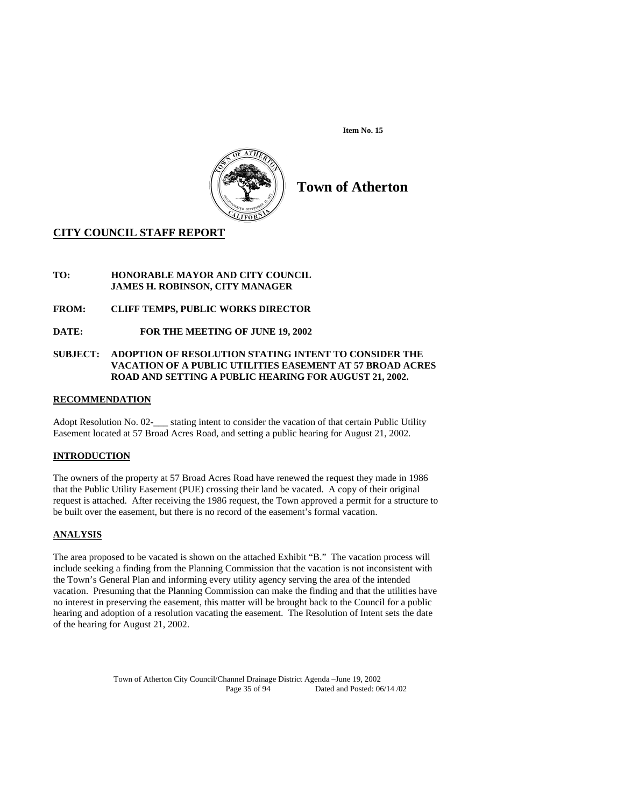**Item No. 15** 



# **Town of Atherton**

# **CITY COUNCIL STAFF REPORT**

# **TO: HONORABLE MAYOR AND CITY COUNCIL JAMES H. ROBINSON, CITY MANAGER**

# **FROM: CLIFF TEMPS, PUBLIC WORKS DIRECTOR**

# **DATE: FOR THE MEETING OF JUNE 19, 2002**

# **SUBJECT: ADOPTION OF RESOLUTION STATING INTENT TO CONSIDER THE VACATION OF A PUBLIC UTILITIES EASEMENT AT 57 BROAD ACRES ROAD AND SETTING A PUBLIC HEARING FOR AUGUST 21, 2002.**

# **RECOMMENDATION**

Adopt Resolution No. 02-<br>stating intent to consider the vacation of that certain Public Utility Easement located at 57 Broad Acres Road, and setting a public hearing for August 21, 2002.

# **INTRODUCTION**

The owners of the property at 57 Broad Acres Road have renewed the request they made in 1986 that the Public Utility Easement (PUE) crossing their land be vacated. A copy of their original request is attached. After receiving the 1986 request, the Town approved a permit for a structure to be built over the easement, but there is no record of the easement's formal vacation.

# **ANALYSIS**

The area proposed to be vacated is shown on the attached Exhibit "B." The vacation process will include seeking a finding from the Planning Commission that the vacation is not inconsistent with the Town's General Plan and informing every utility agency serving the area of the intended vacation. Presuming that the Planning Commission can make the finding and that the utilities have no interest in preserving the easement, this matter will be brought back to the Council for a public hearing and adoption of a resolution vacating the easement. The Resolution of Intent sets the date of the hearing for August 21, 2002.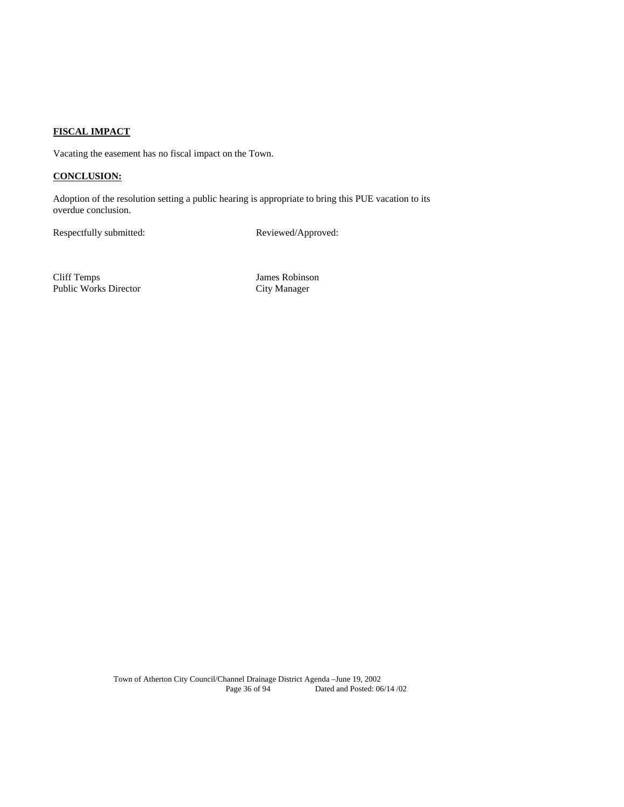# **FISCAL IMPACT**

Vacating the easement has no fiscal impact on the Town.

# **CONCLUSION:**

Adoption of the resolution setting a public hearing is appropriate to bring this PUE vacation to its overdue conclusion.

Respectfully submitted: Reviewed/Approved:

Cliff Temps James Robinson Public Works Director City Manager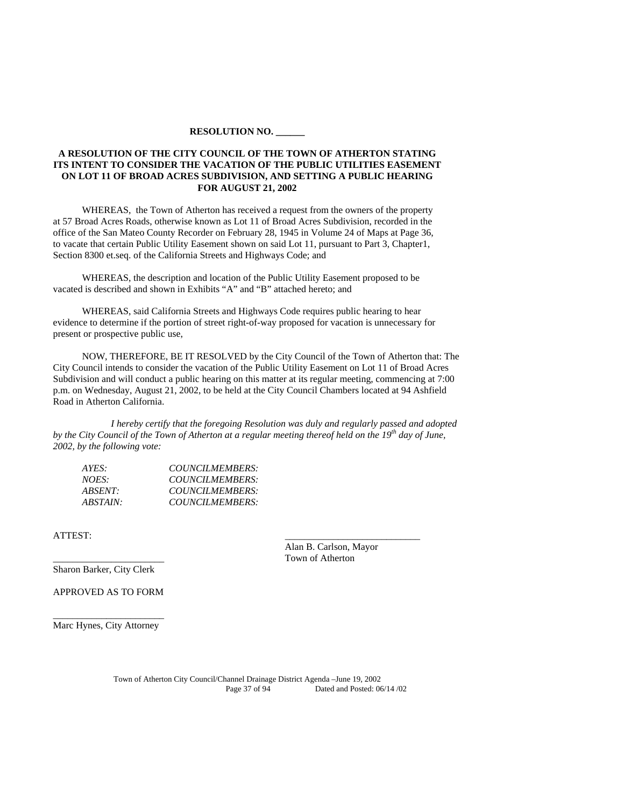#### **RESOLUTION NO. \_\_\_\_\_\_**

# **A RESOLUTION OF THE CITY COUNCIL OF THE TOWN OF ATHERTON STATING ITS INTENT TO CONSIDER THE VACATION OF THE PUBLIC UTILITIES EASEMENT ON LOT 11 OF BROAD ACRES SUBDIVISION, AND SETTING A PUBLIC HEARING FOR AUGUST 21, 2002**

WHEREAS, the Town of Atherton has received a request from the owners of the property at 57 Broad Acres Roads, otherwise known as Lot 11 of Broad Acres Subdivision, recorded in the office of the San Mateo County Recorder on February 28, 1945 in Volume 24 of Maps at Page 36, to vacate that certain Public Utility Easement shown on said Lot 11, pursuant to Part 3, Chapter1, Section 8300 et.seq. of the California Streets and Highways Code; and

WHEREAS, the description and location of the Public Utility Easement proposed to be vacated is described and shown in Exhibits "A" and "B" attached hereto; and

WHEREAS, said California Streets and Highways Code requires public hearing to hear evidence to determine if the portion of street right-of-way proposed for vacation is unnecessary for present or prospective public use,

NOW, THEREFORE, BE IT RESOLVED by the City Council of the Town of Atherton that: The City Council intends to consider the vacation of the Public Utility Easement on Lot 11 of Broad Acres Subdivision and will conduct a public hearing on this matter at its regular meeting, commencing at 7:00 p.m. on Wednesday, August 21, 2002, to be held at the City Council Chambers located at 94 Ashfield Road in Atherton California.

*I hereby certify that the foregoing Resolution was duly and regularly passed and adopted by the City Council of the Town of Atherton at a regular meeting thereof held on the 19th day of June, 2002, by the following vote:* 

| AYES:    | COUNCILMEMBERS: |
|----------|-----------------|
| NOES:    | COUNCILMEMBERS: |
| ABSENT:  | COUNCILMEMBERS: |
| ABSTAIN: | COUNCILMEMBERS: |

ATTEST: \_\_\_\_\_\_\_\_\_\_\_\_\_\_\_\_\_\_\_\_\_\_\_\_\_\_\_\_

 Alan B. Carlson, Mayor \_\_\_\_\_\_\_\_\_\_\_\_\_\_\_\_\_\_\_\_\_\_\_ Town of Atherton

Sharon Barker, City Clerk

APPROVED AS TO FORM

\_\_\_\_\_\_\_\_\_\_\_\_\_\_\_\_\_\_\_\_\_\_\_ Marc Hynes, City Attorney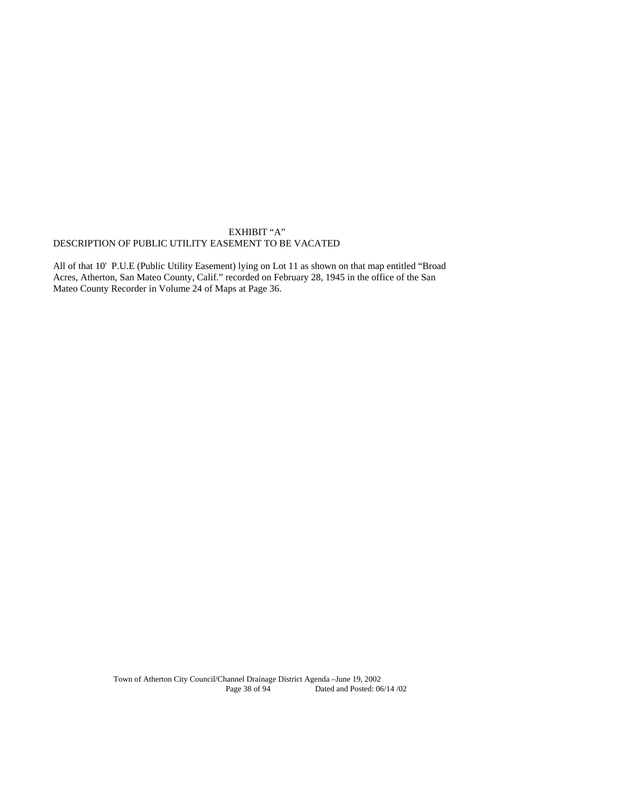# EXHIBIT "A" DESCRIPTION OF PUBLIC UTILITY EASEMENT TO BE VACATED

All of that 10' P.U.E (Public Utility Easement) lying on Lot 11 as shown on that map entitled "Broad Acres, Atherton, San Mateo County, Calif." recorded on February 28, 1945 in the office of the San Mateo County Recorder in Volume 24 of Maps at Page 36.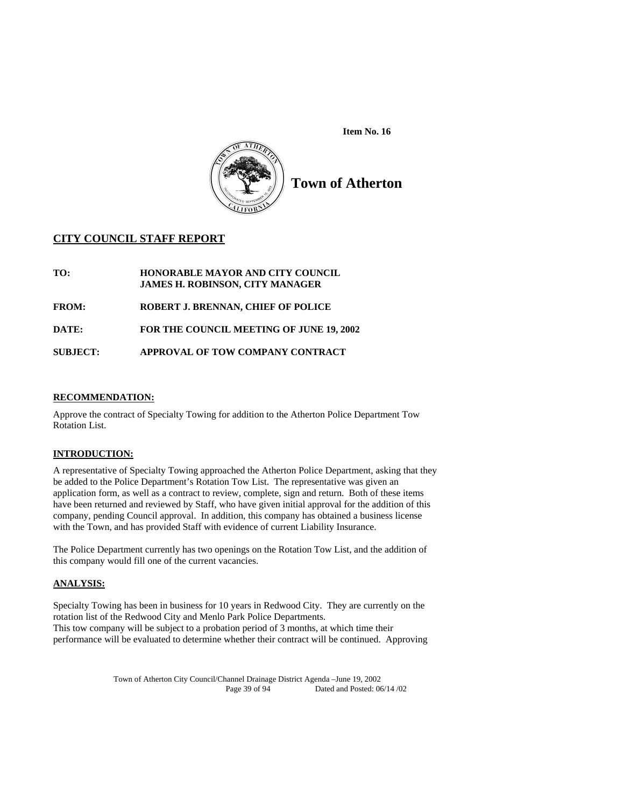



**Town of Atherton** 

# **CITY COUNCIL STAFF REPORT**

**TO: HONORABLE MAYOR AND CITY COUNCIL JAMES H. ROBINSON, CITY MANAGER FROM: ROBERT J. BRENNAN, CHIEF OF POLICE DATE: FOR THE COUNCIL MEETING OF JUNE 19, 2002 SUBJECT: APPROVAL OF TOW COMPANY CONTRACT** 

# **RECOMMENDATION:**

Approve the contract of Specialty Towing for addition to the Atherton Police Department Tow Rotation List.

# **INTRODUCTION:**

A representative of Specialty Towing approached the Atherton Police Department, asking that they be added to the Police Department's Rotation Tow List. The representative was given an application form, as well as a contract to review, complete, sign and return. Both of these items have been returned and reviewed by Staff, who have given initial approval for the addition of this company, pending Council approval. In addition, this company has obtained a business license with the Town, and has provided Staff with evidence of current Liability Insurance.

The Police Department currently has two openings on the Rotation Tow List, and the addition of this company would fill one of the current vacancies.

# **ANALYSIS:**

Specialty Towing has been in business for 10 years in Redwood City. They are currently on the rotation list of the Redwood City and Menlo Park Police Departments. This tow company will be subject to a probation period of 3 months, at which time their performance will be evaluated to determine whether their contract will be continued. Approving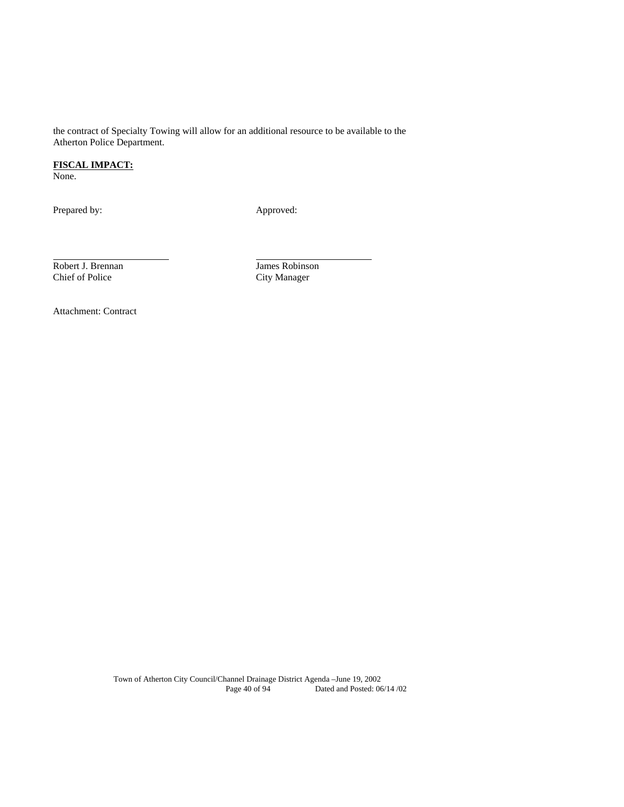the contract of Specialty Towing will allow for an additional resource to be available to the Atherton Police Department.

# **FISCAL IMPACT:**

None.

l

Prepared by: Approved:

Robert J. Brennan Maria James Robinson<br>
Chief of Police City Manager

City Manager

Attachment: Contract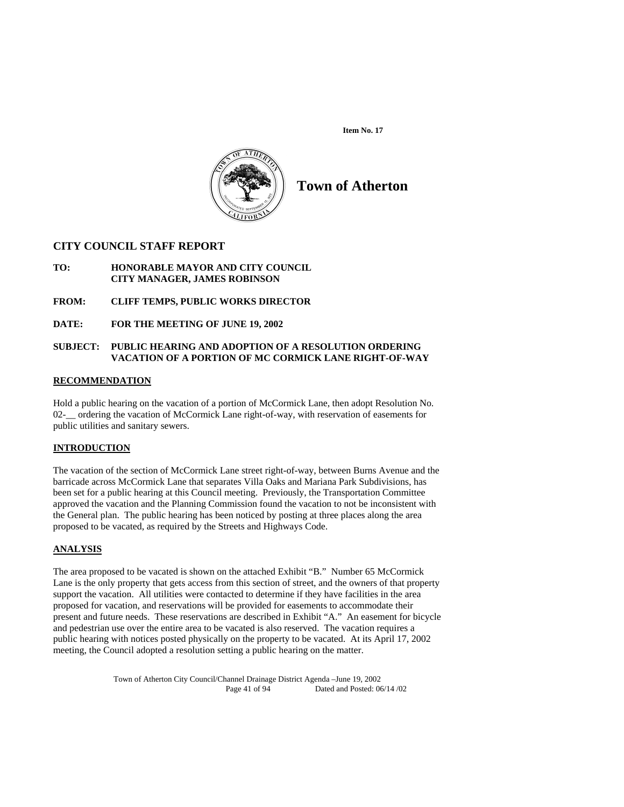**Item No. 17** 



# **Town of Atherton**

# **CITY COUNCIL STAFF REPORT**

- **TO: HONORABLE MAYOR AND CITY COUNCIL CITY MANAGER, JAMES ROBINSON**
- **FROM: CLIFF TEMPS, PUBLIC WORKS DIRECTOR**
- **DATE: FOR THE MEETING OF JUNE 19, 2002**

# **SUBJECT: PUBLIC HEARING AND ADOPTION OF A RESOLUTION ORDERING VACATION OF A PORTION OF MC CORMICK LANE RIGHT-OF-WAY**

## **RECOMMENDATION**

Hold a public hearing on the vacation of a portion of McCormick Lane, then adopt Resolution No. 02- ordering the vacation of McCormick Lane right-of-way, with reservation of easements for public utilities and sanitary sewers.

# **INTRODUCTION**

 The vacation of the section of McCormick Lane street right-of-way, between Burns Avenue and the barricade across McCormick Lane that separates Villa Oaks and Mariana Park Subdivisions, has been set for a public hearing at this Council meeting. Previously, the Transportation Committee approved the vacation and the Planning Commission found the vacation to not be inconsistent with the General plan. The public hearing has been noticed by posting at three places along the area proposed to be vacated, as required by the Streets and Highways Code.

# **ANALYSIS**

The area proposed to be vacated is shown on the attached Exhibit "B." Number 65 McCormick Lane is the only property that gets access from this section of street, and the owners of that property support the vacation. All utilities were contacted to determine if they have facilities in the area proposed for vacation, and reservations will be provided for easements to accommodate their present and future needs. These reservations are described in Exhibit "A." An easement for bicycle and pedestrian use over the entire area to be vacated is also reserved. The vacation requires a public hearing with notices posted physically on the property to be vacated. At its April 17, 2002 meeting, the Council adopted a resolution setting a public hearing on the matter.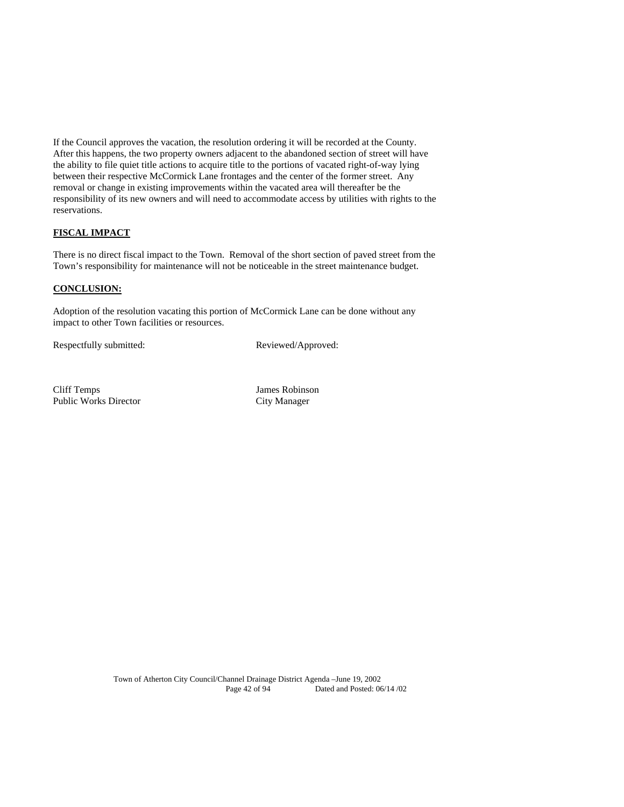If the Council approves the vacation, the resolution ordering it will be recorded at the County. After this happens, the two property owners adjacent to the abandoned section of street will have the ability to file quiet title actions to acquire title to the portions of vacated right-of-way lying between their respective McCormick Lane frontages and the center of the former street. Any removal or change in existing improvements within the vacated area will thereafter be the responsibility of its new owners and will need to accommodate access by utilities with rights to the reservations.

# **FISCAL IMPACT**

There is no direct fiscal impact to the Town. Removal of the short section of paved street from the Town's responsibility for maintenance will not be noticeable in the street maintenance budget.

# **CONCLUSION:**

Adoption of the resolution vacating this portion of McCormick Lane can be done without any impact to other Town facilities or resources.

Respectfully submitted: Reviewed/Approved:

Cliff Temps James Robinson Public Works Director City Manager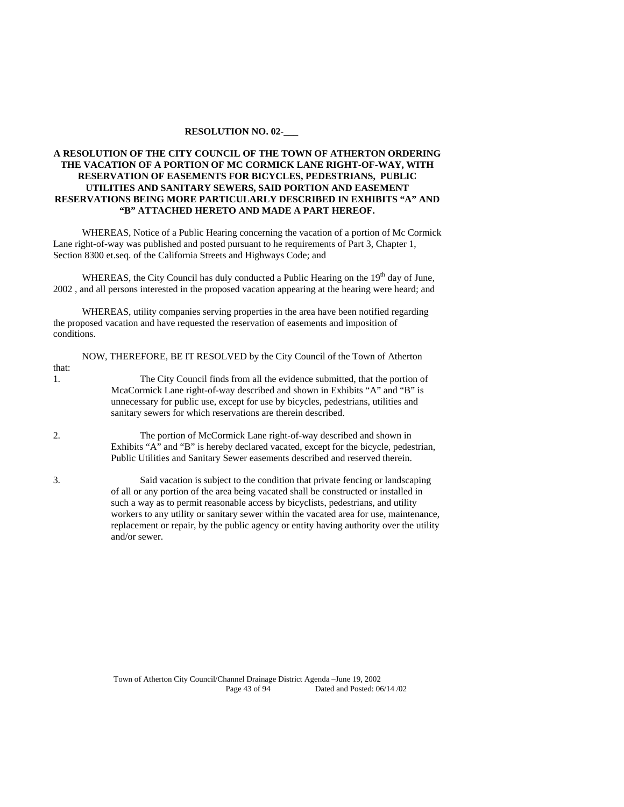#### **RESOLUTION NO. 02-\_\_\_**

# **A RESOLUTION OF THE CITY COUNCIL OF THE TOWN OF ATHERTON ORDERING THE VACATION OF A PORTION OF MC CORMICK LANE RIGHT-OF-WAY, WITH RESERVATION OF EASEMENTS FOR BICYCLES, PEDESTRIANS, PUBLIC UTILITIES AND SANITARY SEWERS, SAID PORTION AND EASEMENT RESERVATIONS BEING MORE PARTICULARLY DESCRIBED IN EXHIBITS "A" AND "B" ATTACHED HERETO AND MADE A PART HEREOF.**

WHEREAS, Notice of a Public Hearing concerning the vacation of a portion of Mc Cormick Lane right-of-way was published and posted pursuant to he requirements of Part 3, Chapter 1, Section 8300 et.seq. of the California Streets and Highways Code; and

WHEREAS, the City Council has duly conducted a Public Hearing on the 19<sup>th</sup> day of June, 2002 , and all persons interested in the proposed vacation appearing at the hearing were heard; and

WHEREAS, utility companies serving properties in the area have been notified regarding the proposed vacation and have requested the reservation of easements and imposition of conditions.

| The City Council finds from all the evidence submitted, that the portion of                                                                                                                                                        |
|------------------------------------------------------------------------------------------------------------------------------------------------------------------------------------------------------------------------------------|
| McaCormick Lane right-of-way described and shown in Exhibits "A" and "B" is<br>unnecessary for public use, except for use by bicycles, pedestrians, utilities and<br>sanitary sewers for which reservations are therein described. |
| The portion of McCormick Lane right-of-way described and shown in<br>Exhibits "A" and "B" is hereby declared vacated, except for the bicycle, pedestrian,                                                                          |
| Public Utilities and Sanitary Sewer easements described and reserved therein.                                                                                                                                                      |
| Said vacation is subject to the condition that private fencing or landscaping<br>of all or any portion of the area being vacated shall be constructed or installed in                                                              |
| such a way as to permit reasonable access by bicyclists, pedestrians, and utility<br>workers to any utility or sanitary sewer within the vacated area for use, maintenance,                                                        |
|                                                                                                                                                                                                                                    |

and/or sewer.

replacement or repair, by the public agency or entity having authority over the utility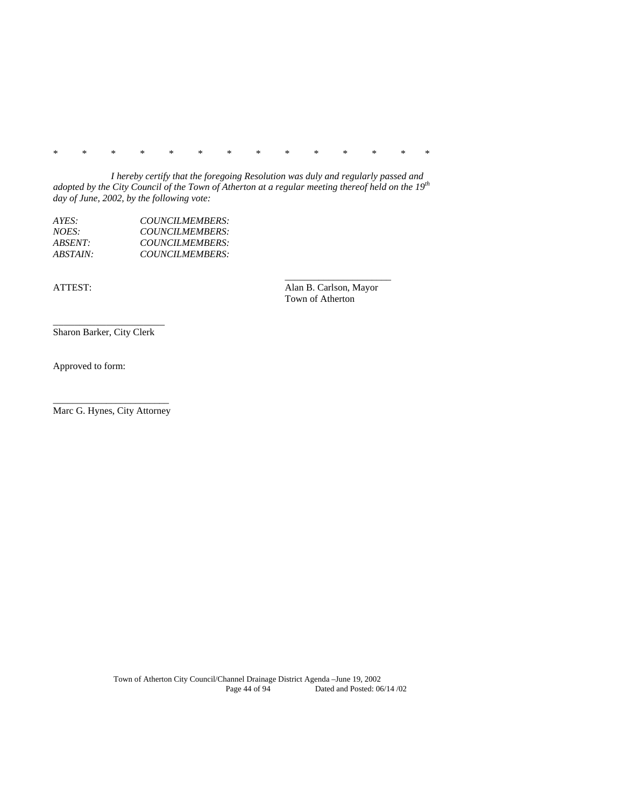\* \* \* \* \* \* \* \* \* \* \* \* \* \*

*I hereby certify that the foregoing Resolution was duly and regularly passed and adopted by the City Council of the Town of Atherton at a regular meeting thereof held on the 19<sup>th</sup> day of June, 2002, by the following vote:* 

\_\_\_\_\_\_\_\_\_\_\_\_\_\_\_\_\_\_\_\_\_\_

| AYES:           | COUNCILMEMBERS: |
|-----------------|-----------------|
| $NOES^+$        | COUNCILMEMBERS: |
| <i>ABSENT:</i>  | COUNCILMEMBERS: |
| <i>ABSTAIN:</i> | COUNCILMEMBERS: |

ATTEST: Alan B. Carlson, Mayor Town of Atherton

 $\overline{\phantom{a}}$  , which is a set of the set of the set of the set of the set of the set of the set of the set of the set of the set of the set of the set of the set of the set of the set of the set of the set of the set of th Sharon Barker, City Clerk

Approved to form:

\_\_\_\_\_\_\_\_\_\_\_\_\_\_\_\_\_\_\_\_\_\_\_\_ Marc G. Hynes, City Attorney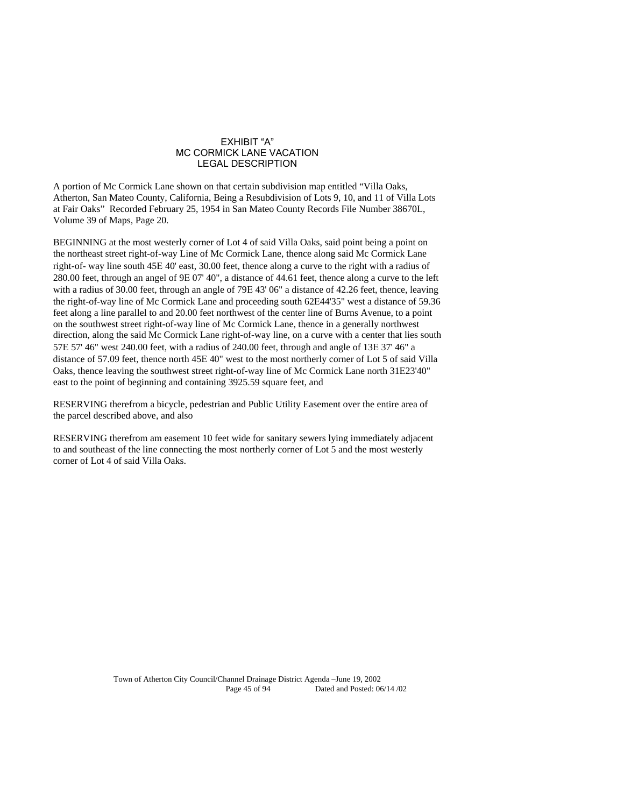#### EXHIBIT "A" MC CORMICK LANE VACATION LEGAL DESCRIPTION

A portion of Mc Cormick Lane shown on that certain subdivision map entitled "Villa Oaks, Atherton, San Mateo County, California, Being a Resubdivision of Lots 9, 10, and 11 of Villa Lots at Fair Oaks" Recorded February 25, 1954 in San Mateo County Records File Number 38670L, Volume 39 of Maps, Page 20.

BEGINNING at the most westerly corner of Lot 4 of said Villa Oaks, said point being a point on the northeast street right-of-way Line of Mc Cormick Lane, thence along said Mc Cormick Lane right-of- way line south  $45E 40'$  east,  $30.00$  feet, thence along a curve to the right with a radius of 280.00 feet, through an angel of  $9E 07' 40''$ , a distance of 44.61 feet, thence along a curve to the left with a radius of 30.00 feet, through an angle of 79E 43' 06" a distance of 42.26 feet, thence, leaving the right-of-way line of Mc Cormick Lane and proceeding south 62E44'35" west a distance of 59.36 feet along a line parallel to and 20.00 feet northwest of the center line of Burns Avenue, to a point on the southwest street right-of-way line of Mc Cormick Lane, thence in a generally northwest direction, along the said Mc Cormick Lane right-of-way line, on a curve with a center that lies south 57E 57' 46" west 240.00 feet, with a radius of 240.00 feet, through and angle of 13E 37' 46" a distance of 57.09 feet, thence north 45E 40" west to the most northerly corner of Lot 5 of said Villa Oaks, thence leaving the southwest street right-of-way line of Mc Cormick Lane north 3123'40" east to the point of beginning and containing 3925.59 square feet, and

RESERVING therefrom a bicycle, pedestrian and Public Utility Easement over the entire area of the parcel described above, and also

RESERVING therefrom am easement 10 feet wide for sanitary sewers lying immediately adjacent to and southeast of the line connecting the most northerly corner of Lot 5 and the most westerly corner of Lot 4 of said Villa Oaks.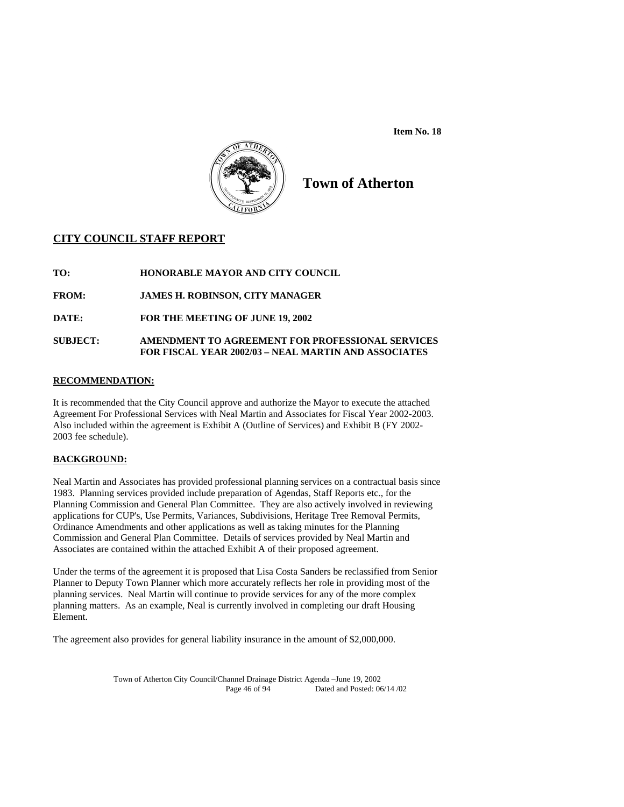**Item No. 18** 



# **Town of Atherton**

# **CITY COUNCIL STAFF REPORT**

**TO: HONORABLE MAYOR AND CITY COUNCIL** 

**FROM: JAMES H. ROBINSON, CITY MANAGER** 

**DATE: FOR THE MEETING OF JUNE 19, 2002** 

# **SUBJECT: AMENDMENT TO AGREEMENT FOR PROFESSIONAL SERVICES FOR FISCAL YEAR 2002/03 – NEAL MARTIN AND ASSOCIATES**

# **RECOMMENDATION:**

It is recommended that the City Council approve and authorize the Mayor to execute the attached Agreement For Professional Services with Neal Martin and Associates for Fiscal Year 2002-2003. Also included within the agreement is Exhibit A (Outline of Services) and Exhibit B (FY 2002- 2003 fee schedule).

# **BACKGROUND:**

Neal Martin and Associates has provided professional planning services on a contractual basis since 1983. Planning services provided include preparation of Agendas, Staff Reports etc., for the Planning Commission and General Plan Committee. They are also actively involved in reviewing applications for CUP's, Use Permits, Variances, Subdivisions, Heritage Tree Removal Permits, Ordinance Amendments and other applications as well as taking minutes for the Planning Commission and General Plan Committee. Details of services provided by Neal Martin and Associates are contained within the attached Exhibit A of their proposed agreement.

Under the terms of the agreement it is proposed that Lisa Costa Sanders be reclassified from Senior Planner to Deputy Town Planner which more accurately reflects her role in providing most of the planning services. Neal Martin will continue to provide services for any of the more complex planning matters. As an example, Neal is currently involved in completing our draft Housing Element.

The agreement also provides for general liability insurance in the amount of \$2,000,000.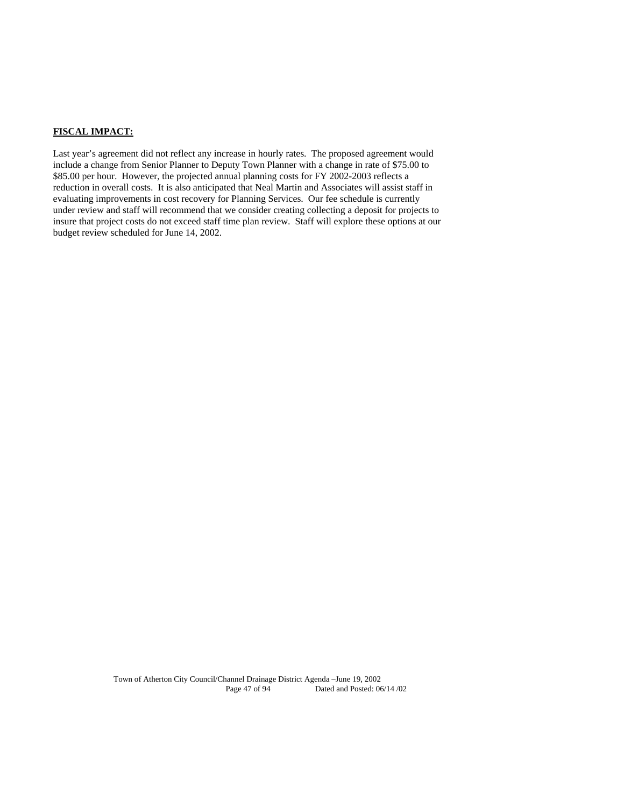# **FISCAL IMPACT:**

Last year's agreement did not reflect any increase in hourly rates. The proposed agreement would include a change from Senior Planner to Deputy Town Planner with a change in rate of \$75.00 to \$85.00 per hour. However, the projected annual planning costs for FY 2002-2003 reflects a reduction in overall costs. It is also anticipated that Neal Martin and Associates will assist staff in evaluating improvements in cost recovery for Planning Services. Our fee schedule is currently under review and staff will recommend that we consider creating collecting a deposit for projects to insure that project costs do not exceed staff time plan review. Staff will explore these options at our budget review scheduled for June 14, 2002.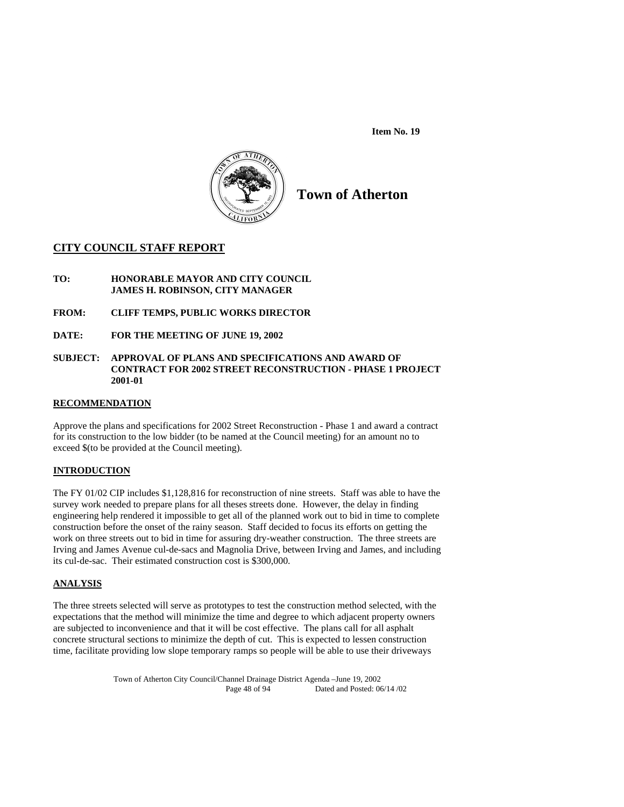**Item No. 19** 



# **Town of Atherton**

# **CITY COUNCIL STAFF REPORT**

- **TO: HONORABLE MAYOR AND CITY COUNCIL JAMES H. ROBINSON, CITY MANAGER**
- **FROM: CLIFF TEMPS, PUBLIC WORKS DIRECTOR**
- **DATE: FOR THE MEETING OF JUNE 19, 2002**

#### **SUBJECT: APPROVAL OF PLANS AND SPECIFICATIONS AND AWARD OF CONTRACT FOR 2002 STREET RECONSTRUCTION - PHASE 1 PROJECT 2001-01**

### **RECOMMENDATION**

Approve the plans and specifications for 2002 Street Reconstruction - Phase 1 and award a contract for its construction to the low bidder (to be named at the Council meeting) for an amount no to exceed \$(to be provided at the Council meeting).

## **INTRODUCTION**

The FY 01/02 CIP includes \$1,128,816 for reconstruction of nine streets. Staff was able to have the survey work needed to prepare plans for all theses streets done. However, the delay in finding engineering help rendered it impossible to get all of the planned work out to bid in time to complete construction before the onset of the rainy season. Staff decided to focus its efforts on getting the work on three streets out to bid in time for assuring dry-weather construction. The three streets are Irving and James Avenue cul-de-sacs and Magnolia Drive, between Irving and James, and including its cul-de-sac. Their estimated construction cost is \$300,000.

## **ANALYSIS**

The three streets selected will serve as prototypes to test the construction method selected, with the expectations that the method will minimize the time and degree to which adjacent property owners are subjected to inconvenience and that it will be cost effective. The plans call for all asphalt concrete structural sections to minimize the depth of cut. This is expected to lessen construction time, facilitate providing low slope temporary ramps so people will be able to use their driveways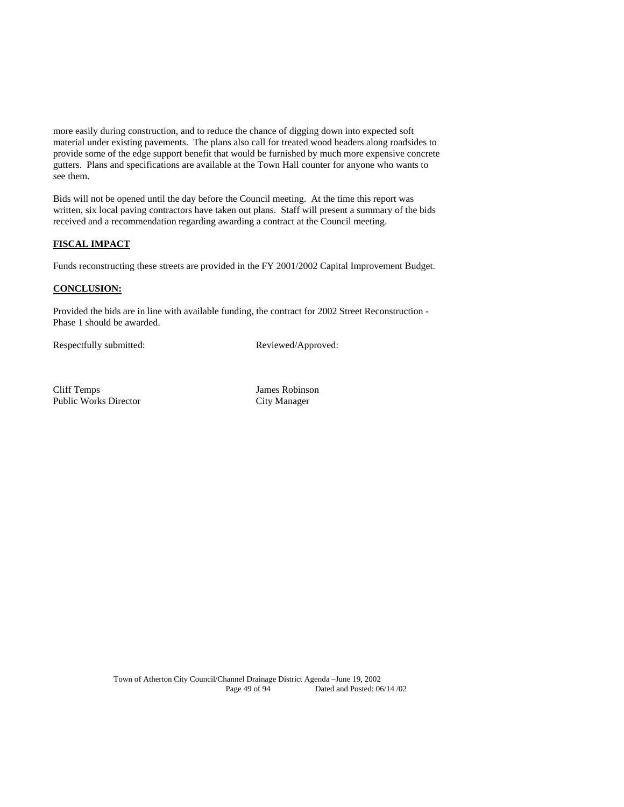more easily during construction, and to reduce the chance of digging down into expected soft material under existing pavements. The plans also call for treated wood headers along roadsides to provide some of the edge support benefit that would be furnished by much more expensive concrete gutters. Plans and specifications are available at the Town Hall counter for anyone who wants to see them.

Bids will not be opened until the day before the Council meeting. At the time this report was written, six local paving contractors have taken out plans. Staff will present a summary of the bids received and a recommendation regarding awarding a contract at the Council meeting.

# **FISCAL IMPACT**

Funds reconstructing these streets are provided in the FY 2001/2002 Capital Improvement Budget.

# **CONCLUSION:**

Provided the bids are in line with available funding, the contract for 2002 Street Reconstruction - Phase 1 should be awarded.

Respectfully submitted: Reviewed/Approved:

Cliff Temps James Robinson Public Works Director City Manager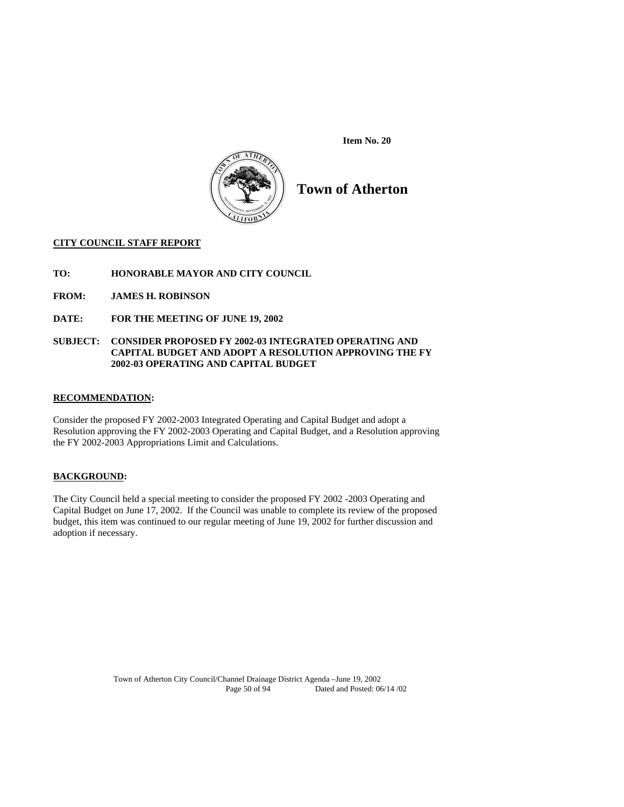**Item No. 20** 



**Town of Atherton** 

## **CITY COUNCIL STAFF REPORT**

**TO: HONORABLE MAYOR AND CITY COUNCIL** 

**FROM: JAMES H. ROBINSON** 

**DATE: FOR THE MEETING OF JUNE 19, 2002** 

## **SUBJECT: CONSIDER PROPOSED FY 2002-03 INTEGRATED OPERATING AND CAPITAL BUDGET AND ADOPT A RESOLUTION APPROVING THE FY 2002-03 OPERATING AND CAPITAL BUDGET**

## **RECOMMENDATION:**

Consider the proposed FY 2002-2003 Integrated Operating and Capital Budget and adopt a Resolution approving the FY 2002-2003 Operating and Capital Budget, and a Resolution approving the FY 2002-2003 Appropriations Limit and Calculations.

# **BACKGROUND:**

The City Council held a special meeting to consider the proposed FY 2002 -2003 Operating and Capital Budget on June 17, 2002. If the Council was unable to complete its review of the proposed budget, this item was continued to our regular meeting of June 19, 2002 for further discussion and adoption if necessary.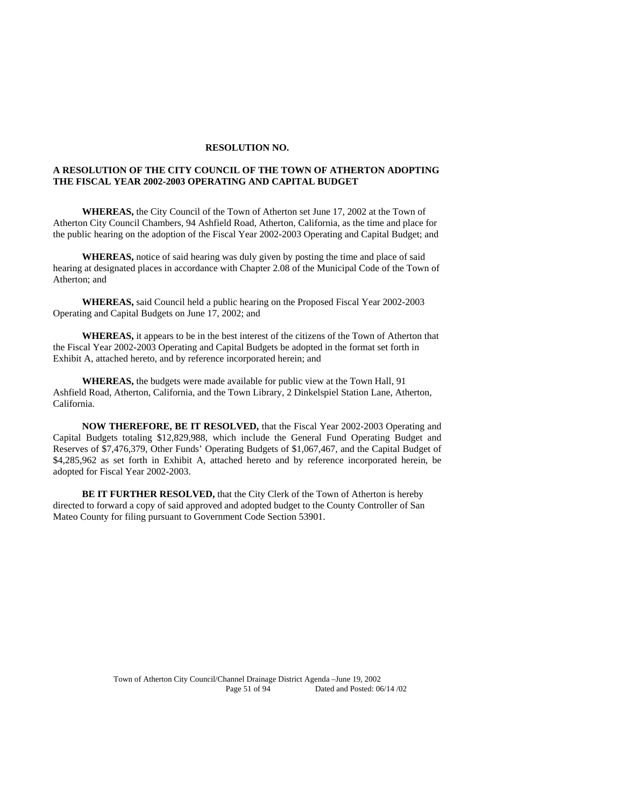#### **RESOLUTION NO.**

### **A RESOLUTION OF THE CITY COUNCIL OF THE TOWN OF ATHERTON ADOPTING THE FISCAL YEAR 2002-2003 OPERATING AND CAPITAL BUDGET**

**WHEREAS,** the City Council of the Town of Atherton set June 17, 2002 at the Town of Atherton City Council Chambers, 94 Ashfield Road, Atherton, California, as the time and place for the public hearing on the adoption of the Fiscal Year 2002-2003 Operating and Capital Budget; and

**WHEREAS,** notice of said hearing was duly given by posting the time and place of said hearing at designated places in accordance with Chapter 2.08 of the Municipal Code of the Town of Atherton; and

**WHEREAS,** said Council held a public hearing on the Proposed Fiscal Year 2002-2003 Operating and Capital Budgets on June 17, 2002; and

**WHEREAS,** it appears to be in the best interest of the citizens of the Town of Atherton that the Fiscal Year 2002-2003 Operating and Capital Budgets be adopted in the format set forth in Exhibit A, attached hereto, and by reference incorporated herein; and

 **WHEREAS,** the budgets were made available for public view at the Town Hall, 91 Ashfield Road, Atherton, California, and the Town Library, 2 Dinkelspiel Station Lane, Atherton, California.

**NOW THEREFORE, BE IT RESOLVED,** that the Fiscal Year 2002-2003 Operating and Capital Budgets totaling \$12,829,988, which include the General Fund Operating Budget and Reserves of \$7,476,379, Other Funds' Operating Budgets of \$1,067,467, and the Capital Budget of \$4,285,962 as set forth in Exhibit A, attached hereto and by reference incorporated herein, be adopted for Fiscal Year 2002-2003.

**BE IT FURTHER RESOLVED,** that the City Clerk of the Town of Atherton is hereby directed to forward a copy of said approved and adopted budget to the County Controller of San Mateo County for filing pursuant to Government Code Section 53901.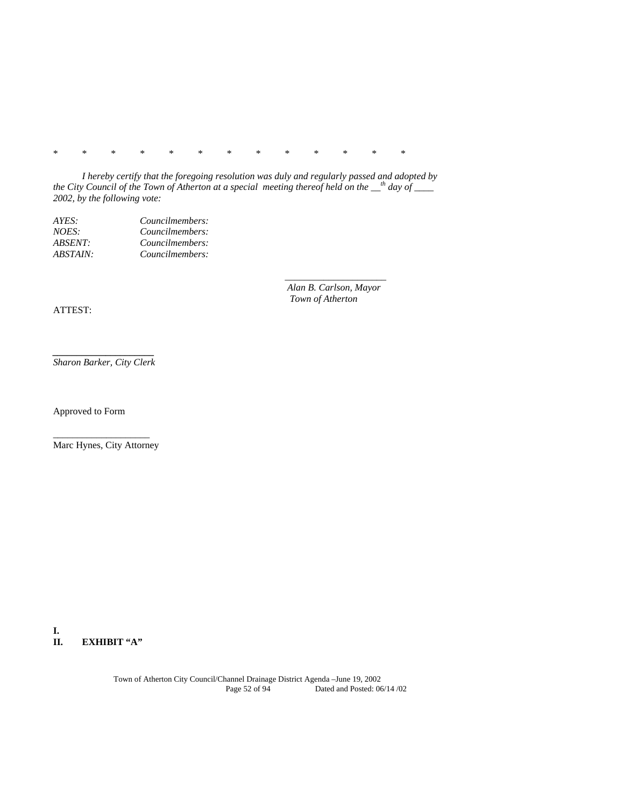\* \* \* \* \* \* \* \* \* \* \* \* \*

\_\_\_\_\_\_\_\_\_\_\_\_\_\_\_\_\_\_\_\_\_

 *I hereby certify that the foregoing resolution was duly and regularly passed and adopted by the City Council of the Town of Atherton at a special meeting thereof held on the \_\_th day of \_\_\_\_ 2002, by the following vote:* 

| AYES:    | Councilmembers: |
|----------|-----------------|
| NOES:    | Councilmembers: |
| ABSENT:  | Councilmembers: |
| ABSTAIN: | Councilmembers: |

 *Alan B. Carlson, Mayor Town of Atherton* 

ATTEST:

*\_\_\_\_\_\_\_\_\_\_\_\_\_\_\_\_\_\_\_\_\_ Sharon Barker, City Clerk* 

Approved to Form

\_\_\_\_\_\_\_\_\_\_\_\_\_\_\_\_\_\_\_\_ Marc Hynes, City Attorney

**I. EXHIBIT "A"**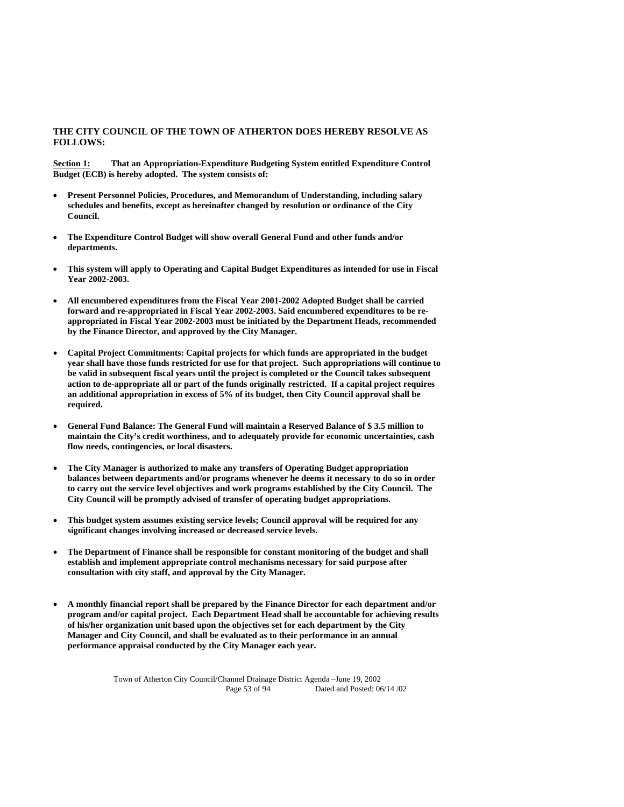## **THE CITY COUNCIL OF THE TOWN OF ATHERTON DOES HEREBY RESOLVE AS FOLLOWS:**

**Section 1:** That an Appropriation-Expenditure Budgeting System entitled Expenditure Control **Budget (ECB) is hereby adopted. The system consists of:** 

- **Present Personnel Policies, Procedures, and Memorandum of Understanding, including salary schedules and benefits, except as hereinafter changed by resolution or ordinance of the City Council.**
- **The Expenditure Control Budget will show overall General Fund and other funds and/or departments.**
- **This system will apply to Operating and Capital Budget Expenditures as intended for use in Fiscal Year 2002-2003.**
- **All encumbered expenditures from the Fiscal Year 2001-2002 Adopted Budget shall be carried forward and re-appropriated in Fiscal Year 2002-2003. Said encumbered expenditures to be reappropriated in Fiscal Year 2002-2003 must be initiated by the Department Heads, recommended by the Finance Director, and approved by the City Manager.**
- **Capital Project Commitments: Capital projects for which funds are appropriated in the budget year shall have those funds restricted for use for that project. Such appropriations will continue to be valid in subsequent fiscal years until the project is completed or the Council takes subsequent action to de-appropriate all or part of the funds originally restricted. If a capital project requires an additional appropriation in excess of 5% of its budget, then City Council approval shall be required.**
- **General Fund Balance: The General Fund will maintain a Reserved Balance of \$ 3.5 million to maintain the City's credit worthiness, and to adequately provide for economic uncertainties, cash flow needs, contingencies, or local disasters.**
- **The City Manager is authorized to make any transfers of Operating Budget appropriation balances between departments and/or programs whenever he deems it necessary to do so in order to carry out the service level objectives and work programs established by the City Council. The City Council will be promptly advised of transfer of operating budget appropriations.**
- **This budget system assumes existing service levels; Council approval will be required for any significant changes involving increased or decreased service levels.**
- **The Department of Finance shall be responsible for constant monitoring of the budget and shall establish and implement appropriate control mechanisms necessary for said purpose after consultation with city staff, and approval by the City Manager.**
- **A monthly financial report shall be prepared by the Finance Director for each department and/or program and/or capital project. Each Department Head shall be accountable for achieving results of his/her organization unit based upon the objectives set for each department by the City Manager and City Council, and shall be evaluated as to their performance in an annual performance appraisal conducted by the City Manager each year.**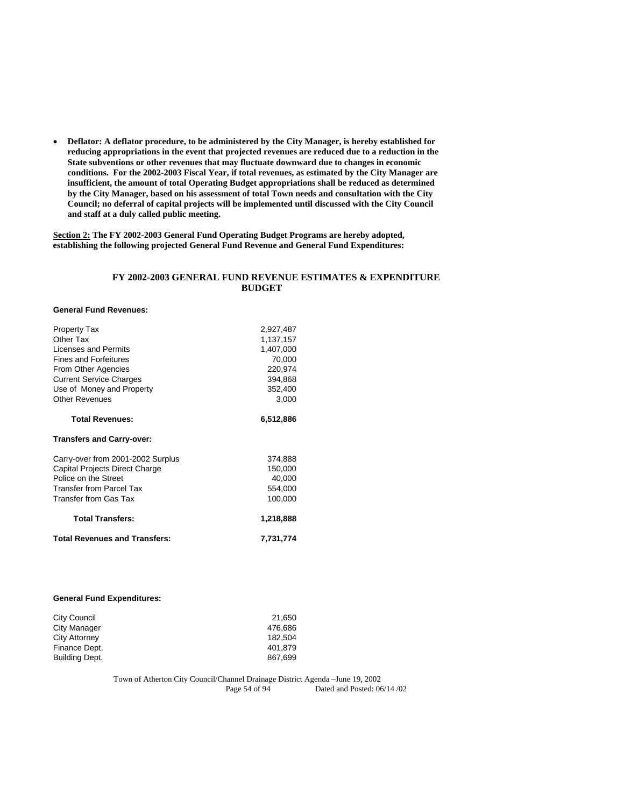**Deflator: A deflator procedure, to be administered by the City Manager, is hereby established for reducing appropriations in the event that projected revenues are reduced due to a reduction in the State subventions or other revenues that may fluctuate downward due to changes in economic conditions. For the 2002-2003 Fiscal Year, if total revenues, as estimated by the City Manager are insufficient, the amount of total Operating Budget appropriations shall be reduced as determined by the City Manager, based on his assessment of total Town needs and consultation with the City Council; no deferral of capital projects will be implemented until discussed with the City Council and staff at a duly called public meeting.** 

**Section 2: The FY 2002-2003 General Fund Operating Budget Programs are hereby adopted, establishing the following projected General Fund Revenue and General Fund Expenditures:** 

## **FY 2002-2003 GENERAL FUND REVENUE ESTIMATES & EXPENDITURE BUDGET**

#### **General Fund Revenues:**

| <b>Property Tax</b>                  | 2,927,487 |
|--------------------------------------|-----------|
| Other Tax                            | 1,137,157 |
| Licenses and Permits                 | 1,407,000 |
| <b>Fines and Forfeitures</b>         | 70,000    |
| From Other Agencies                  | 220,974   |
| <b>Current Service Charges</b>       | 394,868   |
| Use of Money and Property            | 352,400   |
| <b>Other Revenues</b>                | 3,000     |
| <b>Total Revenues:</b>               | 6,512,886 |
| <b>Transfers and Carry-over:</b>     |           |
| Carry-over from 2001-2002 Surplus    | 374,888   |
| Capital Projects Direct Charge       | 150,000   |
| Police on the Street                 | 40,000    |
| <b>Transfer from Parcel Tax</b>      | 554,000   |
| Transfer from Gas Tax                | 100,000   |
| <b>Total Transfers:</b>              | 1,218,888 |
| <b>Total Revenues and Transfers:</b> | 7,731,774 |

#### **General Fund Expenditures:**

| City Council   | 21.650  |
|----------------|---------|
| City Manager   | 476.686 |
| City Attorney  | 182.504 |
| Finance Dept.  | 401.879 |
| Building Dept. | 867.699 |
|                |         |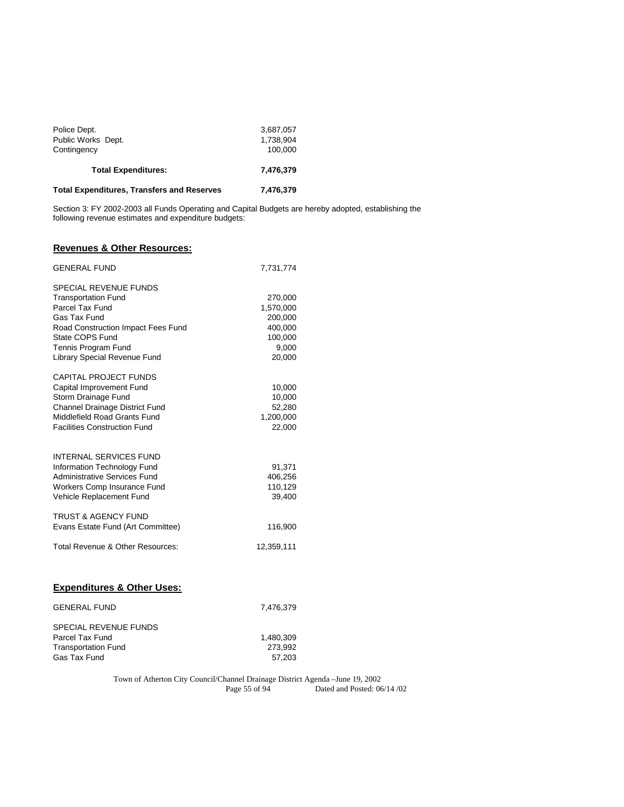| Police Dept.                                      | 3,687,057 |  |
|---------------------------------------------------|-----------|--|
| Public Works Dept.                                | 1.738.904 |  |
| Contingency                                       | 100.000   |  |
| <b>Total Expenditures:</b>                        | 7.476.379 |  |
| <b>Total Expenditures, Transfers and Reserves</b> | 7,476,379 |  |

Section 3: FY 2002-2003 all Funds Operating and Capital Budgets are hereby adopted, establishing the following revenue estimates and expenditure budgets:

# **Revenues & Other Resources:**

| <b>GENERAL FUND</b>                                                                                                                                                                                           | 7,731,774                                                                |
|---------------------------------------------------------------------------------------------------------------------------------------------------------------------------------------------------------------|--------------------------------------------------------------------------|
| <b>SPECIAL REVENUE FUNDS</b><br><b>Transportation Fund</b><br>Parcel Tax Fund<br>Gas Tax Fund<br>Road Construction Impact Fees Fund<br>State COPS Fund<br>Tennis Program Fund<br>Library Special Revenue Fund | 270,000<br>1,570,000<br>200,000<br>400,000<br>100,000<br>9,000<br>20,000 |
| <b>CAPITAL PROJECT FUNDS</b><br>Capital Improvement Fund<br>Storm Drainage Fund<br>Channel Drainage District Fund<br>Middlefield Road Grants Fund<br><b>Facilities Construction Fund</b>                      | 10,000<br>10,000<br>52,280<br>1,200,000<br>22,000                        |
| <b>INTERNAL SERVICES FUND</b><br>Information Technology Fund<br><b>Administrative Services Fund</b><br>Workers Comp Insurance Fund<br>Vehicle Replacement Fund                                                | 91,371<br>406,256<br>110,129<br>39,400                                   |
| <b>TRUST &amp; AGENCY FUND</b><br>Evans Estate Fund (Art Committee)                                                                                                                                           | 116,900                                                                  |
| Total Revenue & Other Resources:                                                                                                                                                                              | 12,359,111                                                               |
| <b>Expenditures &amp; Other Uses:</b>                                                                                                                                                                         |                                                                          |
| <b>GENERAL FUND</b>                                                                                                                                                                                           | 7,476,379                                                                |

| SPECIAL REVENUE FUNDS      |           |
|----------------------------|-----------|
| Parcel Tax Fund            | 1.480.309 |
| <b>Transportation Fund</b> | 273.992   |
| Gas Tax Fund               | 57.203    |
|                            |           |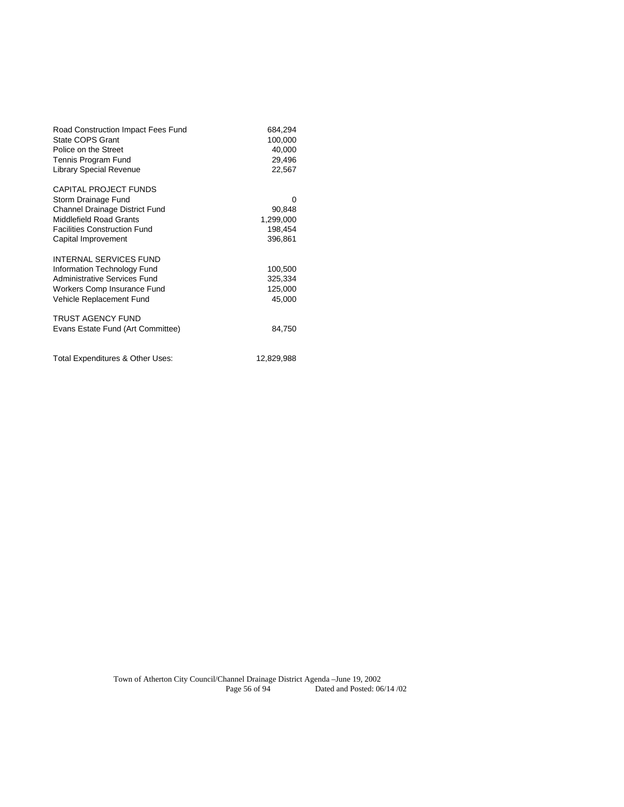| Road Construction Impact Fees Fund<br><b>State COPS Grant</b><br>Police on the Street<br>Tennis Program Fund<br><b>Library Special Revenue</b>                                        | 684,294<br>100,000<br>40,000<br>29,496<br>22,567 |
|---------------------------------------------------------------------------------------------------------------------------------------------------------------------------------------|--------------------------------------------------|
| CAPITAL PROJECT FUNDS<br>Storm Drainage Fund<br><b>Channel Drainage District Fund</b><br><b>Middlefield Road Grants</b><br><b>Facilities Construction Fund</b><br>Capital Improvement | 0<br>90,848<br>1,299,000<br>198,454<br>396,861   |
| <b>INTERNAL SERVICES FUND</b><br>Information Technology Fund<br>Administrative Services Fund<br>Workers Comp Insurance Fund<br>Vehicle Replacement Fund                               | 100,500<br>325,334<br>125,000<br>45,000          |
| TRUST AGENCY FUND<br>Evans Estate Fund (Art Committee)                                                                                                                                | 84,750                                           |
| Total Expenditures & Other Uses:                                                                                                                                                      | 12,829,988                                       |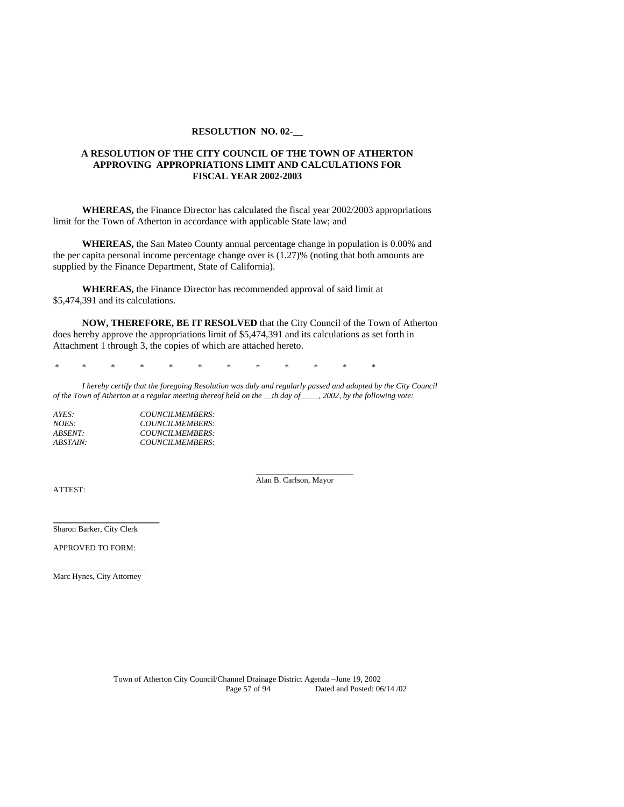#### **RESOLUTION NO. 02-\_\_**

## **A RESOLUTION OF THE CITY COUNCIL OF THE TOWN OF ATHERTON APPROVING APPROPRIATIONS LIMIT AND CALCULATIONS FOR FISCAL YEAR 2002-2003**

**WHEREAS,** the Finance Director has calculated the fiscal year 2002/2003 appropriations limit for the Town of Atherton in accordance with applicable State law; and

**WHEREAS,** the San Mateo County annual percentage change in population is 0.00% and the per capita personal income percentage change over is (1.27)% (noting that both amounts are supplied by the Finance Department, State of California).

**WHEREAS,** the Finance Director has recommended approval of said limit at \$5,474,391 and its calculations.

**NOW, THEREFORE, BE IT RESOLVED** that the City Council of the Town of Atherton does hereby approve the appropriations limit of \$5,474,391 and its calculations as set forth in Attachment 1 through 3, the copies of which are attached hereto.

\* \* \* \* \* \* \* \* \* \* \* \*

*I hereby certify that the foregoing Resolution was duly and regularly passed and adopted by the City Council of the Town of Atherton at a regular meeting thereof held on the \_\_th day of \_\_\_\_, 2002, by the following vote:* 

| AYES:           | COUNCILMEMBERS: |
|-----------------|-----------------|
| <i>NOES:</i>    | COUNCILMEMBERS: |
| <i>ABSENT:</i>  | COUNCILMEMBERS: |
| <i>ABSTAIN:</i> | COUNCILMEMBERS: |

 \_\_\_\_\_\_\_\_\_\_\_\_\_\_\_\_\_\_\_*\_\_\_\_\_*  Alan B. Carlson, Mayor

ATTEST:

Sharon Barker, City Clerk

**\_\_\_\_\_\_\_\_\_\_\_\_\_\_\_\_\_\_\_\_\_\_**

APPROVED TO FORM:

\_\_\_\_\_\_\_\_\_\_\_\_\_\_\_\_\_\_\_\_\_\_\_ Marc Hynes, City Attorney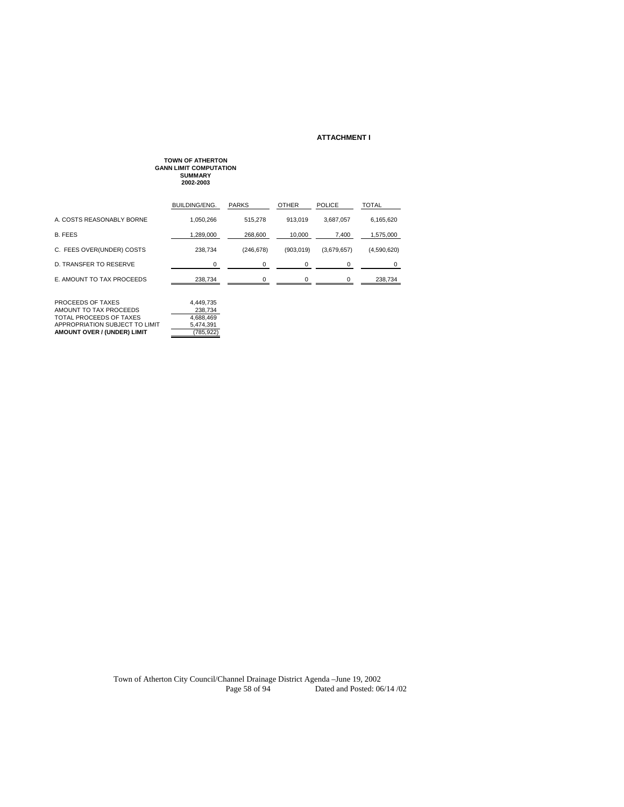#### **ATTACHMENT I**

# **TOWN OF ATHERTON GANN LIMIT COMPUTATION SUMMARY 2002-2003** BUILDING/ENG. PARKS OTHER POLICE TOTAL A. COSTS REASONABLY BORNE 1,050,266 515,278 913,019 3,687,057 6,165,620 B. FEES 1,289,000 268,600 10,000 7,400 1,575,000 C. FEES OVER(UNDER) COSTS 238,734 (246,678) (903,019) (3,679,657) (4,590,620) D. TRANSFER TO RESERVE 0 0 0 0 0 E. AMOUNT TO TAX PROCEEDS 238,734  $\underline{\hspace{1cm}} 238.734$   $\underline{\hspace{1cm}} 0$   $\underline{\hspace{1cm}} 0$   $\underline{\hspace{1cm}} 0$   $\underline{\hspace{1cm}} 238,734$ PROCEEDS OF TAXES 4,449,735 AMOUNT TO TAX PROCEEDS 238,734 TOTAL PROCEEDS OF TAXES 4,688,469 APPROPRIATION SUBJECT TO LIMIT 5,474,391 **AMOUNT OVER / (UNDER) LIMIT** (785,922)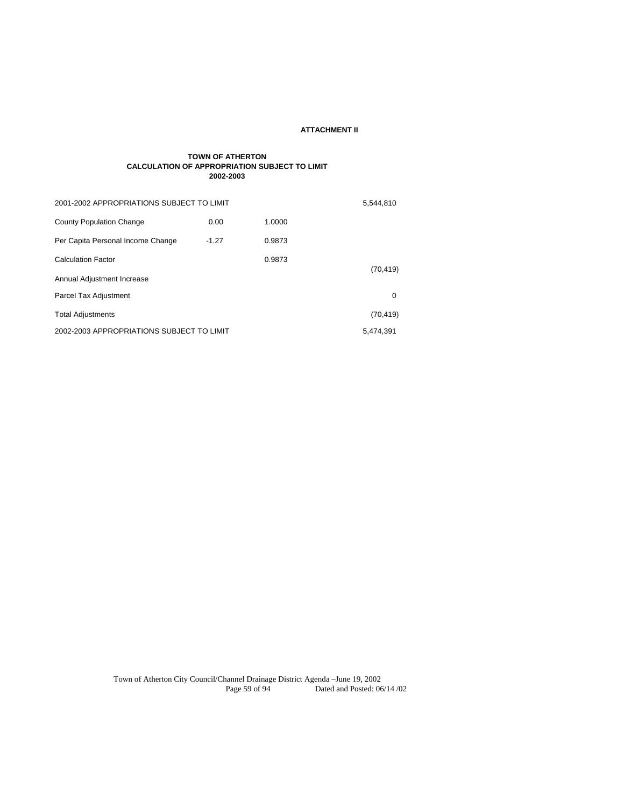#### **ATTACHMENT II**

#### **TOWN OF ATHERTON CALCULATION OF APPROPRIATION SUBJECT TO LIMIT 2002-2003**

| 2001-2002 APPROPRIATIONS SUBJECT TO LIMIT |         |        | 5,544,810 |
|-------------------------------------------|---------|--------|-----------|
| <b>County Population Change</b>           | 0.00    | 1.0000 |           |
| Per Capita Personal Income Change         | $-1.27$ | 0.9873 |           |
| <b>Calculation Factor</b>                 |         | 0.9873 |           |
| Annual Adjustment Increase                |         |        | (70, 419) |
| Parcel Tax Adjustment                     |         |        | 0         |
| <b>Total Adjustments</b>                  |         |        | (70, 419) |
| 2002-2003 APPROPRIATIONS SUBJECT TO LIMIT |         |        | 5.474.391 |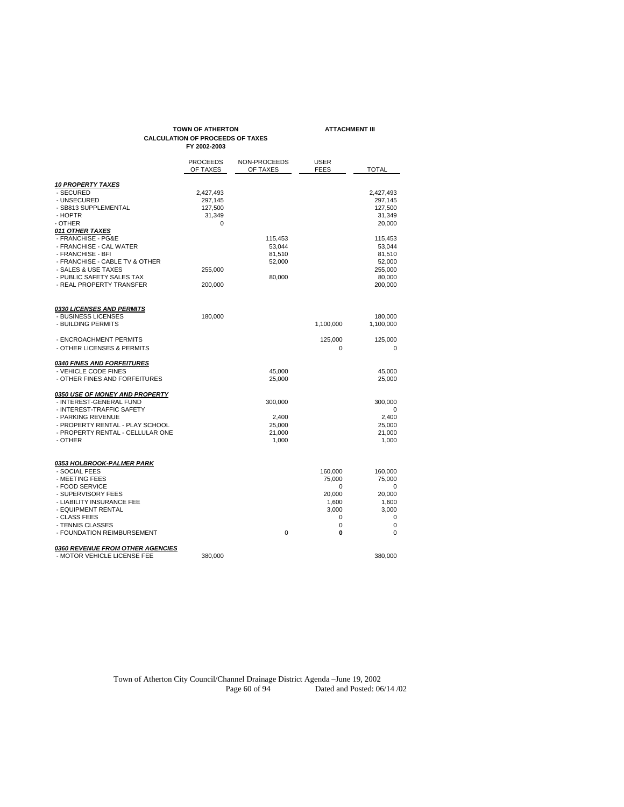# **TOWN OF ATHERTON ATTACHMENT III CALCULATION OF PROCEEDS OF TAXES FY 2002-2003**

|                                                                                                                                                                                                                           | <b>PROCEEDS</b><br>OF TAXES                    | NON-PROCEEDS<br>OF TAXES                        | <b>USER</b><br><b>FEES</b>                                        | <b>TOTAL</b>                                                                |
|---------------------------------------------------------------------------------------------------------------------------------------------------------------------------------------------------------------------------|------------------------------------------------|-------------------------------------------------|-------------------------------------------------------------------|-----------------------------------------------------------------------------|
| <b>10 PROPERTY TAXES</b><br>- SECURED<br>- UNSECURED<br>- SB813 SUPPLEMENTAL<br>- HOPTR<br>- OTHER<br>011 OTHER TAXES                                                                                                     | 2,427,493<br>297,145<br>127,500<br>31,349<br>0 |                                                 |                                                                   | 2,427,493<br>297,145<br>127,500<br>31,349<br>20,000                         |
| - FRANCHISE - PG&E<br>- FRANCHISE - CAL WATER<br>- FRANCHISE - BFI<br>- FRANCHISE - CABLE TV & OTHER<br>- SALES & USE TAXES<br>- PUBLIC SAFETY SALES TAX<br>- REAL PROPERTY TRANSFER                                      | 255,000<br>200,000                             | 115,453<br>53,044<br>81,510<br>52,000<br>80,000 |                                                                   | 115,453<br>53,044<br>81,510<br>52,000<br>255,000<br>80,000<br>200,000       |
| <b>0330 LICENSES AND PERMITS</b><br>- BUSINESS LICENSES<br>- BUILDING PERMITS                                                                                                                                             | 180,000                                        |                                                 | 1,100,000                                                         | 180,000<br>1,100,000                                                        |
| - ENCROACHMENT PERMITS<br>- OTHER LICENSES & PERMITS                                                                                                                                                                      |                                                |                                                 | 125,000<br>0                                                      | 125,000<br>$\mathbf 0$                                                      |
| <b>0340 FINES AND FORFEITURES</b><br>- VEHICLE CODE FINES<br>- OTHER FINES AND FORFEITURES                                                                                                                                |                                                | 45,000<br>25,000                                |                                                                   | 45,000<br>25,000                                                            |
| <b>0350 USE OF MONEY AND PROPERTY</b><br>- INTEREST-GENERAL FUND<br>- INTEREST-TRAFFIC SAFETY<br>- PARKING REVENUE<br>- PROPERTY RENTAL - PLAY SCHOOL<br>- PROPERTY RENTAL - CELLULAR ONE<br>- OTHER                      |                                                | 300,000<br>2,400<br>25,000<br>21,000<br>1,000   |                                                                   | 300,000<br>0<br>2,400<br>25,000<br>21,000<br>1,000                          |
| 0353 HOLBROOK-PALMER PARK<br>- SOCIAL FEES<br>- MEETING FEES<br>- FOOD SERVICE<br>- SUPERVISORY FEES<br>- LIABILITY INSURANCE FEE<br>- EQUIPMENT RENTAL<br>- CLASS FEES<br>- TENNIS CLASSES<br>- FOUNDATION REIMBURSEMENT |                                                | 0                                               | 160,000<br>75,000<br>0<br>20,000<br>1,600<br>3,000<br>0<br>0<br>0 | 160,000<br>75,000<br>0<br>20,000<br>1,600<br>3,000<br>0<br>$\mathbf 0$<br>0 |
| 0360 REVENUE FROM OTHER AGENCIES<br>- MOTOR VEHICLE LICENSE FEE                                                                                                                                                           | 380,000                                        |                                                 |                                                                   | 380,000                                                                     |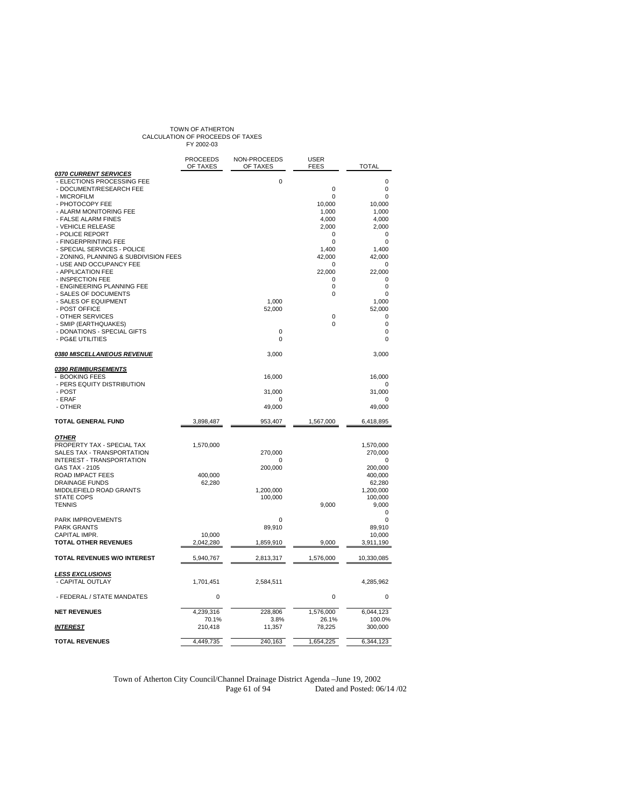# TOWN OF ATHERTON<br>CALCULATION OF PROCEEDS OF TAXES<br>FY 2002-03

|                                                                                | <b>PROCEEDS</b><br>OF TAXES | NON-PROCEEDS<br>OF TAXES | <b>USER</b><br><b>FEES</b>  | <b>TOTAL</b>        |
|--------------------------------------------------------------------------------|-----------------------------|--------------------------|-----------------------------|---------------------|
| 0370 CURRENT SERVICES<br>- ELECTIONS PROCESSING FEE<br>- DOCUMENT/RESEARCH FEE |                             | 0                        | $\mathbf 0$                 | 0<br>0              |
| - MICROFILM                                                                    |                             |                          | $\Omega$                    | 0                   |
| - PHOTOCOPY FEE<br>- ALARM MONITORING FEE                                      |                             |                          | 10,000<br>1,000             | 10,000<br>1,000     |
| - FALSE ALARM FINES                                                            |                             |                          | 4,000                       | 4,000               |
| - VEHICLE RELEASE                                                              |                             |                          | 2,000                       | 2,000               |
| - POLICE REPORT<br>- FINGERPRINTING FEE                                        |                             |                          | <sup>0</sup><br>$\mathbf 0$ | 0<br>0              |
| - SPECIAL SERVICES - POLICE                                                    |                             |                          | 1,400                       | 1.400               |
| - ZONING, PLANNING & SUBDIVISION FEES                                          |                             |                          | 42,000                      | 42,000              |
| - USE AND OCCUPANCY FEE<br>- APPLICATION FEE                                   |                             |                          | $\mathbf 0$<br>22,000       | 0<br>22,000         |
| - INSPECTION FEE                                                               |                             |                          | 0                           | 0                   |
| - ENGINEERING PLANNING FEE                                                     |                             |                          | 0                           | 0                   |
| - SALES OF DOCUMENTS<br>- SALES OF EQUIPMENT                                   |                             | 1,000                    | 0                           | 0<br>1,000          |
| - POST OFFICE                                                                  |                             | 52,000                   |                             | 52,000              |
| - OTHER SERVICES                                                               |                             |                          | $\mathbf 0$                 | 0                   |
| - SMIP (EARTHQUAKES)                                                           |                             |                          | 0                           | 0                   |
| - DONATIONS - SPECIAL GIFTS<br>- PG&E UTILITIES                                |                             | 0<br>0                   |                             | 0<br>0              |
| 0380 MISCELLANEOUS REVENUE                                                     |                             | 3,000                    |                             | 3,000               |
| 0390 REIMBURSEMENTS                                                            |                             |                          |                             |                     |
| <b>BOOKING FEES</b>                                                            |                             | 16,000                   |                             | 16,000              |
| - PERS EQUITY DISTRIBUTION<br>- POST                                           |                             | 31,000                   |                             | 0<br>31,000         |
| - ERAF                                                                         |                             | 0                        |                             | O                   |
| - OTHER                                                                        |                             | 49,000                   |                             | 49,000              |
| TOTAL GENERAL FUND                                                             | 3,898,487                   | 953,407                  | 1,567,000                   | 6,418,895           |
| <b>OTHER</b>                                                                   |                             |                          |                             |                     |
| PROPERTY TAX - SPECIAL TAX                                                     | 1,570,000                   |                          |                             | 1,570,000           |
| SALES TAX - TRANSPORTATION<br>INTEREST - TRANSPORTATION                        |                             | 270,000<br>0             |                             | 270,000<br>O        |
| GAS TAX - 2105                                                                 |                             | 200,000                  |                             | 200,000             |
| <b>ROAD IMPACT FEES</b>                                                        | 400,000                     |                          |                             | 400,000             |
| <b>DRAINAGE FUNDS</b><br>MIDDLEFIELD ROAD GRANTS                               | 62,280                      | 1,200,000                |                             | 62,280<br>1,200,000 |
| <b>STATE COPS</b>                                                              |                             | 100,000                  |                             | 100,000             |
| <b>TENNIS</b>                                                                  |                             |                          | 9,000                       | 9,000               |
| PARK IMPROVEMENTS                                                              |                             | 0                        |                             | 0<br>0              |
| <b>PARK GRANTS</b>                                                             |                             | 89,910                   |                             | 89.910              |
| CAPITAL IMPR.                                                                  | 10,000                      |                          |                             | 10,000              |
| <b>TOTAL OTHER REVENUES</b>                                                    | 2,042,280                   | 1,859,910                | 9.000                       | 3,911,190           |
| TOTAL REVENUES W/O INTEREST                                                    | 5,940,767                   | 2,813,317                | 1,576,000                   | 10,330,085          |
| <b>LESS EXCLUSIONS</b>                                                         |                             |                          |                             |                     |
| - CAPITAL OUTLAY                                                               | 1,701,451                   | 2,584,511                |                             | 4,285,962           |
| - FEDERAL / STATE MANDATES                                                     | 0                           |                          | 0                           | 0                   |
| <b>NET REVENUES</b>                                                            | 4.239.316                   | 228.806                  | 1,576,000                   | 6,044,123           |
|                                                                                | 70.1%                       | 3.8%                     | 26.1%                       | 100.0%              |
| <b>INTEREST</b>                                                                | 210,418                     | 11,357                   | 78,225                      | 300,000             |
| <b>TOTAL REVENUES</b>                                                          | 4,449,735                   | 240,163                  | 1,654,225                   | 6,344,123           |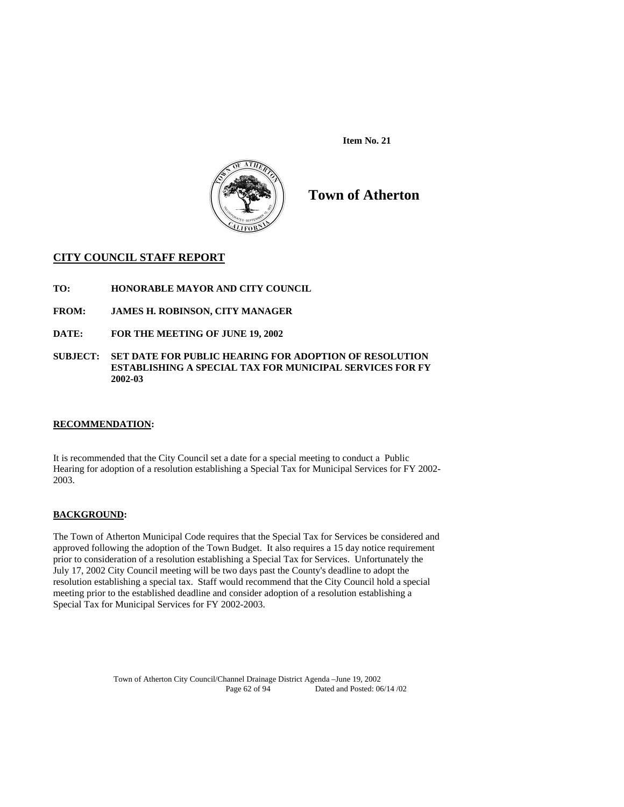**Item No. 21** 



**Town of Atherton** 

# **CITY COUNCIL STAFF REPORT**

- **TO: HONORABLE MAYOR AND CITY COUNCIL**
- **FROM: JAMES H. ROBINSON, CITY MANAGER**
- **DATE: FOR THE MEETING OF JUNE 19, 2002**
- **SUBJECT: SET DATE FOR PUBLIC HEARING FOR ADOPTION OF RESOLUTION ESTABLISHING A SPECIAL TAX FOR MUNICIPAL SERVICES FOR FY 2002-03**

## **RECOMMENDATION:**

It is recommended that the City Council set a date for a special meeting to conduct a Public Hearing for adoption of a resolution establishing a Special Tax for Municipal Services for FY 2002- 2003.

## **BACKGROUND:**

The Town of Atherton Municipal Code requires that the Special Tax for Services be considered and approved following the adoption of the Town Budget. It also requires a 15 day notice requirement prior to consideration of a resolution establishing a Special Tax for Services. Unfortunately the July 17, 2002 City Council meeting will be two days past the County's deadline to adopt the resolution establishing a special tax. Staff would recommend that the City Council hold a special meeting prior to the established deadline and consider adoption of a resolution establishing a Special Tax for Municipal Services for FY 2002-2003.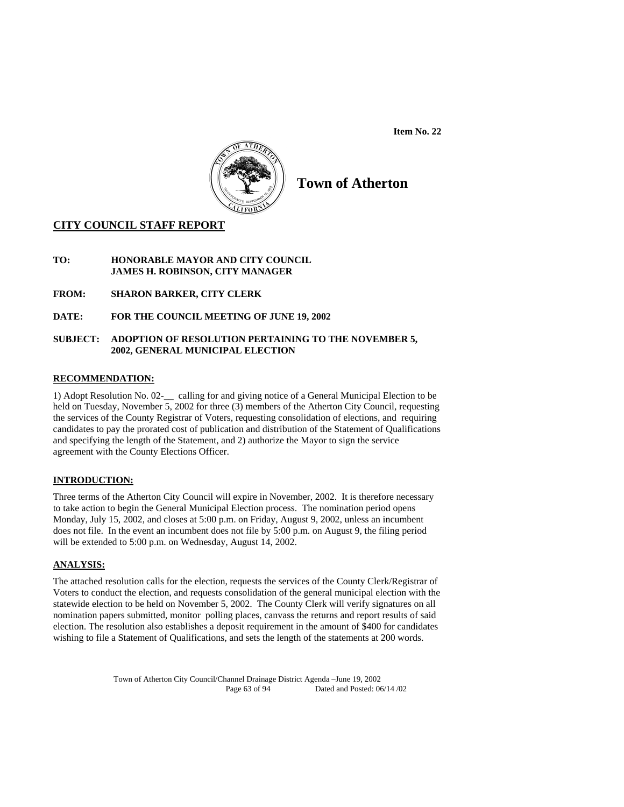**Item No. 22** 



# **Town of Atherton**

# **CITY COUNCIL STAFF REPORT**

# **TO: HONORABLE MAYOR AND CITY COUNCIL JAMES H. ROBINSON, CITY MANAGER**

**FROM: SHARON BARKER, CITY CLERK** 

**DATE: FOR THE COUNCIL MEETING OF JUNE 19, 2002** 

# **SUBJECT: ADOPTION OF RESOLUTION PERTAINING TO THE NOVEMBER 5, 2002, GENERAL MUNICIPAL ELECTION**

# **RECOMMENDATION:**

1) Adopt Resolution No. 02-\_\_ calling for and giving notice of a General Municipal Election to be held on Tuesday, November 5, 2002 for three (3) members of the Atherton City Council, requesting the services of the County Registrar of Voters, requesting consolidation of elections, and requiring candidates to pay the prorated cost of publication and distribution of the Statement of Qualifications and specifying the length of the Statement, and 2) authorize the Mayor to sign the service agreement with the County Elections Officer.

# **INTRODUCTION:**

Three terms of the Atherton City Council will expire in November, 2002. It is therefore necessary to take action to begin the General Municipal Election process. The nomination period opens Monday, July 15, 2002, and closes at 5:00 p.m. on Friday, August 9, 2002, unless an incumbent does not file. In the event an incumbent does not file by 5:00 p.m. on August 9, the filing period will be extended to 5:00 p.m. on Wednesday, August 14, 2002.

# **ANALYSIS:**

The attached resolution calls for the election, requests the services of the County Clerk/Registrar of Voters to conduct the election, and requests consolidation of the general municipal election with the statewide election to be held on November 5, 2002. The County Clerk will verify signatures on all nomination papers submitted, monitor polling places, canvass the returns and report results of said election. The resolution also establishes a deposit requirement in the amount of \$400 for candidates wishing to file a Statement of Qualifications, and sets the length of the statements at 200 words.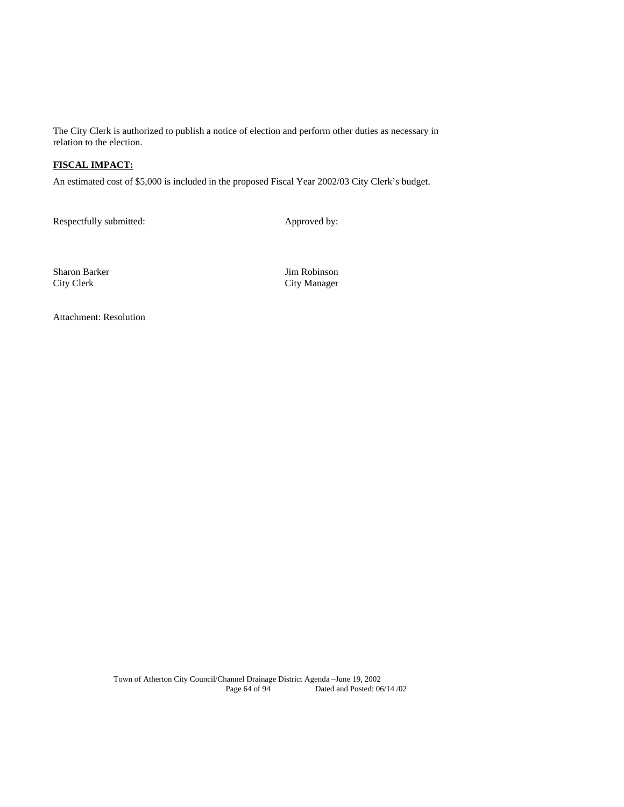The City Clerk is authorized to publish a notice of election and perform other duties as necessary in relation to the election.

# **FISCAL IMPACT:**

An estimated cost of \$5,000 is included in the proposed Fiscal Year 2002/03 City Clerk's budget.

Respectfully submitted: Approved by:

Sharon Barker Jim Robinson City Clerk City Manager

Attachment: Resolution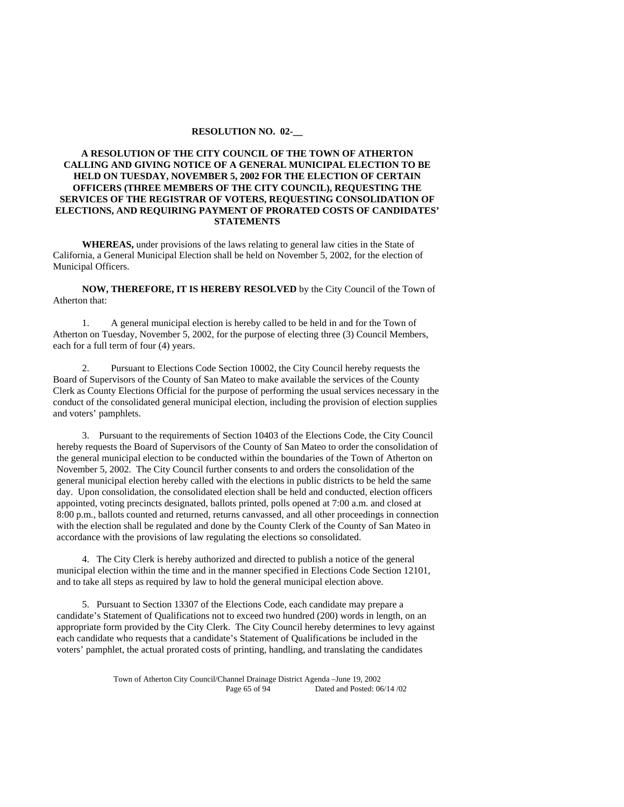#### **RESOLUTION NO. 02-\_\_**

## **A RESOLUTION OF THE CITY COUNCIL OF THE TOWN OF ATHERTON CALLING AND GIVING NOTICE OF A GENERAL MUNICIPAL ELECTION TO BE HELD ON TUESDAY, NOVEMBER 5, 2002 FOR THE ELECTION OF CERTAIN OFFICERS (THREE MEMBERS OF THE CITY COUNCIL), REQUESTING THE SERVICES OF THE REGISTRAR OF VOTERS, REQUESTING CONSOLIDATION OF ELECTIONS, AND REQUIRING PAYMENT OF PRORATED COSTS OF CANDIDATES' STATEMENTS**

 **WHEREAS,** under provisions of the laws relating to general law cities in the State of California, a General Municipal Election shall be held on November 5, 2002, for the election of Municipal Officers.

**NOW, THEREFORE, IT IS HEREBY RESOLVED** by the City Council of the Town of Atherton that:

 1. A general municipal election is hereby called to be held in and for the Town of Atherton on Tuesday, November 5, 2002, for the purpose of electing three (3) Council Members, each for a full term of four (4) years.

 2. Pursuant to Elections Code Section 10002, the City Council hereby requests the Board of Supervisors of the County of San Mateo to make available the services of the County Clerk as County Elections Official for the purpose of performing the usual services necessary in the conduct of the consolidated general municipal election, including the provision of election supplies and voters' pamphlets.

3. Pursuant to the requirements of Section 10403 of the Elections Code, the City Council hereby requests the Board of Supervisors of the County of San Mateo to order the consolidation of the general municipal election to be conducted within the boundaries of the Town of Atherton on November 5, 2002. The City Council further consents to and orders the consolidation of the general municipal election hereby called with the elections in public districts to be held the same day. Upon consolidation, the consolidated election shall be held and conducted, election officers appointed, voting precincts designated, ballots printed, polls opened at 7:00 a.m. and closed at 8:00 p.m., ballots counted and returned, returns canvassed, and all other proceedings in connection with the election shall be regulated and done by the County Clerk of the County of San Mateo in accordance with the provisions of law regulating the elections so consolidated.

4. The City Clerk is hereby authorized and directed to publish a notice of the general municipal election within the time and in the manner specified in Elections Code Section 12101, and to take all steps as required by law to hold the general municipal election above.

5. Pursuant to Section 13307 of the Elections Code, each candidate may prepare a candidate's Statement of Qualifications not to exceed two hundred (200) words in length, on an appropriate form provided by the City Clerk. The City Council hereby determines to levy against each candidate who requests that a candidate's Statement of Qualifications be included in the voters' pamphlet, the actual prorated costs of printing, handling, and translating the candidates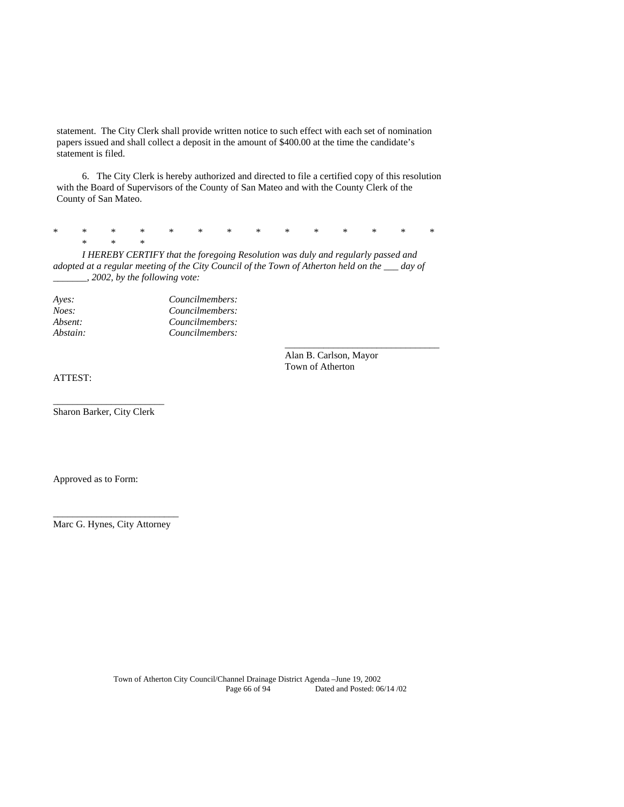statement. The City Clerk shall provide written notice to such effect with each set of nomination papers issued and shall collect a deposit in the amount of \$400.00 at the time the candidate's statement is filed.

6. The City Clerk is hereby authorized and directed to file a certified copy of this resolution with the Board of Supervisors of the County of San Mateo and with the County Clerk of the County of San Mateo.

\* \* \* \* \* \* \* \* \* \* \* \* \* \*  $*$  \* \* \*

*I HEREBY CERTIFY that the foregoing Resolution was duly and regularly passed and adopted at a regular meeting of the City Council of the Town of Atherton held on the \_\_\_ day of \_\_\_\_\_\_\_, 2002, by the following vote:* 

 $\overline{\phantom{a}}$  , and the contract of the contract of the contract of the contract of the contract of the contract of the contract of the contract of the contract of the contract of the contract of the contract of the contrac

| Aves:    | Councilmembers: |  |  |
|----------|-----------------|--|--|
| Noes:    | Councilmembers: |  |  |
| Absent:  | Councilmembers: |  |  |
| Abstain: | Councilmembers: |  |  |

 Alan B. Carlson, Mayor Town of Atherton

ATTEST:

\_\_\_\_\_\_\_\_\_\_\_\_\_\_\_\_\_\_\_\_\_\_\_ Sharon Barker, City Clerk

Approved as to Form:

\_\_\_\_\_\_\_\_\_\_\_\_\_\_\_\_\_\_\_\_\_\_\_\_\_\_ Marc G. Hynes, City Attorney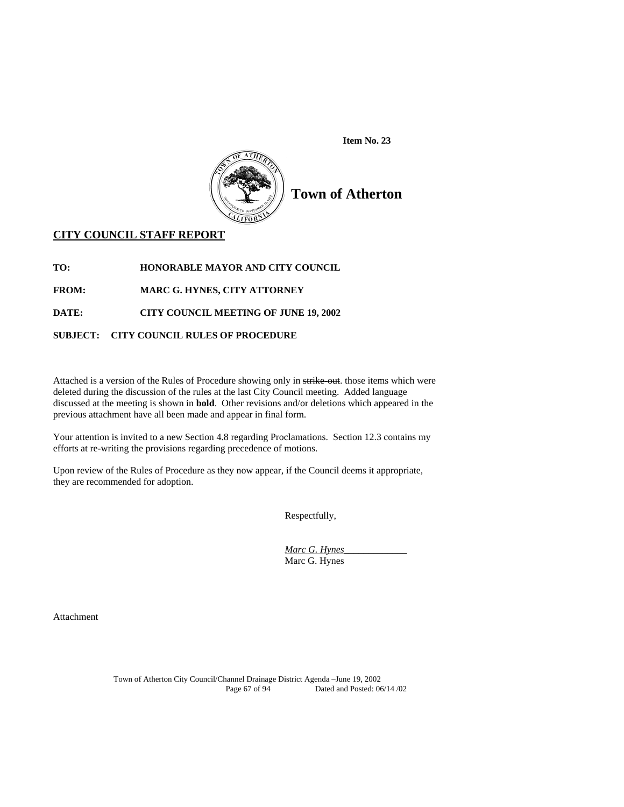**Item No. 23** 



# **Town of Atherton**

# **CITY COUNCIL STAFF REPORT**

**TO: HONORABLE MAYOR AND CITY COUNCIL** 

**FROM: MARC G. HYNES, CITY ATTORNEY** 

**DATE: CITY COUNCIL MEETING OF JUNE 19, 2002** 

# **SUBJECT: CITY COUNCIL RULES OF PROCEDURE**

Attached is a version of the Rules of Procedure showing only in strike-out. those items which were deleted during the discussion of the rules at the last City Council meeting. Added language discussed at the meeting is shown in **bold**. Other revisions and/or deletions which appeared in the previous attachment have all been made and appear in final form.

Your attention is invited to a new Section 4.8 regarding Proclamations. Section 12.3 contains my efforts at re-writing the provisions regarding precedence of motions.

Upon review of the Rules of Procedure as they now appear, if the Council deems it appropriate, they are recommended for adoption.

Respectfully,

*Marc G. Hynes*\_\_\_\_\_\_\_\_\_\_\_\_\_ Marc G. Hynes

Attachment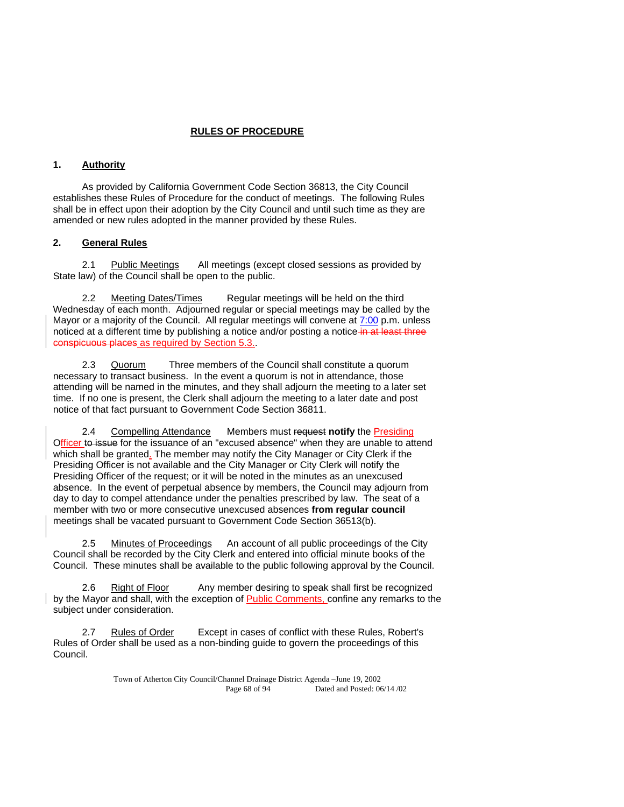# **RULES OF PROCEDURE**

# **1. Authority**

 As provided by California Government Code Section 36813, the City Council establishes these Rules of Procedure for the conduct of meetings. The following Rules shall be in effect upon their adoption by the City Council and until such time as they are amended or new rules adopted in the manner provided by these Rules.

# **2. General Rules**

2.1 Public Meetings All meetings (except closed sessions as provided by State law) of the Council shall be open to the public.

Meeting Dates/Times Regular meetings will be held on the third Wednesday of each month. Adjourned regular or special meetings may be called by the Mayor or a majority of the Council. All regular meetings will convene at 7:00 p.m. unless noticed at a different time by publishing a notice and/or posting a notice in at least three conspicuous places as required by Section 5.3..

 2.3 Quorum Three members of the Council shall constitute a quorum necessary to transact business. In the event a quorum is not in attendance, those attending will be named in the minutes, and they shall adjourn the meeting to a later set time. If no one is present, the Clerk shall adjourn the meeting to a later date and post notice of that fact pursuant to Government Code Section 36811.

 2.4 Compelling Attendance Members must request **notify** the Presiding Officer to issue for the issuance of an "excused absence" when they are unable to attend which shall be granted. The member may notify the City Manager or City Clerk if the Presiding Officer is not available and the City Manager or City Clerk will notify the Presiding Officer of the request; or it will be noted in the minutes as an unexcused absence. In the event of perpetual absence by members, the Council may adjourn from day to day to compel attendance under the penalties prescribed by law. The seat of a member with two or more consecutive unexcused absences **from regular council**  meetings shall be vacated pursuant to Government Code Section 36513(b).

2.5 Minutes of Proceedings An account of all public proceedings of the City Council shall be recorded by the City Clerk and entered into official minute books of the Council. These minutes shall be available to the public following approval by the Council.

2.6 Right of Floor Any member desiring to speak shall first be recognized by the Mayor and shall, with the exception of Public Comments, confine any remarks to the subject under consideration.

 2.7 Rules of Order Except in cases of conflict with these Rules, Robert's Rules of Order shall be used as a non-binding guide to govern the proceedings of this Council.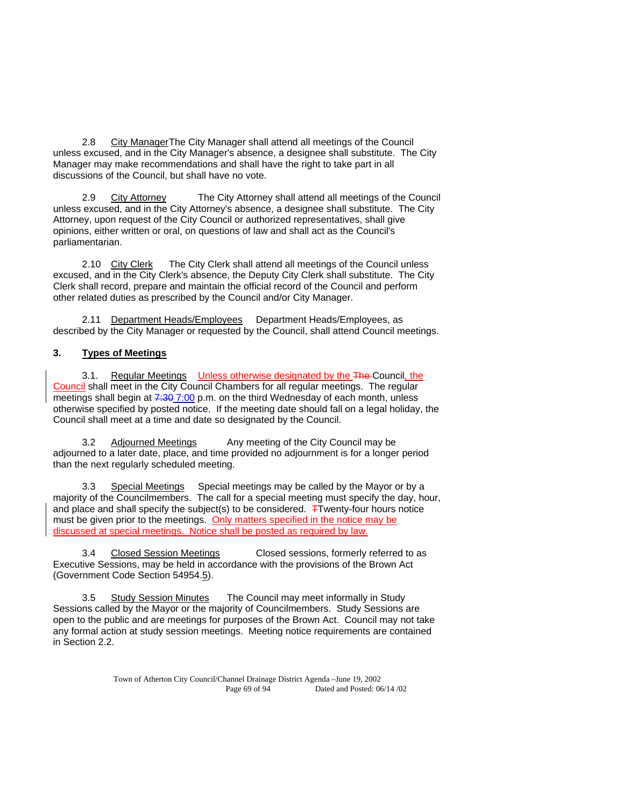2.8 City Manager The City Manager shall attend all meetings of the Council unless excused, and in the City Manager's absence, a designee shall substitute. The City Manager may make recommendations and shall have the right to take part in all discussions of the Council, but shall have no vote.

 2.9 City Attorney The City Attorney shall attend all meetings of the Council unless excused, and in the City Attorney's absence, a designee shall substitute. The City Attorney, upon request of the City Council or authorized representatives, shall give opinions, either written or oral, on questions of law and shall act as the Council's parliamentarian.

2.10 City Clerk The City Clerk shall attend all meetings of the Council unless excused, and in the City Clerk's absence, the Deputy City Clerk shall substitute. The City Clerk shall record, prepare and maintain the official record of the Council and perform other related duties as prescribed by the Council and/or City Manager.

 2.11 Department Heads/Employees Department Heads/Employees, as described by the City Manager or requested by the Council, shall attend Council meetings.

# **3. Types of Meetings**

3.1. Regular Meetings Unless otherwise designated by the The Council, the Council shall meet in the City Council Chambers for all regular meetings. The regular meetings shall begin at 7:30 7:00 p.m. on the third Wednesday of each month, unless otherwise specified by posted notice. If the meeting date should fall on a legal holiday, the Council shall meet at a time and date so designated by the Council.

3.2 Adjourned Meetings Any meeting of the City Council may be adjourned to a later date, place, and time provided no adjournment is for a longer period than the next regularly scheduled meeting.

 3.3 Special Meetings Special meetings may be called by the Mayor or by a majority of the Councilmembers. The call for a special meeting must specify the day, hour, and place and shall specify the subject(s) to be considered.  $\overline{+}$ Twenty-four hours notice must be given prior to the meetings. Only matters specified in the notice may be discussed at special meetings. Notice shall be posted as required by law.

3.4 Closed Session Meetings Closed sessions, formerly referred to as Executive Sessions, may be held in accordance with the provisions of the Brown Act (Government Code Section 54954.5).

3.5 Study Session Minutes The Council may meet informally in Study Sessions called by the Mayor or the majority of Councilmembers. Study Sessions are open to the public and are meetings for purposes of the Brown Act. Council may not take any formal action at study session meetings. Meeting notice requirements are contained in Section 2.2.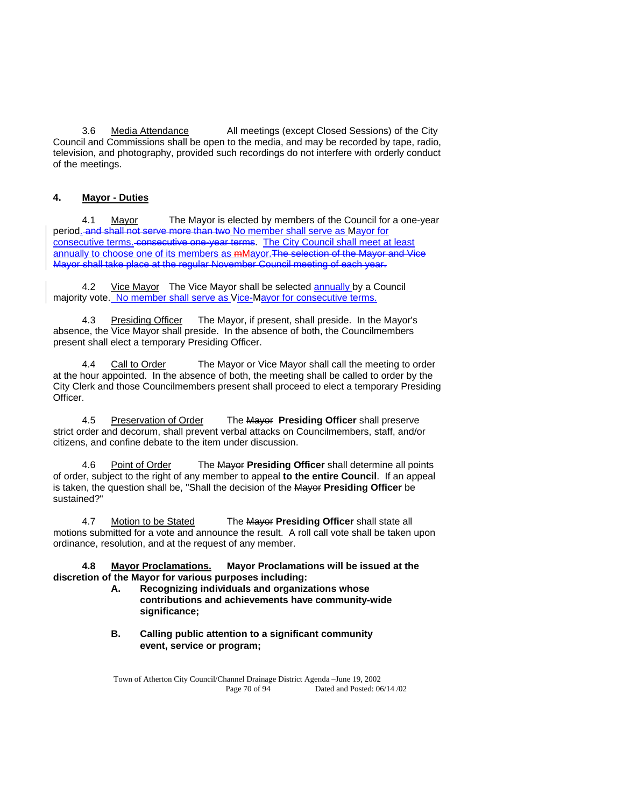3.6 Media Attendance All meetings (except Closed Sessions) of the City Council and Commissions shall be open to the media, and may be recorded by tape, radio, television, and photography, provided such recordings do not interfere with orderly conduct of the meetings.

# **4. Mayor - Duties**

 4.1 Mayor The Mayor is elected by members of the Council for a one-year period. and shall not serve more than two No member shall serve as Mayor for consecutive terms. consecutive one-year terms. The City Council shall meet at least annually to choose one of its members as  $m$ Mayor. The selection of the Mayor and Vice Mayor shall take place at the regular November Council meeting of each year.

4.2 Vice Mayor The Vice Mayor shall be selected annually by a Council majority vote. No member shall serve as Vice-Mayor for consecutive terms.

Presiding Officer The Mayor, if present, shall preside. In the Mayor's absence, the Vice Mayor shall preside. In the absence of both, the Councilmembers present shall elect a temporary Presiding Officer.

4.4 Call to Order The Mayor or Vice Mayor shall call the meeting to order at the hour appointed. In the absence of both, the meeting shall be called to order by the City Clerk and those Councilmembers present shall proceed to elect a temporary Presiding Officer.

 4.5 Preservation of Order The Mayor **Presiding Officer** shall preserve strict order and decorum, shall prevent verbal attacks on Councilmembers, staff, and/or citizens, and confine debate to the item under discussion.

 4.6 Point of Order The Mayor **Presiding Officer** shall determine all points of order, subject to the right of any member to appeal **to the entire Council**. If an appeal is taken, the question shall be, "Shall the decision of the Mayor **Presiding Officer** be sustained?"

 4.7 Motion to be Stated The Mayor **Presiding Officer** shall state all motions submitted for a vote and announce the result. A roll call vote shall be taken upon ordinance, resolution, and at the request of any member.

 **4.8 Mayor Proclamations. Mayor Proclamations will be issued at the discretion of the Mayor for various purposes including:** 

- **A. Recognizing individuals and organizations whose contributions and achievements have community-wide significance;**
- **B. Calling public attention to a significant community event, service or program;**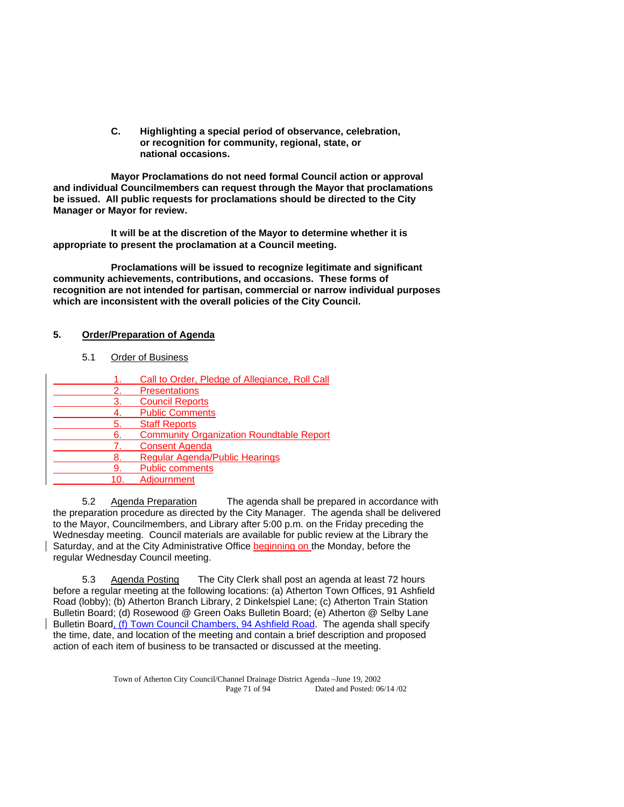**C. Highlighting a special period of observance, celebration, or recognition for community, regional, state, or national occasions.** 

 **Mayor Proclamations do not need formal Council action or approval and individual Councilmembers can request through the Mayor that proclamations be issued. All public requests for proclamations should be directed to the City Manager or Mayor for review.** 

 **It will be at the discretion of the Mayor to determine whether it is appropriate to present the proclamation at a Council meeting.** 

 **Proclamations will be issued to recognize legitimate and significant community achievements, contributions, and occasions. These forms of recognition are not intended for partisan, commercial or narrow individual purposes which are inconsistent with the overall policies of the City Council.** 

# **5. Order/Preparation of Agenda**

5.1 Order of Business

|     | Call to Order, Pledge of Allegiance, Roll Call  |
|-----|-------------------------------------------------|
| 2.  | <b>Presentations</b>                            |
| 3.  | <b>Council Reports</b>                          |
|     | <b>Public Comments</b>                          |
| 5.  | <b>Staff Reports</b>                            |
| 6.  | <b>Community Organization Roundtable Report</b> |
| 7.  | <b>Consent Agenda</b>                           |
| 8.  | <b>Regular Agenda/Public Hearings</b>           |
| 9.  | <b>Public comments</b>                          |
| 10. | Adjournment                                     |

 5.2 Agenda Preparation The agenda shall be prepared in accordance with the preparation procedure as directed by the City Manager. The agenda shall be delivered to the Mayor, Councilmembers, and Library after 5:00 p.m. on the Friday preceding the Wednesday meeting. Council materials are available for public review at the Library the Saturday, and at the City Administrative Office beginning on the Monday, before the regular Wednesday Council meeting.

 5.3 Agenda Posting The City Clerk shall post an agenda at least 72 hours before a regular meeting at the following locations: (a) Atherton Town Offices, 91 Ashfield Road (lobby); (b) Atherton Branch Library, 2 Dinkelspiel Lane; (c) Atherton Train Station Bulletin Board; (d) Rosewood @ Green Oaks Bulletin Board; (e) Atherton @ Selby Lane Bulletin Board, (f) Town Council Chambers, 94 Ashfield Road. The agenda shall specify the time, date, and location of the meeting and contain a brief description and proposed action of each item of business to be transacted or discussed at the meeting.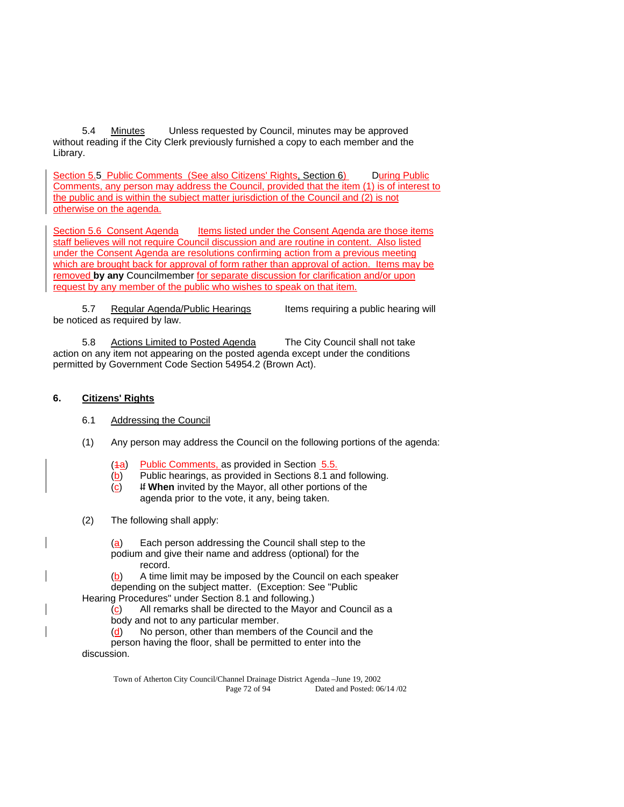5.4 Minutes Unless requested by Council, minutes may be approved without reading if the City Clerk previously furnished a copy to each member and the Library.

Section 5.5 Public Comments (See also Citizens' Rights, Section 6) During Public Comments, any person may address the Council, provided that the item (1) is of interest to the public and is within the subject matter jurisdiction of the Council and (2) is not otherwise on the agenda.

Section 5.6 Consent Agenda Items listed under the Consent Agenda are those items staff believes will not require Council discussion and are routine in content. Also listed under the Consent Agenda are resolutions confirming action from a previous meeting which are brought back for approval of form rather than approval of action. Items may be removed **by any** Councilmember for separate discussion for clarification and/or upon request by any member of the public who wishes to speak on that item.

5.7 Regular Agenda/Public Hearings Items requiring a public hearing will be noticed as required by law.

5.8 Actions Limited to Posted Agenda The City Council shall not take action on any item not appearing on the posted agenda except under the conditions permitted by Government Code Section 54954.2 (Brown Act).

# **6. Citizens' Rights**

- 6.1 Addressing the Council
- (1) Any person may address the Council on the following portions of the agenda:
	- (4a) Public Comments, as provided in Section 5.5.
	- (b) Public hearings, as provided in Sections 8.1 and following.
	- (c) If **When** invited by the Mayor, all other portions of the agenda prior to the vote, it any, being taken.
- (2) The following shall apply:

 (a) Each person addressing the Council shall step to the podium and give their name and address (optional) for the record.

(b) A time limit may be imposed by the Council on each speaker

 depending on the subject matter. (Exception: See "Public Hearing Procedures" under Section 8.1 and following.)

 (c) All remarks shall be directed to the Mayor and Council as a body and not to any particular member.

(d) No person, other than members of the Council and the

 person having the floor, shall be permitted to enter into the discussion.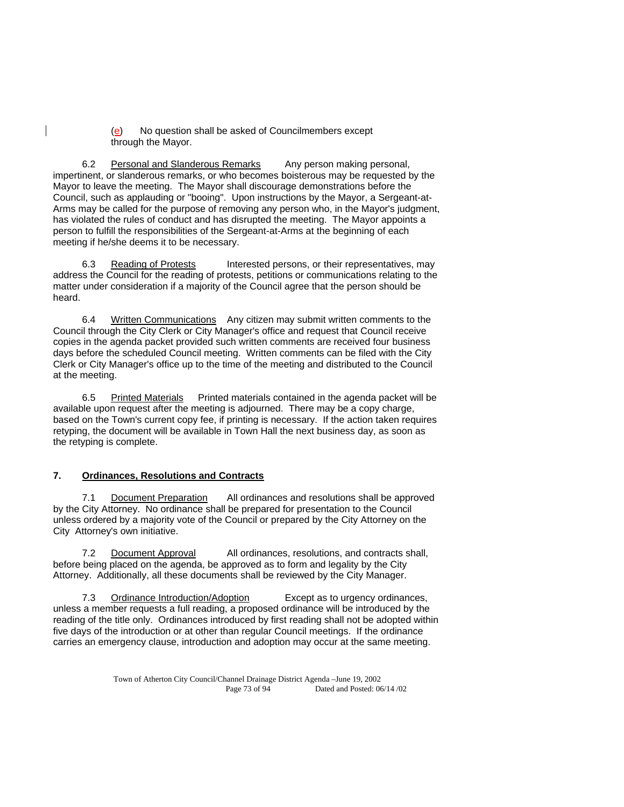(e) No question shall be asked of Councilmembers except through the Mayor.

 6.2 Personal and Slanderous Remarks Any person making personal, impertinent, or slanderous remarks, or who becomes boisterous may be requested by the Mayor to leave the meeting. The Mayor shall discourage demonstrations before the Council, such as applauding or "booing". Upon instructions by the Mayor, a Sergeant-at-Arms may be called for the purpose of removing any person who, in the Mayor's judgment, has violated the rules of conduct and has disrupted the meeting. The Mayor appoints a person to fulfill the responsibilities of the Sergeant-at-Arms at the beginning of each meeting if he/she deems it to be necessary.

6.3 Reading of Protests Interested persons, or their representatives, may address the Council for the reading of protests, petitions or communications relating to the matter under consideration if a majority of the Council agree that the person should be heard.

 6.4 Written Communications Any citizen may submit written comments to the Council through the City Clerk or City Manager's office and request that Council receive copies in the agenda packet provided such written comments are received four business days before the scheduled Council meeting. Written comments can be filed with the City Clerk or City Manager's office up to the time of the meeting and distributed to the Council at the meeting.

 6.5 Printed Materials Printed materials contained in the agenda packet will be available upon request after the meeting is adjourned. There may be a copy charge, based on the Town's current copy fee, if printing is necessary. If the action taken requires retyping, the document will be available in Town Hall the next business day, as soon as the retyping is complete.

## **7. Ordinances, Resolutions and Contracts**

 7.1 Document Preparation All ordinances and resolutions shall be approved by the City Attorney. No ordinance shall be prepared for presentation to the Council unless ordered by a majority vote of the Council or prepared by the City Attorney on the City Attorney's own initiative.

 7.2 Document Approval All ordinances, resolutions, and contracts shall, before being placed on the agenda, be approved as to form and legality by the City Attorney. Additionally, all these documents shall be reviewed by the City Manager.

 7.3 Ordinance Introduction/Adoption Except as to urgency ordinances, unless a member requests a full reading, a proposed ordinance will be introduced by the reading of the title only. Ordinances introduced by first reading shall not be adopted within five days of the introduction or at other than regular Council meetings. If the ordinance carries an emergency clause, introduction and adoption may occur at the same meeting.

> Town of Atherton City Council/Channel Drainage District Agenda –June 19, 2002 Page 73 of 94 Dated and Posted: 06/14 /02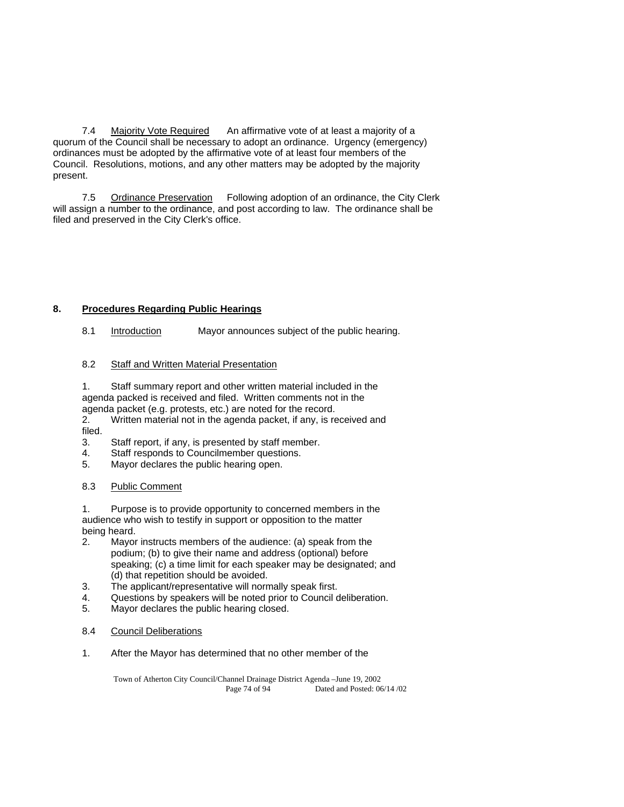7.4 Majority Vote Required An affirmative vote of at least a majority of a quorum of the Council shall be necessary to adopt an ordinance. Urgency (emergency) ordinances must be adopted by the affirmative vote of at least four members of the Council. Resolutions, motions, and any other matters may be adopted by the majority present.

 7.5 Ordinance Preservation Following adoption of an ordinance, the City Clerk will assign a number to the ordinance, and post according to law. The ordinance shall be filed and preserved in the City Clerk's office.

## **8. Procedures Regarding Public Hearings**

8.1 Introduction Mayor announces subject of the public hearing.

## 8.2 Staff and Written Material Presentation

 1. Staff summary report and other written material included in the agenda packed is received and filed. Written comments not in the agenda packet (e.g. protests, etc.) are noted for the record.

 2. Written material not in the agenda packet, if any, is received and filed.

3. Staff report, if any, is presented by staff member.

- 4. Staff responds to Councilmember questions.
- 5. Mayor declares the public hearing open.

## 8.3 Public Comment

 1. Purpose is to provide opportunity to concerned members in the audience who wish to testify in support or opposition to the matter being heard.

- 2. Mayor instructs members of the audience: (a) speak from the podium; (b) to give their name and address (optional) before speaking; (c) a time limit for each speaker may be designated; and (d) that repetition should be avoided.
- 3. The applicant/representative will normally speak first.
- 4. Questions by speakers will be noted prior to Council deliberation.
- 5. Mayor declares the public hearing closed.
- 8.4 Council Deliberations
- 1. After the Mayor has determined that no other member of the

Town of Atherton City Council/Channel Drainage District Agenda –June 19, 2002 Page 74 of 94 Dated and Posted: 06/14 /02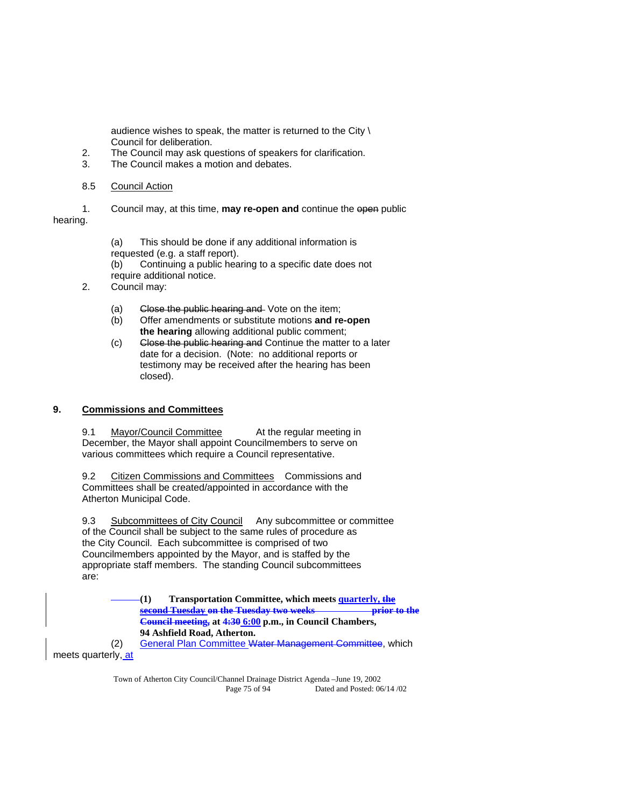audience wishes to speak, the matter is returned to the City \ Council for deliberation.

- 2. The Council may ask questions of speakers for clarification.
- 3. The Council makes a motion and debates.
- 8.5 Council Action

 1. Council may, at this time, **may re-open and** continue the open public hearing.

> (a) This should be done if any additional information is requested (e.g. a staff report).

 (b) Continuing a public hearing to a specific date does not require additional notice.

- 2. Council may:
	- (a) Close the public hearing and Vote on the item;
	- (b) Offer amendments or substitute motions **and re-open the hearing** allowing additional public comment;
	- (c) Close the public hearing and Continue the matter to a later date for a decision. (Note: no additional reports or testimony may be received after the hearing has been closed).

## **9. Commissions and Committees**

9.1 Mayor/Council Committee At the regular meeting in December, the Mayor shall appoint Councilmembers to serve on various committees which require a Council representative.

 9.2 Citizen Commissions and Committees Commissions and Committees shall be created/appointed in accordance with the Atherton Municipal Code.

9.3 Subcommittees of City Council Any subcommittee or committee of the Council shall be subject to the same rules of procedure as the City Council. Each subcommittee is comprised of two Councilmembers appointed by the Mayor, and is staffed by the appropriate staff members. The standing Council subcommittees are:

> **(1) Transportation Committee, which meets quarterly, the second Tuesday on the Tuesday two weeks prior to the Council meeting, at 4:30 6:00 p.m., in Council Chambers, 94 Ashfield Road, Atherton.**

 (2) General Plan Committee Water Management Committee, which meets quarterly, at

> Town of Atherton City Council/Channel Drainage District Agenda –June 19, 2002 Page 75 of 94 Dated and Posted: 06/14 /02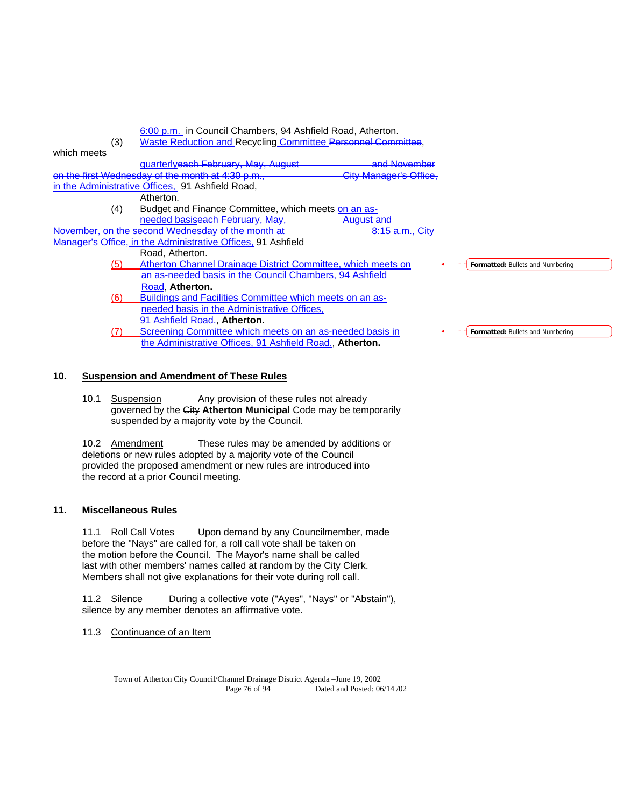| (3)         | 6:00 p.m. in Council Chambers, 94 Ashfield Road, Atherton.<br>Waste Reduction and Recycling Committee Personnel Committee, |  |  |  |  |  |  |
|-------------|----------------------------------------------------------------------------------------------------------------------------|--|--|--|--|--|--|
| which meets |                                                                                                                            |  |  |  |  |  |  |
|             | and November<br>quarterlyeach February, May, August                                                                        |  |  |  |  |  |  |
|             | on the first Wednesday of the month at 4:30 p.m.,<br><b>City Manager's Office,</b>                                         |  |  |  |  |  |  |
|             | in the Administrative Offices, 91 Ashfield Road,                                                                           |  |  |  |  |  |  |
|             | Atherton.                                                                                                                  |  |  |  |  |  |  |
| (4)         | Budget and Finance Committee, which meets on an as-                                                                        |  |  |  |  |  |  |
|             | needed basiseach February, May,<br><del>August and</del>                                                                   |  |  |  |  |  |  |
|             | November, on the second Wednesday of the month at<br>8:15 a.m., City                                                       |  |  |  |  |  |  |
|             | Manager's Office, in the Administrative Offices, 91 Ashfield                                                               |  |  |  |  |  |  |
|             | Road. Atherton.                                                                                                            |  |  |  |  |  |  |
| (5)         | Atherton Channel Drainage District Committee, which meets on<br>Formatted: Bullets and Numbering                           |  |  |  |  |  |  |
|             | an as-needed basis in the Council Chambers, 94 Ashfield                                                                    |  |  |  |  |  |  |
|             | Road, Atherton.                                                                                                            |  |  |  |  |  |  |
| (6)         | Buildings and Facilities Committee which meets on an as-                                                                   |  |  |  |  |  |  |
|             | needed basis in the Administrative Offices,                                                                                |  |  |  |  |  |  |
|             | 91 Ashfield Road., Atherton.                                                                                               |  |  |  |  |  |  |
|             | Screening Committee which meets on an as-needed basis in<br><b>Formatted: Bullets and Numbering</b>                        |  |  |  |  |  |  |
|             | the Administrative Offices, 91 Ashfield Road., Atherton.                                                                   |  |  |  |  |  |  |
|             |                                                                                                                            |  |  |  |  |  |  |

## **10. Suspension and Amendment of These Rules**

### 10.1 Suspension Any provision of these rules not already governed by the City **Atherton Municipal** Code may be temporarily suspended by a majority vote by the Council.

 10.2 Amendment These rules may be amended by additions or deletions or new rules adopted by a majority vote of the Council provided the proposed amendment or new rules are introduced into the record at a prior Council meeting.

## **11. Miscellaneous Rules**

11.1 Roll Call Votes Upon demand by any Councilmember, made before the "Nays" are called for, a roll call vote shall be taken on the motion before the Council. The Mayor's name shall be called last with other members' names called at random by the City Clerk. Members shall not give explanations for their vote during roll call.

11.2 Silence During a collective vote ("Ayes", "Nays" or "Abstain"), silence by any member denotes an affirmative vote.

## 11.3 Continuance of an Item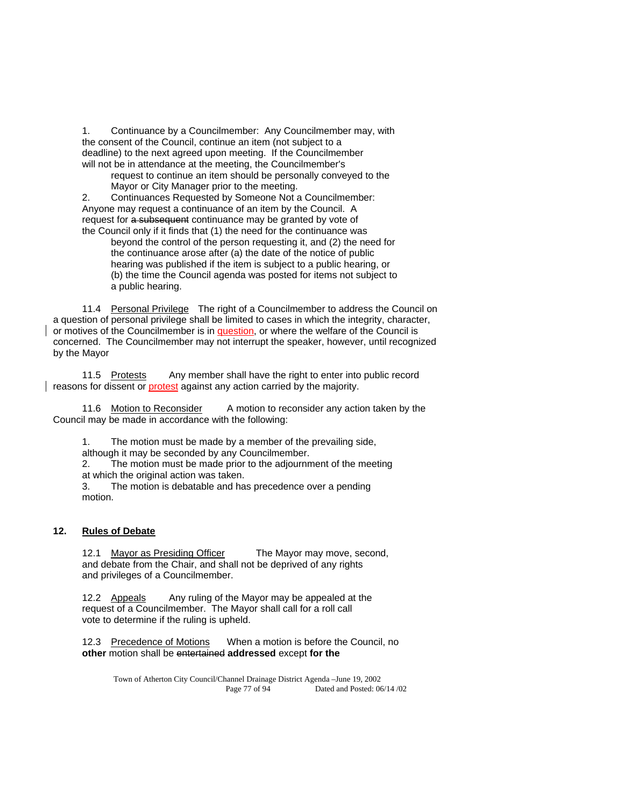1. Continuance by a Councilmember: Any Councilmember may, with the consent of the Council, continue an item (not subject to a deadline) to the next agreed upon meeting. If the Councilmember will not be in attendance at the meeting, the Councilmember's

 request to continue an item should be personally conveyed to the Mayor or City Manager prior to the meeting.

 2. Continuances Requested by Someone Not a Councilmember: Anyone may request a continuance of an item by the Council. A request for a subsequent continuance may be granted by vote of the Council only if it finds that (1) the need for the continuance was

beyond the control of the person requesting it, and (2) the need for the continuance arose after (a) the date of the notice of public hearing was published if the item is subject to a public hearing, or (b) the time the Council agenda was posted for items not subject to a public hearing.

11.4 Personal Privilege The right of a Councilmember to address the Council on a question of personal privilege shall be limited to cases in which the integrity, character, or motives of the Councilmember is in question, or where the welfare of the Council is concerned. The Councilmember may not interrupt the speaker, however, until recognized by the Mayor

11.5 Protests Any member shall have the right to enter into public record reasons for dissent or **protest** against any action carried by the majority.

 11.6 Motion to Reconsider A motion to reconsider any action taken by the Council may be made in accordance with the following:

 1. The motion must be made by a member of the prevailing side, although it may be seconded by any Councilmember.

 2. The motion must be made prior to the adjournment of the meeting at which the original action was taken.

 3. The motion is debatable and has precedence over a pending motion.

### **12. Rules of Debate**

12.1 Mayor as Presiding Officer The Mayor may move, second, and debate from the Chair, and shall not be deprived of any rights and privileges of a Councilmember.

12.2 Appeals Any ruling of the Mayor may be appealed at the request of a Councilmember. The Mayor shall call for a roll call vote to determine if the ruling is upheld.

 12.3 Precedence of Motions When a motion is before the Council, no **other** motion shall be entertained **addressed** except **for the** 

Town of Atherton City Council/Channel Drainage District Agenda –June 19, 2002 Page 77 of 94 Dated and Posted: 06/14 /02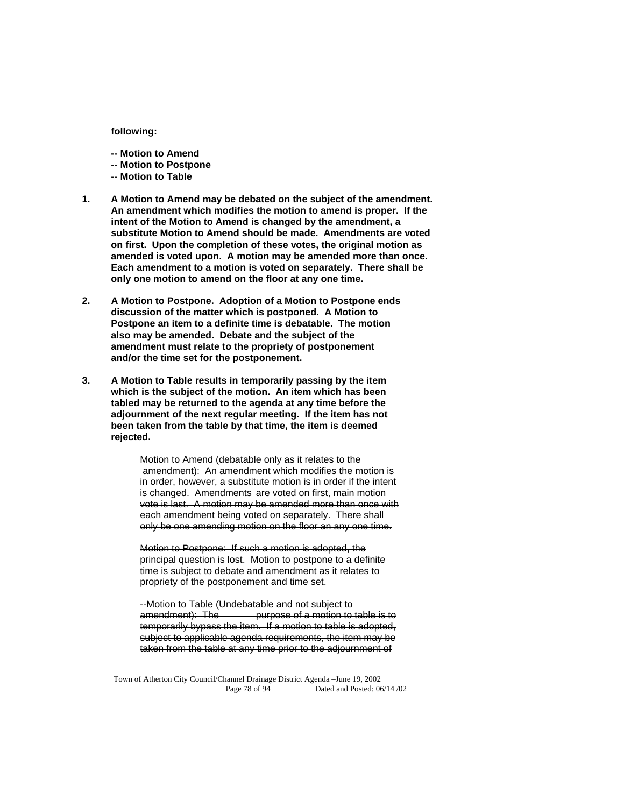#### **following:**

- **-- Motion to Amend**
- -- **Motion to Postpone**
- -- **Motion to Table**
- **1. A Motion to Amend may be debated on the subject of the amendment. An amendment which modifies the motion to amend is proper. If the intent of the Motion to Amend is changed by the amendment, a substitute Motion to Amend should be made. Amendments are voted on first. Upon the completion of these votes, the original motion as amended is voted upon. A motion may be amended more than once. Each amendment to a motion is voted on separately. There shall be only one motion to amend on the floor at any one time.**
- **2. A Motion to Postpone. Adoption of a Motion to Postpone ends discussion of the matter which is postponed. A Motion to Postpone an item to a definite time is debatable. The motion also may be amended. Debate and the subject of the amendment must relate to the propriety of postponement and/or the time set for the postponement.**
- **3. A Motion to Table results in temporarily passing by the item which is the subject of the motion. An item which has been tabled may be returned to the agenda at any time before the adjournment of the next regular meeting. If the item has not been taken from the table by that time, the item is deemed rejected.**

 Motion to Amend (debatable only as it relates to the amendment): An amendment which modifies the motion is in order, however, a substitute motion is in order if the intent is changed. Amendments are voted on first, main motion vote is last. A motion may be amended more than once with each amendment being voted on separately. There shall only be one amending motion on the floor an any one time.

 Motion to Postpone: If such a motion is adopted, the principal question is lost. Motion to postpone to a definite time is subject to debate and amendment as it relates to propriety of the postponement and time set.

 --Motion to Table (Undebatable and not subject to purpose of a motion to table is to temporarily bypass the item. If a motion to table is adopted, subject to applicable agenda requirements, the item may be taken from the table at any time prior to the adjournment of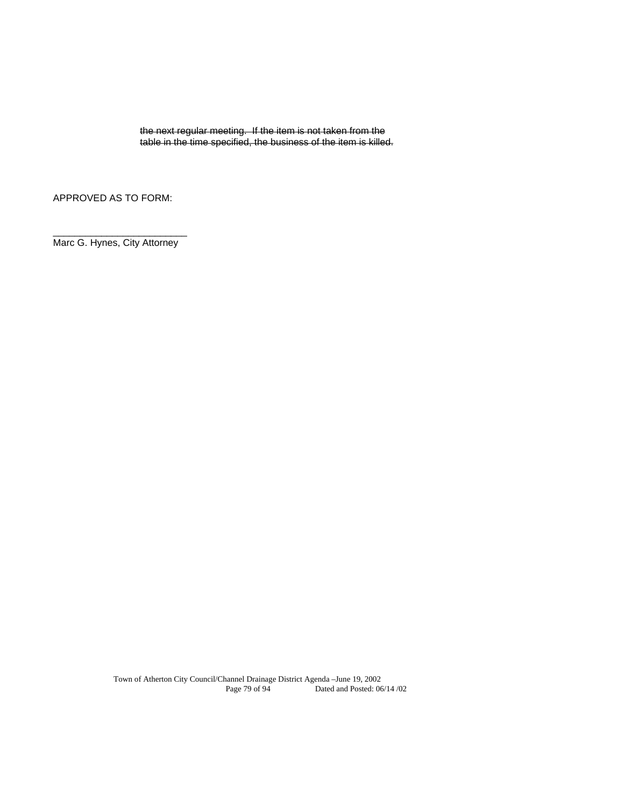the next regular meeting. If the item is not taken from the table in the time specified, the business of the item is killed.

APPROVED AS TO FORM:

\_\_\_\_\_\_\_\_\_\_\_\_\_\_\_\_\_\_\_\_\_\_\_\_\_ Marc G. Hynes, City Attorney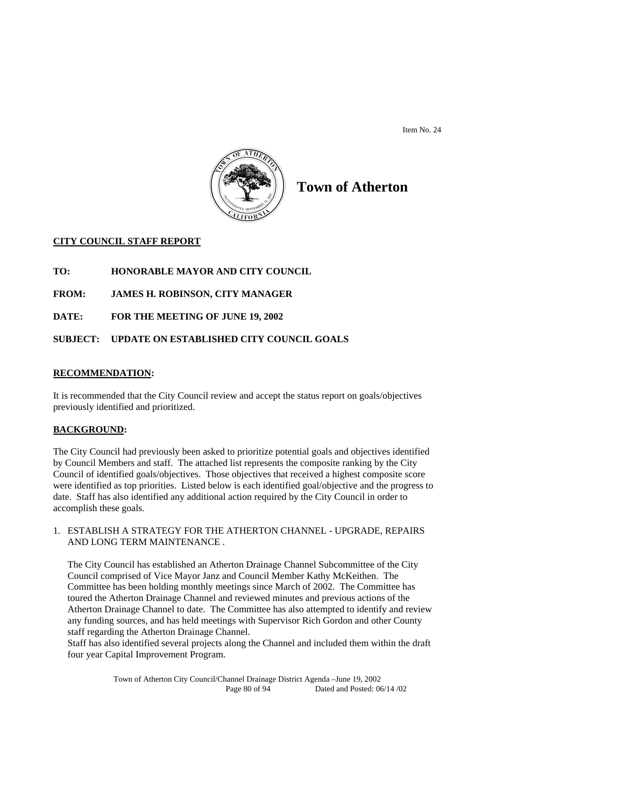Item No. 24



# **Town of Atherton**

## **CITY COUNCIL STAFF REPORT**

**TO: HONORABLE MAYOR AND CITY COUNCIL** 

**FROM: JAMES H. ROBINSON, CITY MANAGER** 

**DATE: FOR THE MEETING OF JUNE 19, 2002** 

## **SUBJECT: UPDATE ON ESTABLISHED CITY COUNCIL GOALS**

### **RECOMMENDATION:**

It is recommended that the City Council review and accept the status report on goals/objectives previously identified and prioritized.

### **BACKGROUND:**

The City Council had previously been asked to prioritize potential goals and objectives identified by Council Members and staff. The attached list represents the composite ranking by the City Council of identified goals/objectives. Those objectives that received a highest composite score were identified as top priorities. Listed below is each identified goal/objective and the progress to date. Staff has also identified any additional action required by the City Council in order to accomplish these goals.

1. ESTABLISH A STRATEGY FOR THE ATHERTON CHANNEL - UPGRADE, REPAIRS AND LONG TERM MAINTENANCE .

 The City Council has established an Atherton Drainage Channel Subcommittee of the City Council comprised of Vice Mayor Janz and Council Member Kathy McKeithen. The Committee has been holding monthly meetings since March of 2002. The Committee has toured the Atherton Drainage Channel and reviewed minutes and previous actions of the Atherton Drainage Channel to date. The Committee has also attempted to identify and review any funding sources, and has held meetings with Supervisor Rich Gordon and other County staff regarding the Atherton Drainage Channel.

 Staff has also identified several projects along the Channel and included them within the draft four year Capital Improvement Program.

> Town of Atherton City Council/Channel Drainage District Agenda –June 19, 2002 Dated and Posted: 06/14 /02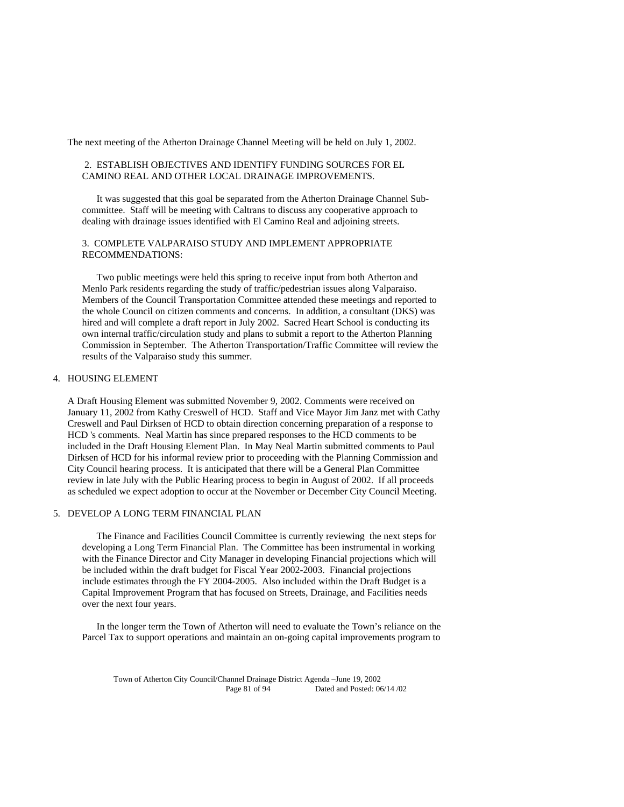The next meeting of the Atherton Drainage Channel Meeting will be held on July 1, 2002.

### 2. ESTABLISH OBJECTIVES AND IDENTIFY FUNDING SOURCES FOR EL CAMINO REAL AND OTHER LOCAL DRAINAGE IMPROVEMENTS.

 It was suggested that this goal be separated from the Atherton Drainage Channel Subcommittee. Staff will be meeting with Caltrans to discuss any cooperative approach to dealing with drainage issues identified with El Camino Real and adjoining streets.

### 3. COMPLETE VALPARAISO STUDY AND IMPLEMENT APPROPRIATE RECOMMENDATIONS:

 Two public meetings were held this spring to receive input from both Atherton and Menlo Park residents regarding the study of traffic/pedestrian issues along Valparaiso. Members of the Council Transportation Committee attended these meetings and reported to the whole Council on citizen comments and concerns. In addition, a consultant (DKS) was hired and will complete a draft report in July 2002. Sacred Heart School is conducting its own internal traffic/circulation study and plans to submit a report to the Atherton Planning Commission in September. The Atherton Transportation/Traffic Committee will review the results of the Valparaiso study this summer.

#### 4. HOUSING ELEMENT

A Draft Housing Element was submitted November 9, 2002. Comments were received on January 11, 2002 from Kathy Creswell of HCD. Staff and Vice Mayor Jim Janz met with Cathy Creswell and Paul Dirksen of HCD to obtain direction concerning preparation of a response to HCD 's comments. Neal Martin has since prepared responses to the HCD comments to be included in the Draft Housing Element Plan. In May Neal Martin submitted comments to Paul Dirksen of HCD for his informal review prior to proceeding with the Planning Commission and City Council hearing process. It is anticipated that there will be a General Plan Committee review in late July with the Public Hearing process to begin in August of 2002. If all proceeds as scheduled we expect adoption to occur at the November or December City Council Meeting.

#### 5. DEVELOP A LONG TERM FINANCIAL PLAN

 The Finance and Facilities Council Committee is currently reviewing the next steps for developing a Long Term Financial Plan. The Committee has been instrumental in working with the Finance Director and City Manager in developing Financial projections which will be included within the draft budget for Fiscal Year 2002-2003. Financial projections include estimates through the FY 2004-2005. Also included within the Draft Budget is a Capital Improvement Program that has focused on Streets, Drainage, and Facilities needs over the next four years.

 In the longer term the Town of Atherton will need to evaluate the Town's reliance on the Parcel Tax to support operations and maintain an on-going capital improvements program to

Town of Atherton City Council/Channel Drainage District Agenda –June 19, 2002 Page 81 of 94 Dated and Posted: 06/14 /02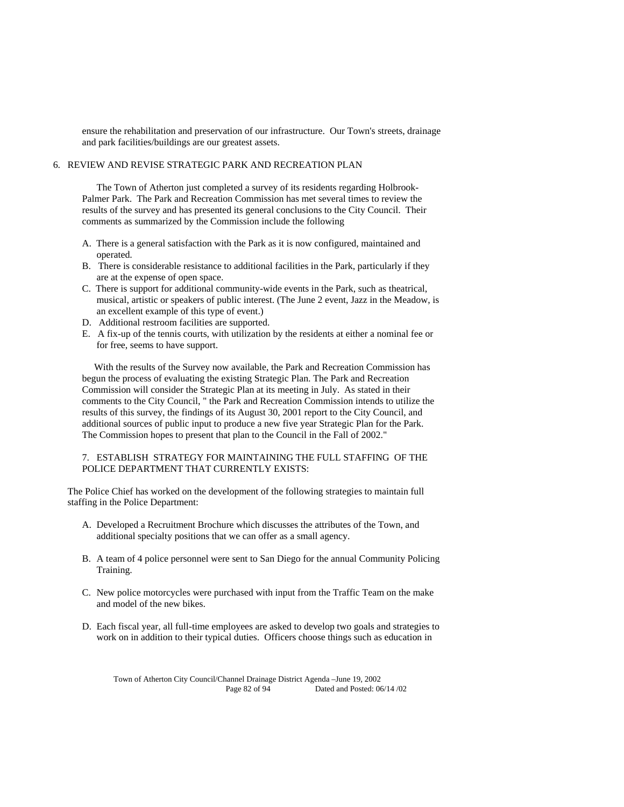ensure the rehabilitation and preservation of our infrastructure. Our Town's streets, drainage and park facilities/buildings are our greatest assets.

### 6. REVIEW AND REVISE STRATEGIC PARK AND RECREATION PLAN

 The Town of Atherton just completed a survey of its residents regarding Holbrook-Palmer Park. The Park and Recreation Commission has met several times to review the results of the survey and has presented its general conclusions to the City Council. Their comments as summarized by the Commission include the following

- A. There is a general satisfaction with the Park as it is now configured, maintained and operated.
- B. There is considerable resistance to additional facilities in the Park, particularly if they are at the expense of open space.
- C. There is support for additional community-wide events in the Park, such as theatrical, musical, artistic or speakers of public interest. (The June 2 event, Jazz in the Meadow, is an excellent example of this type of event.)
- D. Additional restroom facilities are supported.
- E. A fix-up of the tennis courts, with utilization by the residents at either a nominal fee or for free, seems to have support.

 With the results of the Survey now available, the Park and Recreation Commission has begun the process of evaluating the existing Strategic Plan. The Park and Recreation Commission will consider the Strategic Plan at its meeting in July. As stated in their comments to the City Council, " the Park and Recreation Commission intends to utilize the results of this survey, the findings of its August 30, 2001 report to the City Council, and additional sources of public input to produce a new five year Strategic Plan for the Park. The Commission hopes to present that plan to the Council in the Fall of 2002."

#### 7. ESTABLISH STRATEGY FOR MAINTAINING THE FULL STAFFING OF THE POLICE DEPARTMENT THAT CURRENTLY EXISTS:

The Police Chief has worked on the development of the following strategies to maintain full staffing in the Police Department:

- A. Developed a Recruitment Brochure which discusses the attributes of the Town, and additional specialty positions that we can offer as a small agency.
- B. A team of 4 police personnel were sent to San Diego for the annual Community Policing Training.
- C. New police motorcycles were purchased with input from the Traffic Team on the make and model of the new bikes.
- D. Each fiscal year, all full-time employees are asked to develop two goals and strategies to work on in addition to their typical duties. Officers choose things such as education in

Town of Atherton City Council/Channel Drainage District Agenda –June 19, 2002 Page 82 of 94 Dated and Posted: 06/14 /02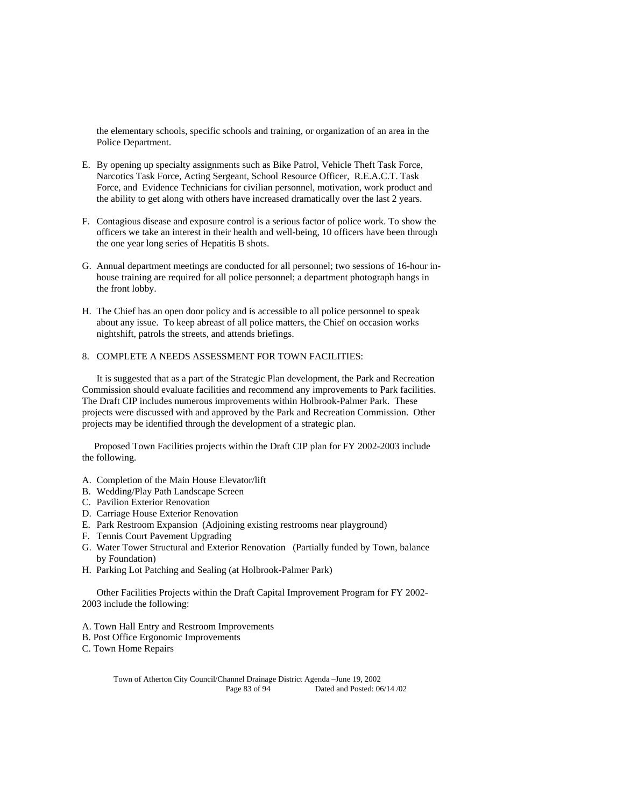the elementary schools, specific schools and training, or organization of an area in the Police Department.

- E. By opening up specialty assignments such as Bike Patrol, Vehicle Theft Task Force, Narcotics Task Force, Acting Sergeant, School Resource Officer, R.E.A.C.T. Task Force, and Evidence Technicians for civilian personnel, motivation, work product and the ability to get along with others have increased dramatically over the last 2 years.
- F. Contagious disease and exposure control is a serious factor of police work. To show the officers we take an interest in their health and well-being, 10 officers have been through the one year long series of Hepatitis B shots.
- G. Annual department meetings are conducted for all personnel; two sessions of 16-hour inhouse training are required for all police personnel; a department photograph hangs in the front lobby.
- H. The Chief has an open door policy and is accessible to all police personnel to speak about any issue. To keep abreast of all police matters, the Chief on occasion works nightshift, patrols the streets, and attends briefings.

### 8. COMPLETE A NEEDS ASSESSMENT FOR TOWN FACILITIES:

 It is suggested that as a part of the Strategic Plan development, the Park and Recreation Commission should evaluate facilities and recommend any improvements to Park facilities. The Draft CIP includes numerous improvements within Holbrook-Palmer Park. These projects were discussed with and approved by the Park and Recreation Commission. Other projects may be identified through the development of a strategic plan.

 Proposed Town Facilities projects within the Draft CIP plan for FY 2002-2003 include the following.

- A. Completion of the Main House Elevator/lift
- B. Wedding/Play Path Landscape Screen
- C. Pavilion Exterior Renovation
- D. Carriage House Exterior Renovation
- E. Park Restroom Expansion (Adjoining existing restrooms near playground)
- F. Tennis Court Pavement Upgrading
- G. Water Tower Structural and Exterior Renovation (Partially funded by Town, balance by Foundation)
- H. Parking Lot Patching and Sealing (at Holbrook-Palmer Park)

 Other Facilities Projects within the Draft Capital Improvement Program for FY 2002- 2003 include the following:

- A. Town Hall Entry and Restroom Improvements
- B. Post Office Ergonomic Improvements

C. Town Home Repairs

Town of Atherton City Council/Channel Drainage District Agenda –June 19, 2002 Page 83 of 94 Dated and Posted: 06/14 /02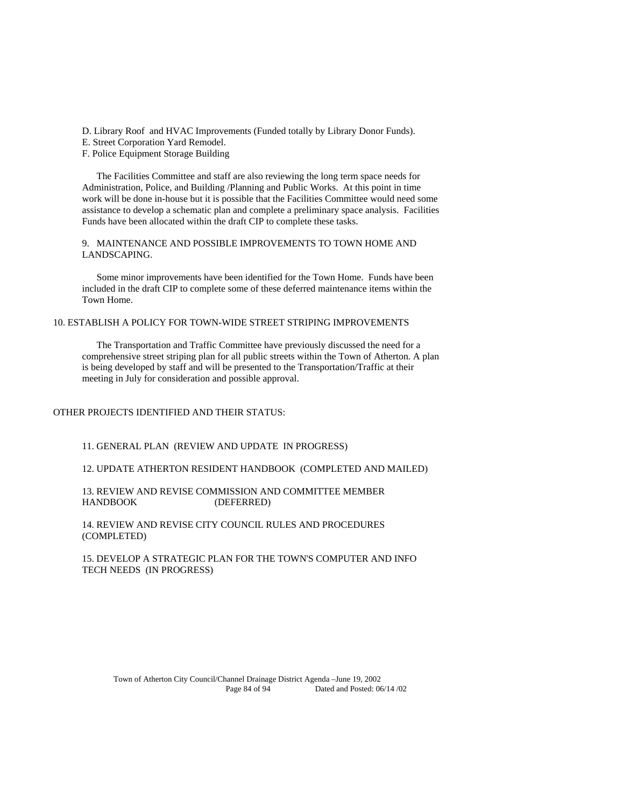D. Library Roof and HVAC Improvements (Funded totally by Library Donor Funds).

E. Street Corporation Yard Remodel.

F. Police Equipment Storage Building

 The Facilities Committee and staff are also reviewing the long term space needs for Administration, Police, and Building /Planning and Public Works. At this point in time work will be done in-house but it is possible that the Facilities Committee would need some assistance to develop a schematic plan and complete a preliminary space analysis. Facilities Funds have been allocated within the draft CIP to complete these tasks.

9. MAINTENANCE AND POSSIBLE IMPROVEMENTS TO TOWN HOME AND LANDSCAPING.

 Some minor improvements have been identified for the Town Home. Funds have been included in the draft CIP to complete some of these deferred maintenance items within the Town Home.

### 10. ESTABLISH A POLICY FOR TOWN-WIDE STREET STRIPING IMPROVEMENTS

 The Transportation and Traffic Committee have previously discussed the need for a comprehensive street striping plan for all public streets within the Town of Atherton. A plan is being developed by staff and will be presented to the Transportation/Traffic at their meeting in July for consideration and possible approval.

## OTHER PROJECTS IDENTIFIED AND THEIR STATUS:

11. GENERAL PLAN (REVIEW AND UPDATE IN PROGRESS)

12. UPDATE ATHERTON RESIDENT HANDBOOK (COMPLETED AND MAILED)

13. REVIEW AND REVISE COMMISSION AND COMMITTEE MEMBER HANDBOOK (DEFERRED)

14. REVIEW AND REVISE CITY COUNCIL RULES AND PROCEDURES (COMPLETED)

15. DEVELOP A STRATEGIC PLAN FOR THE TOWN'S COMPUTER AND INFO TECH NEEDS (IN PROGRESS)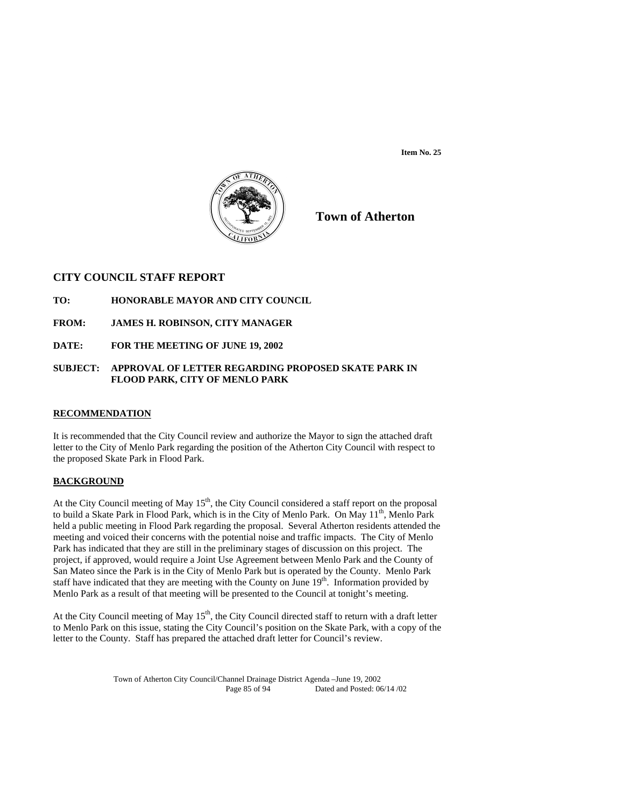**Item No. 25** 



**Town of Atherton**

## **CITY COUNCIL STAFF REPORT**

- **TO: HONORABLE MAYOR AND CITY COUNCIL**
- **FROM: JAMES H. ROBINSON, CITY MANAGER**
- **DATE: FOR THE MEETING OF JUNE 19, 2002**

### **SUBJECT: APPROVAL OF LETTER REGARDING PROPOSED SKATE PARK IN FLOOD PARK, CITY OF MENLO PARK**

### **RECOMMENDATION**

It is recommended that the City Council review and authorize the Mayor to sign the attached draft letter to the City of Menlo Park regarding the position of the Atherton City Council with respect to the proposed Skate Park in Flood Park.

## **BACKGROUND**

At the City Council meeting of May  $15<sup>th</sup>$ , the City Council considered a staff report on the proposal to build a Skate Park in Flood Park, which is in the City of Menlo Park. On May  $11<sup>th</sup>$ , Menlo Park held a public meeting in Flood Park regarding the proposal. Several Atherton residents attended the meeting and voiced their concerns with the potential noise and traffic impacts. The City of Menlo Park has indicated that they are still in the preliminary stages of discussion on this project. The project, if approved, would require a Joint Use Agreement between Menlo Park and the County of San Mateo since the Park is in the City of Menlo Park but is operated by the County. Menlo Park staff have indicated that they are meeting with the County on June  $19<sup>th</sup>$ . Information provided by Menlo Park as a result of that meeting will be presented to the Council at tonight's meeting.

At the City Council meeting of May  $15<sup>th</sup>$ , the City Council directed staff to return with a draft letter to Menlo Park on this issue, stating the City Council's position on the Skate Park, with a copy of the letter to the County. Staff has prepared the attached draft letter for Council's review.

> Town of Atherton City Council/Channel Drainage District Agenda –June 19, 2002 Dated and Posted: 06/14 /02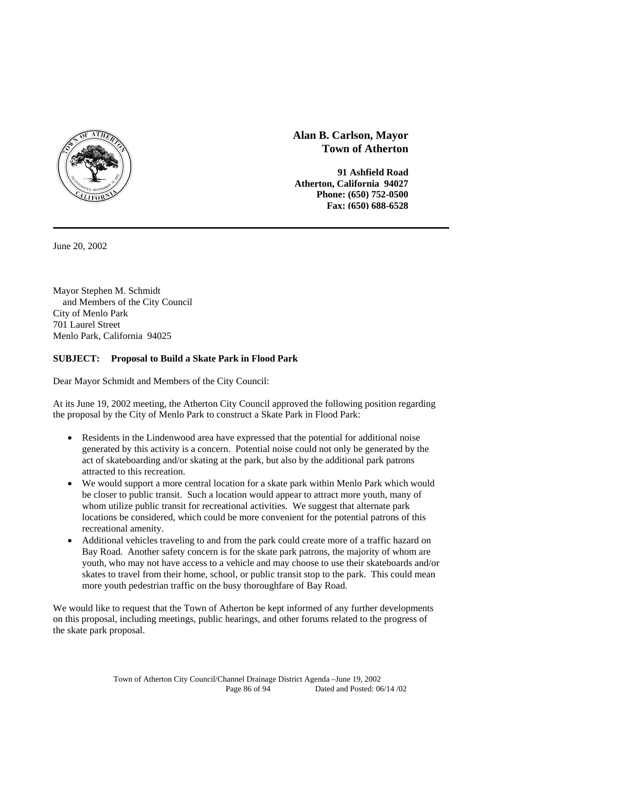

June 20, 2002

Mayor Stephen M. Schmidt and Members of the City Council City of Menlo Park 701 Laurel Street Menlo Park, California 94025

## **SUBJECT: Proposal to Build a Skate Park in Flood Park**

Dear Mayor Schmidt and Members of the City Council:

At its June 19, 2002 meeting, the Atherton City Council approved the following position regarding the proposal by the City of Menlo Park to construct a Skate Park in Flood Park:

**\_\_\_\_\_\_\_\_\_\_\_\_\_\_\_\_\_\_\_\_\_\_\_\_\_\_\_\_\_\_\_\_\_\_\_\_\_\_\_\_\_\_\_\_\_\_\_\_\_\_\_\_\_\_\_\_\_\_\_\_\_\_\_\_\_\_\_\_\_\_\_\_\_\_\_\_\_\_\_\_\_\_**

- Residents in the Lindenwood area have expressed that the potential for additional noise generated by this activity is a concern. Potential noise could not only be generated by the act of skateboarding and/or skating at the park, but also by the additional park patrons attracted to this recreation.
- We would support a more central location for a skate park within Menlo Park which would be closer to public transit. Such a location would appear to attract more youth, many of whom utilize public transit for recreational activities. We suggest that alternate park locations be considered, which could be more convenient for the potential patrons of this recreational amenity.
- Additional vehicles traveling to and from the park could create more of a traffic hazard on Bay Road. Another safety concern is for the skate park patrons, the majority of whom are youth, who may not have access to a vehicle and may choose to use their skateboards and/or skates to travel from their home, school, or public transit stop to the park. This could mean more youth pedestrian traffic on the busy thoroughfare of Bay Road.

We would like to request that the Town of Atherton be kept informed of any further developments on this proposal, including meetings, public hearings, and other forums related to the progress of the skate park proposal.

> Town of Atherton City Council/Channel Drainage District Agenda –June 19, 2002 Dated and Posted: 06/14 /02

**Alan B. Carlson, Mayor Town of Atherton** 

 **91 Ashfield Road Atherton, California 94027 Phone: (650) 752-0500 Fax: (650) 688-6528**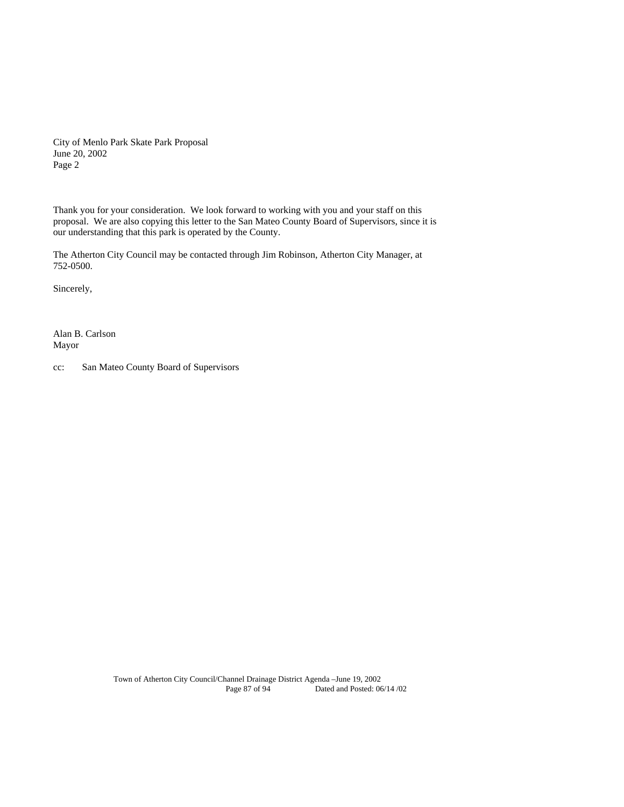City of Menlo Park Skate Park Proposal June 20, 2002 Page 2

Thank you for your consideration. We look forward to working with you and your staff on this proposal. We are also copying this letter to the San Mateo County Board of Supervisors, since it is our understanding that this park is operated by the County.

The Atherton City Council may be contacted through Jim Robinson, Atherton City Manager, at 752-0500.

Sincerely,

Alan B. Carlson Mayor

cc: San Mateo County Board of Supervisors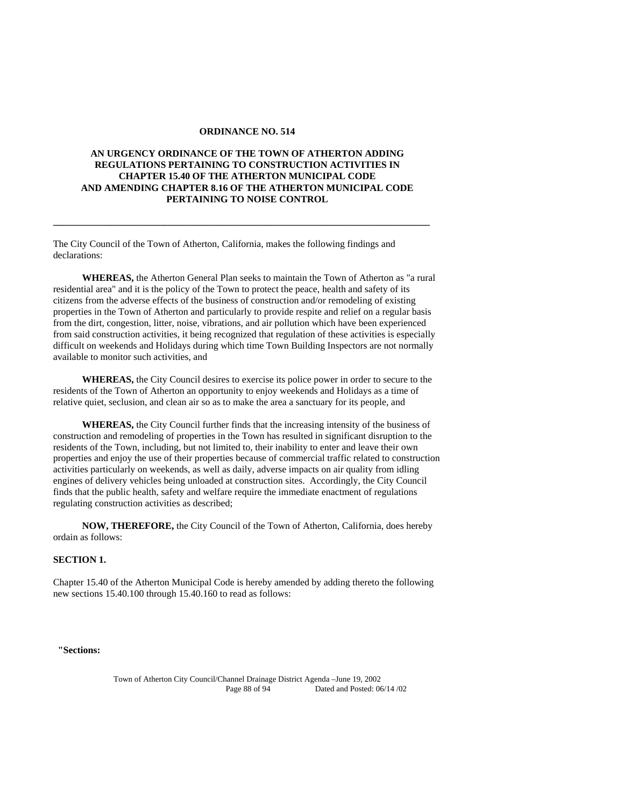#### **ORDINANCE NO. 514**

### **AN URGENCY ORDINANCE OF THE TOWN OF ATHERTON ADDING REGULATIONS PERTAINING TO CONSTRUCTION ACTIVITIES IN CHAPTER 15.40 OF THE ATHERTON MUNICIPAL CODE AND AMENDING CHAPTER 8.16 OF THE ATHERTON MUNICIPAL CODE PERTAINING TO NOISE CONTROL**

**\_\_\_\_\_\_\_\_\_\_\_\_\_\_\_\_\_\_\_\_\_\_\_\_\_\_\_\_\_\_\_\_\_\_\_\_\_\_\_\_\_\_\_\_\_\_\_\_\_\_\_\_\_\_\_\_\_\_\_\_\_\_\_\_\_\_\_\_\_\_\_\_\_\_\_\_\_\_** 

The City Council of the Town of Atherton, California, makes the following findings and declarations:

**WHEREAS,** the Atherton General Plan seeks to maintain the Town of Atherton as "a rural residential area" and it is the policy of the Town to protect the peace, health and safety of its citizens from the adverse effects of the business of construction and/or remodeling of existing properties in the Town of Atherton and particularly to provide respite and relief on a regular basis from the dirt, congestion, litter, noise, vibrations, and air pollution which have been experienced from said construction activities, it being recognized that regulation of these activities is especially difficult on weekends and Holidays during which time Town Building Inspectors are not normally available to monitor such activities, and

**WHEREAS,** the City Council desires to exercise its police power in order to secure to the residents of the Town of Atherton an opportunity to enjoy weekends and Holidays as a time of relative quiet, seclusion, and clean air so as to make the area a sanctuary for its people, and

**WHEREAS,** the City Council further finds that the increasing intensity of the business of construction and remodeling of properties in the Town has resulted in significant disruption to the residents of the Town, including, but not limited to, their inability to enter and leave their own properties and enjoy the use of their properties because of commercial traffic related to construction activities particularly on weekends, as well as daily, adverse impacts on air quality from idling engines of delivery vehicles being unloaded at construction sites. Accordingly, the City Council finds that the public health, safety and welfare require the immediate enactment of regulations regulating construction activities as described;

**NOW, THEREFORE,** the City Council of the Town of Atherton, California, does hereby ordain as follows:

## **SECTION 1.**

Chapter 15.40 of the Atherton Municipal Code is hereby amended by adding thereto the following new sections 15.40.100 through 15.40.160 to read as follows:

 **"Sections:** 

Town of Atherton City Council/Channel Drainage District Agenda –June 19, 2002 Page 88 of 94 Dated and Posted: 06/14 /02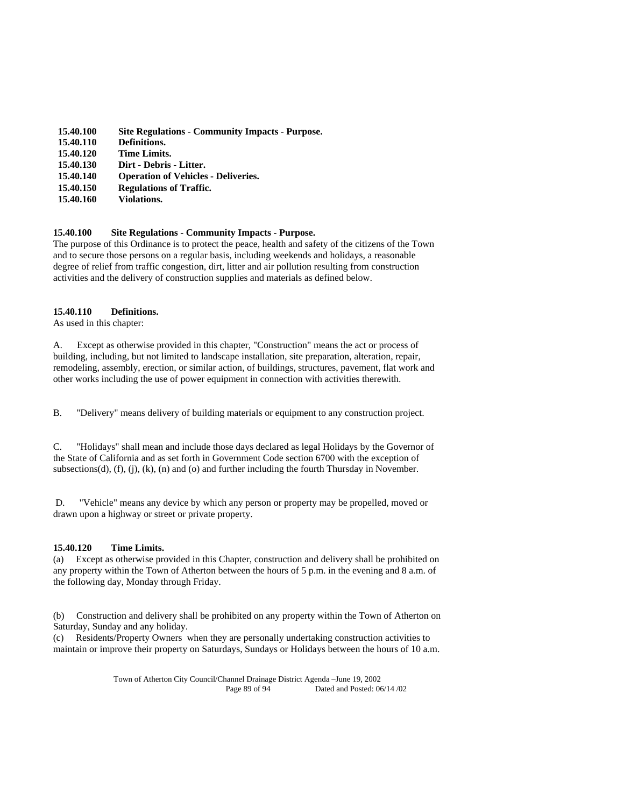| 15.40.100 | <b>Site Regulations - Community Impacts - Purpose.</b> |
|-----------|--------------------------------------------------------|
| 15.40.110 | Definitions.                                           |
| 15.40.120 | <b>Time Limits.</b>                                    |
| 15.40.130 | Dirt - Debris - Litter.                                |
| 15.40.140 | <b>Operation of Vehicles - Deliveries.</b>             |
| 15.40.150 | <b>Regulations of Traffic.</b>                         |
| 15.40.160 | Violations.                                            |
|           |                                                        |

#### **15.40.100 Site Regulations - Community Impacts - Purpose.**

The purpose of this Ordinance is to protect the peace, health and safety of the citizens of the Town and to secure those persons on a regular basis, including weekends and holidays, a reasonable degree of relief from traffic congestion, dirt, litter and air pollution resulting from construction activities and the delivery of construction supplies and materials as defined below.

#### **15.40.110 Definitions.**

As used in this chapter:

A. Except as otherwise provided in this chapter, "Construction" means the act or process of building, including, but not limited to landscape installation, site preparation, alteration, repair, remodeling, assembly, erection, or similar action, of buildings, structures, pavement, flat work and other works including the use of power equipment in connection with activities therewith.

B. "Delivery" means delivery of building materials or equipment to any construction project.

C. "Holidays" shall mean and include those days declared as legal Holidays by the Governor of the State of California and as set forth in Government Code section 6700 with the exception of subsections(d), (f), (j), (k), (n) and (o) and further including the fourth Thursday in November.

 D. "Vehicle" means any device by which any person or property may be propelled, moved or drawn upon a highway or street or private property.

### **15.40.120 Time Limits.**

(a) Except as otherwise provided in this Chapter, construction and delivery shall be prohibited on any property within the Town of Atherton between the hours of 5 p.m. in the evening and 8 a.m. of the following day, Monday through Friday.

(b) Construction and delivery shall be prohibited on any property within the Town of Atherton on Saturday, Sunday and any holiday.

(c) Residents/Property Owners when they are personally undertaking construction activities to maintain or improve their property on Saturdays, Sundays or Holidays between the hours of 10 a.m.

> Town of Atherton City Council/Channel Drainage District Agenda –June 19, 2002 Page 89 of 94 Dated and Posted: 06/14 /02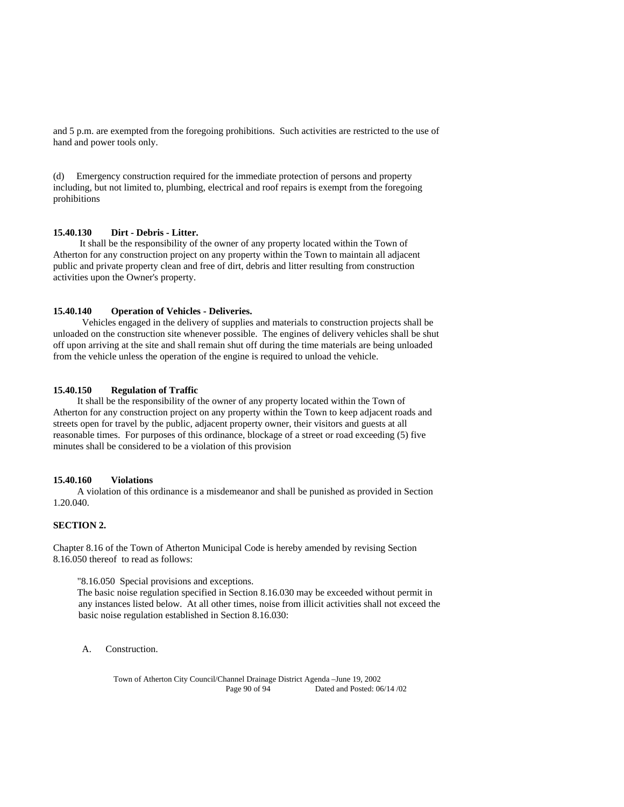and 5 p.m. are exempted from the foregoing prohibitions. Such activities are restricted to the use of hand and power tools only.

(d) Emergency construction required for the immediate protection of persons and property including, but not limited to, plumbing, electrical and roof repairs is exempt from the foregoing prohibitions

### **15.40.130 Dirt - Debris - Litter.**

 It shall be the responsibility of the owner of any property located within the Town of Atherton for any construction project on any property within the Town to maintain all adjacent public and private property clean and free of dirt, debris and litter resulting from construction activities upon the Owner's property.

#### **15.40.140 Operation of Vehicles - Deliveries.**

 Vehicles engaged in the delivery of supplies and materials to construction projects shall be unloaded on the construction site whenever possible. The engines of delivery vehicles shall be shut off upon arriving at the site and shall remain shut off during the time materials are being unloaded from the vehicle unless the operation of the engine is required to unload the vehicle.

#### **15.40.150 Regulation of Traffic**

 It shall be the responsibility of the owner of any property located within the Town of Atherton for any construction project on any property within the Town to keep adjacent roads and streets open for travel by the public, adjacent property owner, their visitors and guests at all reasonable times. For purposes of this ordinance, blockage of a street or road exceeding (5) five minutes shall be considered to be a violation of this provision

#### **15.40.160 Violations**

 A violation of this ordinance is a misdemeanor and shall be punished as provided in Section 1.20.040.

## **SECTION 2.**

Chapter 8.16 of the Town of Atherton Municipal Code is hereby amended by revising Section 8.16.050 thereof to read as follows:

"8.16.050 Special provisions and exceptions.

 The basic noise regulation specified in Section 8.16.030 may be exceeded without permit in any instances listed below. At all other times, noise from illicit activities shall not exceed the basic noise regulation established in Section 8.16.030:

A. Construction.

Town of Atherton City Council/Channel Drainage District Agenda –June 19, 2002 Page 90 of 94 Dated and Posted: 06/14 /02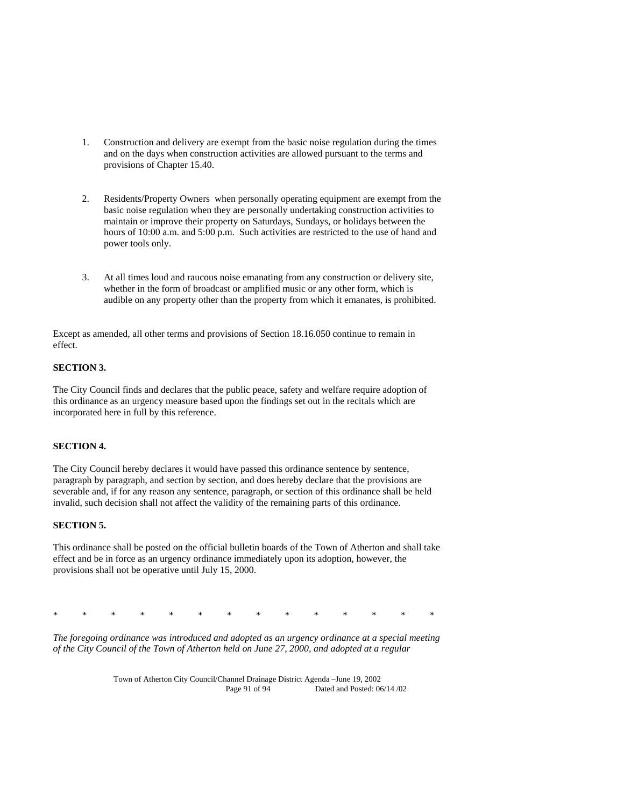- 1. Construction and delivery are exempt from the basic noise regulation during the times and on the days when construction activities are allowed pursuant to the terms and provisions of Chapter 15.40.
- 2. Residents/Property Owners when personally operating equipment are exempt from the basic noise regulation when they are personally undertaking construction activities to maintain or improve their property on Saturdays, Sundays, or holidays between the hours of 10:00 a.m. and 5:00 p.m. Such activities are restricted to the use of hand and power tools only.
- 3. At all times loud and raucous noise emanating from any construction or delivery site, whether in the form of broadcast or amplified music or any other form, which is audible on any property other than the property from which it emanates, is prohibited.

Except as amended, all other terms and provisions of Section 18.16.050 continue to remain in effect.

## **SECTION 3.**

The City Council finds and declares that the public peace, safety and welfare require adoption of this ordinance as an urgency measure based upon the findings set out in the recitals which are incorporated here in full by this reference.

### **SECTION 4.**

The City Council hereby declares it would have passed this ordinance sentence by sentence, paragraph by paragraph, and section by section, and does hereby declare that the provisions are severable and, if for any reason any sentence, paragraph, or section of this ordinance shall be held invalid, such decision shall not affect the validity of the remaining parts of this ordinance.

### **SECTION 5.**

This ordinance shall be posted on the official bulletin boards of the Town of Atherton and shall take effect and be in force as an urgency ordinance immediately upon its adoption, however, the provisions shall not be operative until July 15, 2000.

|  |  |  |  |  | * * * * * * * * * * * * * * |  |
|--|--|--|--|--|-----------------------------|--|
|  |  |  |  |  |                             |  |

*The foregoing ordinance was introduced and adopted as an urgency ordinance at a special meeting of the City Council of the Town of Atherton held on June 27, 2000, and adopted at a regular* 

> Town of Atherton City Council/Channel Drainage District Agenda –June 19, 2002 Dated and Posted: 06/14 /02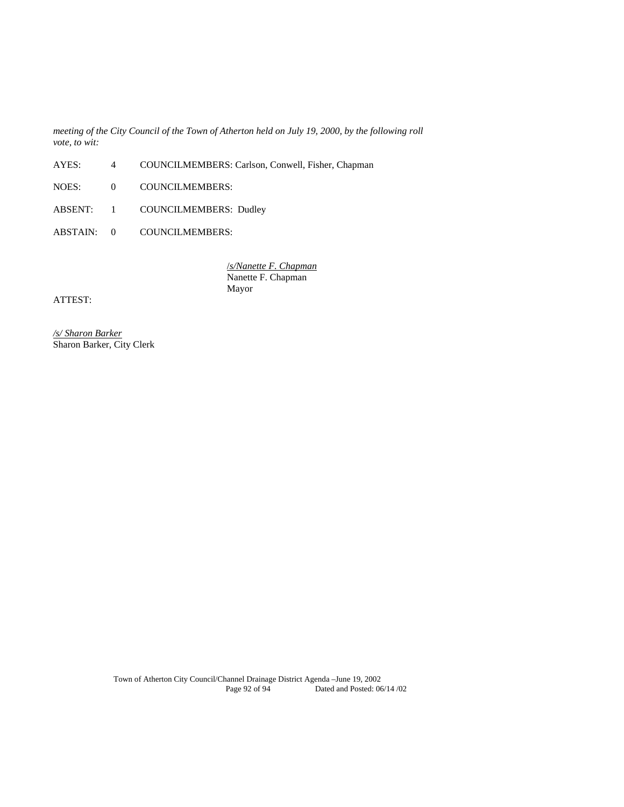*meeting of the City Council of the Town of Atherton held on July 19, 2000, by the following roll vote, to wit:* 

- AYES: 4 COUNCILMEMBERS: Carlson, Conwell, Fisher, Chapman
- NOES: 0 COUNCILMEMBERS:
- ABSENT: 1 COUNCILMEMBERS: Dudley
- ABSTAIN: 0 COUNCILMEMBERS:

 /*s/Nanette F. Chapman* Nanette F. Chapman Mayor

ATTEST:

*/s/ Sharon Barker* Sharon Barker, City Clerk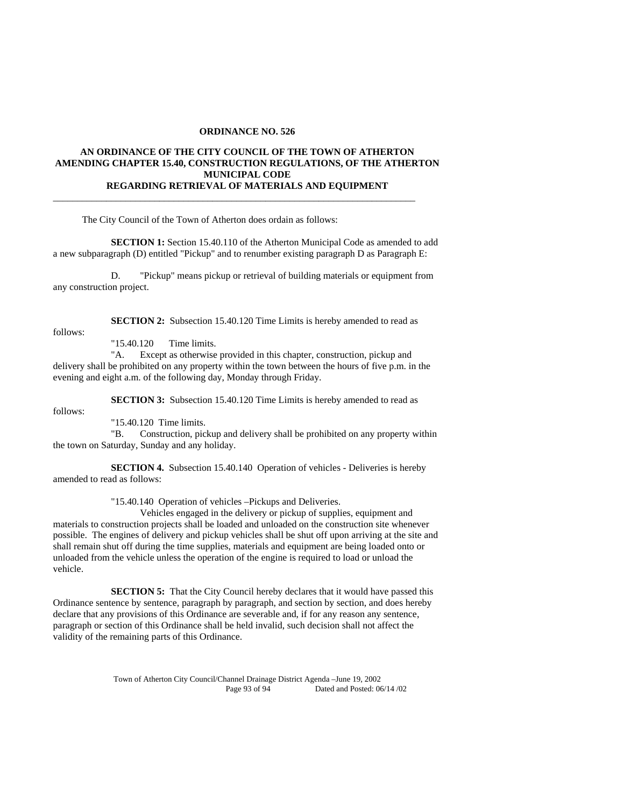#### **ORDINANCE NO. 526**

## **AN ORDINANCE OF THE CITY COUNCIL OF THE TOWN OF ATHERTON AMENDING CHAPTER 15.40, CONSTRUCTION REGULATIONS, OF THE ATHERTON MUNICIPAL CODE REGARDING RETRIEVAL OF MATERIALS AND EQUIPMENT**

\_\_\_\_\_\_\_\_\_\_\_\_\_\_\_\_\_\_\_\_\_\_\_\_\_\_\_\_\_\_\_\_\_\_\_\_\_\_\_\_\_\_\_\_\_\_\_\_\_\_\_\_\_\_\_\_\_\_\_\_\_\_\_\_\_\_\_\_\_\_\_\_\_\_\_

The City Council of the Town of Atherton does ordain as follows:

**SECTION 1:** Section 15.40.110 of the Atherton Municipal Code as amended to add a new subparagraph (D) entitled "Pickup" and to renumber existing paragraph D as Paragraph E:

 D. "Pickup" means pickup or retrieval of building materials or equipment from any construction project.

follows:

**SECTION 2:** Subsection 15.40.120 Time Limits is hereby amended to read as

"15.40.120 Time limits.

 "A. Except as otherwise provided in this chapter, construction, pickup and delivery shall be prohibited on any property within the town between the hours of five p.m. in the evening and eight a.m. of the following day, Monday through Friday.

**SECTION 3:** Subsection 15.40.120 Time Limits is hereby amended to read as

follows:

"15.40.120 Time limits.

 "B. Construction, pickup and delivery shall be prohibited on any property within the town on Saturday, Sunday and any holiday.

 **SECTION 4.** Subsection 15.40.140 Operation of vehicles - Deliveries is hereby amended to read as follows:

"15.40.140 Operation of vehicles –Pickups and Deliveries.

 Vehicles engaged in the delivery or pickup of supplies, equipment and materials to construction projects shall be loaded and unloaded on the construction site whenever possible. The engines of delivery and pickup vehicles shall be shut off upon arriving at the site and shall remain shut off during the time supplies, materials and equipment are being loaded onto or unloaded from the vehicle unless the operation of the engine is required to load or unload the vehicle.

**SECTION 5:** That the City Council hereby declares that it would have passed this Ordinance sentence by sentence, paragraph by paragraph, and section by section, and does hereby declare that any provisions of this Ordinance are severable and, if for any reason any sentence, paragraph or section of this Ordinance shall be held invalid, such decision shall not affect the validity of the remaining parts of this Ordinance.

> Town of Atherton City Council/Channel Drainage District Agenda –June 19, 2002 Dated and Posted: 06/14 /02